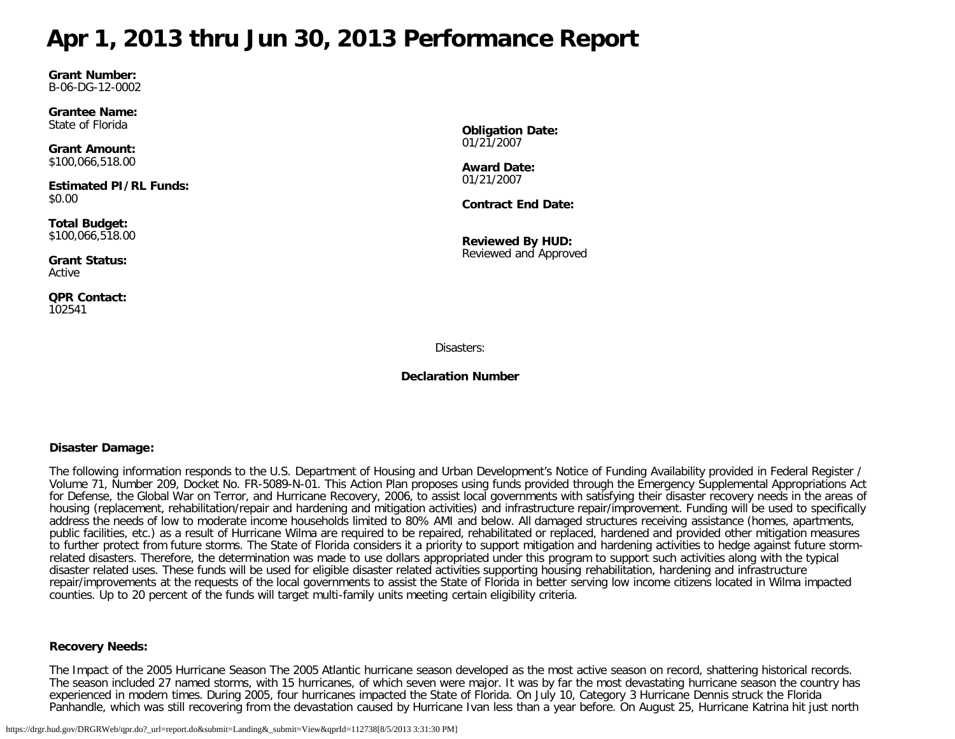# <span id="page-0-0"></span>**Apr 1, 2013 thru Jun 30, 2013 Performance Report**

**Grant Number:** B-06-DG-12-0002

**Grantee Name:** State of Florida

**Grant Amount:** \$100,066,518.00

**Estimated PI/RL Funds:** \$0.00

**Total Budget:** \$100,066,518.00

**Grant Status:** Active

**QPR Contact:** 102541

**Obligation Date:** 01/21/2007

**Award Date:** 01/21/2007

**Contract End Date:**

**Reviewed By HUD:** Reviewed and Approved

Disasters:

**Declaration Number**

## **Disaster Damage:**

The following information responds to the U.S. Department of Housing and Urban Development's Notice of Funding Availability provided in Federal Register / Volume 71, Number 209, Docket No. FR-5089-N-01. This Action Plan proposes using funds provided through the Emergency Supplemental Appropriations Act for Defense, the Global War on Terror, and Hurricane Recovery, 2006, to assist local governments with satisfying their disaster recovery needs in the areas of housing (replacement, rehabilitation/repair and hardening and mitigation activities) and infrastructure repair/improvement. Funding will be used to specifically address the needs of low to moderate income households limited to 80% AMI and below. All damaged structures receiving assistance (homes, apartments, public facilities, etc.) as a result of Hurricane Wilma are required to be repaired, rehabilitated or replaced, hardened and provided other mitigation measures to further protect from future storms. The State of Florida considers it a priority to support mitigation and hardening activities to hedge against future stormrelated disasters. Therefore, the determination was made to use dollars appropriated under this program to support such activities along with the typical disaster related uses. These funds will be used for eligible disaster related activities supporting housing rehabilitation, hardening and infrastructure repair/improvements at the requests of the local governments to assist the State of Florida in better serving low income citizens located in Wilma impacted counties. Up to 20 percent of the funds will target multi-family units meeting certain eligibility criteria.

#### **Recovery Needs:**

The Impact of the 2005 Hurricane Season The 2005 Atlantic hurricane season developed as the most active season on record, shattering historical records. The season included 27 named storms, with 15 hurricanes, of which seven were major. It was by far the most devastating hurricane season the country has experienced in modern times. During 2005, four hurricanes impacted the State of Florida. On July 10, Category 3 Hurricane Dennis struck the Florida Panhandle, which was still recovering from the devastation caused by Hurricane Ivan less than a year before. On August 25, Hurricane Katrina hit just north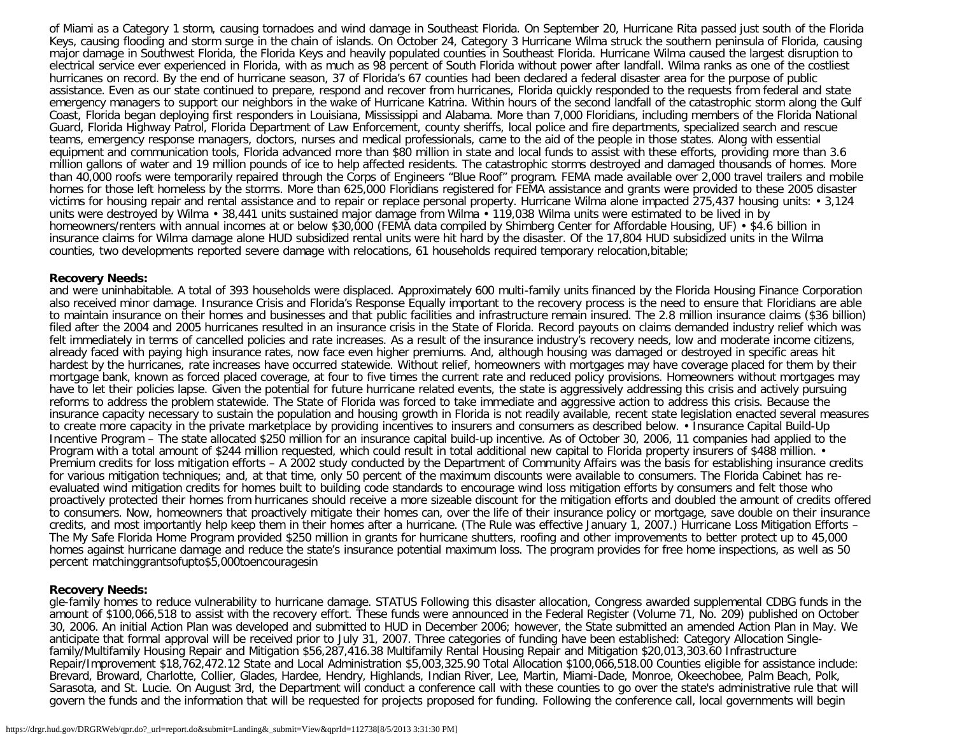of Miami as a Category 1 storm, causing tornadoes and wind damage in Southeast Florida. On September 20, Hurricane Rita passed just south of the Florida Keys, causing flooding and storm surge in the chain of islands. On October 24, Category 3 Hurricane Wilma struck the southern peninsula of Florida, causing major damage in Southwest Florida, the Florida Keys and heavily populated counties in Southeast Florida. Hurricane Wilma caused the largest disruption to electrical service ever experienced in Florida, with as much as 98 percent of South Florida without power after landfall. Wilma ranks as one of the costliest hurricanes on record. By the end of hurricane season, 37 of Florida's 67 counties had been declared a federal disaster area for the purpose of public assistance. Even as our state continued to prepare, respond and recover from hurricanes, Florida quickly responded to the requests from federal and state emergency managers to support our neighbors in the wake of Hurricane Katrina. Within hours of the second landfall of the catastrophic storm along the Gulf Coast, Florida began deploying first responders in Louisiana, Mississippi and Alabama. More than 7,000 Floridians, including members of the Florida National Guard, Florida Highway Patrol, Florida Department of Law Enforcement, county sheriffs, local police and fire departments, specialized search and rescue teams, emergency response managers, doctors, nurses and medical professionals, came to the aid of the people in those states. Along with essential equipment and communication tools, Florida advanced more than \$80 million in state and local funds to assist with these efforts, providing more than 3.6 million gallons of water and 19 million pounds of ice to help affected residents. The catastrophic storms destroyed and damaged thousands of homes. More than 40,000 roofs were temporarily repaired through the Corps of Engineers "Blue Roof" program. FEMA made available over 2,000 travel trailers and mobile homes for those left homeless by the storms. More than 625,000 Floridians registered for FEMA assistance and grants were provided to these 2005 disaster victims for housing repair and rental assistance and to repair or replace personal property. Hurricane Wilma alone impacted 275,437 housing units: • 3,124 units were destroyed by Wilma • 38,441 units sustained major damage from Wilma • 119,038 Wilma units were estimated to be lived in by homeowners/renters with annual incomes at or below \$30,000 (FEMA data compiled by Shimberg Center for Affordable Housing, UF) • \$4.6 billion in insurance claims for Wilma damage alone HUD subsidized rental units were hit hard by the disaster. Of the 17,804 HUD subsidized units in the Wilma counties, two developments reported severe damage with relocations, 61 households required temporary relocation,bitable;

#### **Recovery Needs:**

and were uninhabitable. A total of 393 households were displaced. Approximately 600 multi-family units financed by the Florida Housing Finance Corporation also received minor damage. Insurance Crisis and Florida's Response Equally important to the recovery process is the need to ensure that Floridians are able to maintain insurance on their homes and businesses and that public facilities and infrastructure remain insured. The 2.8 million insurance claims (\$36 billion) filed after the 2004 and 2005 hurricanes resulted in an insurance crisis in the State of Florida. Record payouts on claims demanded industry relief which was felt immediately in terms of cancelled policies and rate increases. As a result of the insurance industry's recovery needs, low and moderate income citizens, already faced with paying high insurance rates, now face even higher premiums. And, although housing was damaged or destroyed in specific areas hit hardest by the hurricanes, rate increases have occurred statewide. Without relief, homeowners with mortgages may have coverage placed for them by their mortgage bank, known as forced placed coverage, at four to five times the current rate and reduced policy provisions. Homeowners without mortgages may have to let their policies lapse. Given the potential for future hurricane related events, the state is aggressively addressing this crisis and actively pursuing reforms to address the problem statewide. The State of Florida was forced to take immediate and aggressive action to address this crisis. Because the insurance capacity necessary to sustain the population and housing growth in Florida is not readily available, recent state legislation enacted several measures to create more capacity in the private marketplace by providing incentives to insurers and consumers as described below. • Insurance Capital Build-Up Incentive Program – The state allocated \$250 million for an insurance capital build-up incentive. As of October 30, 2006, 11 companies had applied to the Program with a total amount of \$244 million requested, which could result in total additional new capital to Florida property insurers of \$488 million. • Premium credits for loss mitigation efforts – A 2002 study conducted by the Department of Community Affairs was the basis for establishing insurance credits for various mitigation techniques; and, at that time, only 50 percent of the maximum discounts were available to consumers. The Florida Cabinet has reevaluated wind mitigation credits for homes built to building code standards to encourage wind loss mitigation efforts by consumers and felt those who proactively protected their homes from hurricanes should receive a more sizeable discount for the mitigation efforts and doubled the amount of credits offered to consumers. Now, homeowners that proactively mitigate their homes can, over the life of their insurance policy or mortgage, save double on their insurance credits, and most importantly help keep them in their homes after a hurricane. (The Rule was effective January 1, 2007.) Hurricane Loss Mitigation Efforts – The My Safe Florida Home Program provided \$250 million in grants for hurricane shutters, roofing and other improvements to better protect up to 45,000 homes against hurricane damage and reduce the state's insurance potential maximum loss. The program provides for free home inspections, as well as 50 percent matchinggrantsofupto\$5,000toencouragesin

#### **Recovery Needs:**

gle-family homes to reduce vulnerability to hurricane damage. STATUS Following this disaster allocation, Congress awarded supplemental CDBG funds in the amount of \$100,066,518 to assist with the recovery effort. These funds were announced in the Federal Register (Volume 71, No. 209) published on October 30, 2006. An initial Action Plan was developed and submitted to HUD in December 2006; however, the State submitted an amended Action Plan in May. We anticipate that formal approval will be received prior to July 31, 2007. Three categories of funding have been established: Category Allocation Singlefamily/Multifamily Housing Repair and Mitigation \$56,287,416.38 Multifamily Rental Housing Repair and Mitigation \$20,013,303.60 Infrastructure Repair/Improvement \$18,762,472.12 State and Local Administration \$5,003,325.90 Total Allocation \$100,066,518.00 Counties eligible for assistance include: Brevard, Broward, Charlotte, Collier, Glades, Hardee, Hendry, Highlands, Indian River, Lee, Martin, Miami-Dade, Monroe, Okeechobee, Palm Beach, Polk, Sarasota, and St. Lucie. On August 3rd, the Department will conduct a conference call with these counties to go over the state's administrative rule that will govern the funds and the information that will be requested for projects proposed for funding. Following the conference call, local governments will begin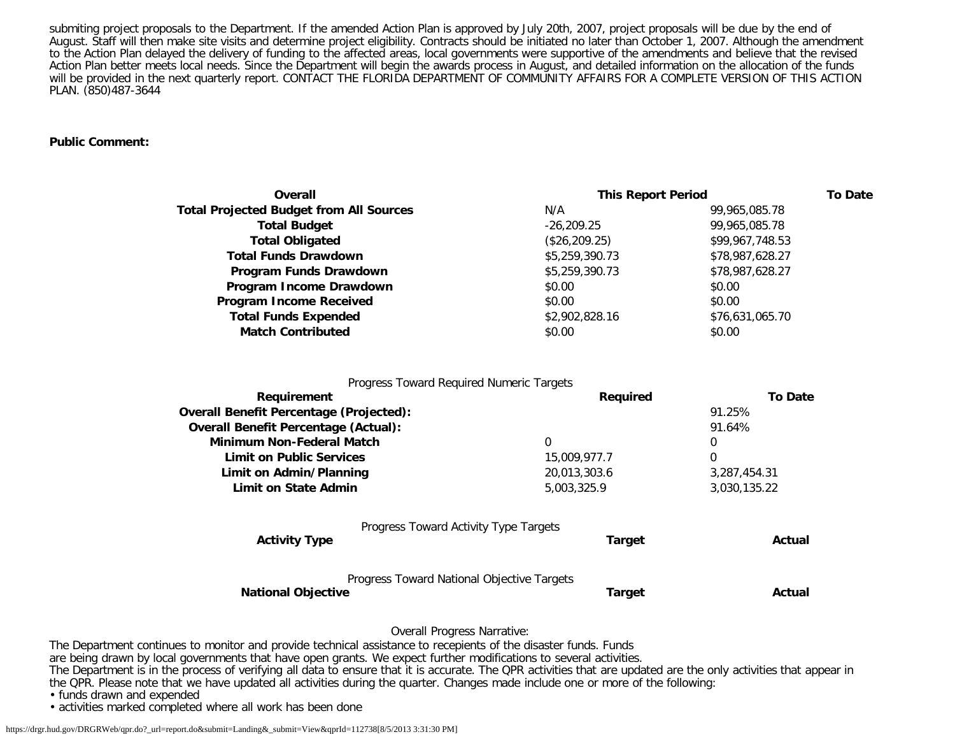submiting project proposals to the Department. If the amended Action Plan is approved by July 20th, 2007, project proposals will be due by the end of August. Staff will then make site visits and determine project eligibility. Contracts should be initiated no later than October 1, 2007. Although the amendment to the Action Plan delayed the delivery of funding to the affected areas, local governments were supportive of the amendments and believe that the revised Action Plan better meets local needs. Since the Department will begin the awards process in August, and detailed information on the allocation of the funds will be provided in the next quarterly report. CONTACT THE FLORIDA DEPARTMENT OF COMMUNITY AFFAIRS FOR A COMPLETE VERSION OF THIS ACTION PLAN. (850)487-3644

#### **Public Comment:**

| Overall                                        | <b>This Report Period</b> |                 | <b>To Date</b> |
|------------------------------------------------|---------------------------|-----------------|----------------|
| <b>Total Projected Budget from All Sources</b> | N/A                       | 99,965,085.78   |                |
| <b>Total Budget</b>                            | $-26.209.25$              | 99,965,085.78   |                |
| <b>Total Obligated</b>                         | (\$26, 209.25)            | \$99,967,748.53 |                |
| <b>Total Funds Drawdown</b>                    | \$5,259,390.73            | \$78,987,628.27 |                |
| Program Funds Drawdown                         | \$5,259,390.73            | \$78,987,628.27 |                |
| Program Income Drawdown                        | \$0.00                    | \$0.00          |                |
| <b>Program Income Received</b>                 | \$0.00                    | \$0.00          |                |
| <b>Total Funds Expended</b>                    | \$2,902,828.16            | \$76,631,065.70 |                |
| <b>Match Contributed</b>                       | \$0.00                    | \$0.00          |                |
|                                                |                           |                 |                |

| Progress Toward Required Numeric Targets                                |               |                |
|-------------------------------------------------------------------------|---------------|----------------|
| Requirement                                                             | Required      | <b>To Date</b> |
| <b>Overall Benefit Percentage (Projected):</b>                          |               | 91.25%         |
| <b>Overall Benefit Percentage (Actual):</b>                             |               | 91.64%         |
| Minimum Non-Federal Match                                               | 0             | 0              |
| <b>Limit on Public Services</b>                                         | 15,009,977.7  | 0              |
| Limit on Admin/Planning                                                 | 20,013,303.6  | 3,287,454.31   |
| Limit on State Admin                                                    | 5,003,325.9   | 3,030,135.22   |
| Progress Toward Activity Type Targets                                   |               |                |
| <b>Activity Type</b>                                                    | Target        | Actual         |
| Progress Toward National Objective Targets<br><b>National Objective</b> | <b>Target</b> | Actual         |
|                                                                         |               |                |

Overall Progress Narrative:

The Department continues to monitor and provide technical assistance to recepients of the disaster funds. Funds

are being drawn by local governments that have open grants. We expect further modifications to several activities.

The Department is in the process of verifying all data to ensure that it is accurate. The QPR activities that are updated are the only activities that appear in the QPR. Please note that we have updated all activities during the quarter. Changes made include one or more of the following:

• funds drawn and expended

• activities marked completed where all work has been done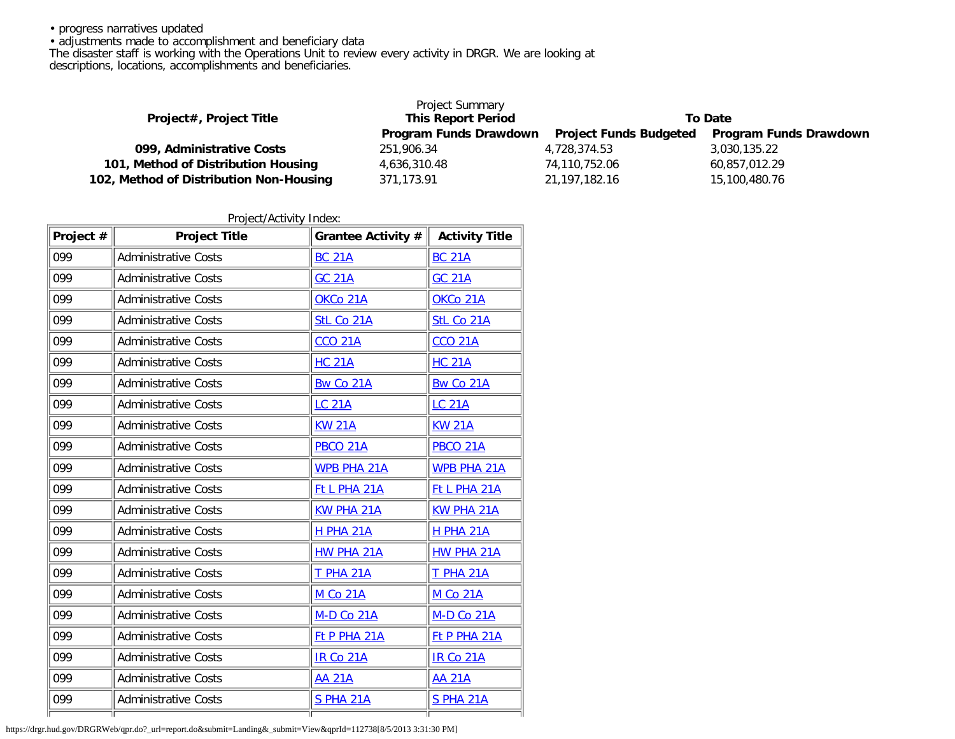• progress narratives updated

• adjustments made to accomplishment and beneficiary data

The disaster staff is working with the Operations Unit to review every activity in DRGR. We are looking at

descriptions, locations, accomplishments and beneficiaries.

|                                         | <b>Project Summary</b>    |                               |                               |
|-----------------------------------------|---------------------------|-------------------------------|-------------------------------|
| Project#, Project Title                 | <b>This Report Period</b> | To Date                       |                               |
|                                         | Program Funds Drawdown    | <b>Project Funds Budgeted</b> | <b>Program Funds Drawdown</b> |
| 099, Administrative Costs               | 251,906.34                | 4.728.374.53                  | 3,030,135.22                  |
| 101, Method of Distribution Housing     | 4,636,310.48              | 74,110,752.06                 | 60,857,012.29                 |
| 102, Method of Distribution Non-Housing | 371.173.91                | 21, 197, 182. 16              | 15,100,480.76                 |

Project/Activity Index:

| Project # | <b>Project Title</b>        | Grantee Activity #  | <b>Activity Title</b> |
|-----------|-----------------------------|---------------------|-----------------------|
| 099       | <b>Administrative Costs</b> | <b>BC 21A</b>       | <b>BC 21A</b>         |
| 099       | <b>Administrative Costs</b> | <b>GC 21A</b>       | <b>GC 21A</b>         |
| 099       | <b>Administrative Costs</b> | OKCo 21A            | OKCo 21A              |
| 099       | <b>Administrative Costs</b> | StL Co 21A          | StL Co 21A            |
| 099       | <b>Administrative Costs</b> | <b>CCO 21A</b>      | <b>CCO 21A</b>        |
| 099       | <b>Administrative Costs</b> | <b>HC 21A</b>       | <b>HC 21A</b>         |
| 099       | <b>Administrative Costs</b> | Bw Co 21A           | Bw Co 21A             |
| 099       | <b>Administrative Costs</b> | <b>LC 21A</b>       | <b>LC 21A</b>         |
| 099       | <b>Administrative Costs</b> | <b>KW 21A</b>       | <b>KW 21A</b>         |
| 099       | <b>Administrative Costs</b> | <b>PBCO 21A</b>     | <b>PBCO 21A</b>       |
| 099       | <b>Administrative Costs</b> | <b>WPB PHA 21A</b>  | <b>WPB PHA 21A</b>    |
| 099       | <b>Administrative Costs</b> | <b>Ft L PHA 21A</b> | Ft L PHA 21A          |
| 099       | <b>Administrative Costs</b> | <b>KW PHA 21A</b>   | <b>KW PHA 21A</b>     |
| 099       | <b>Administrative Costs</b> | <b>H PHA 21A</b>    | <b>H PHA 21A</b>      |
| 099       | <b>Administrative Costs</b> | HW PHA 21A          | <b>HW PHA 21A</b>     |
| 099       | <b>Administrative Costs</b> | <b>T PHA 21A</b>    | <b>T PHA 21A</b>      |
| 099       | <b>Administrative Costs</b> | <b>M Co 21A</b>     | <b>M Co 21A</b>       |
| 099       | <b>Administrative Costs</b> | <b>M-D Co 21A</b>   | M-D Co 21A            |
| 099       | <b>Administrative Costs</b> | <b>Ft P PHA 21A</b> | <b>Ft P PHA 21A</b>   |
| 099       | <b>Administrative Costs</b> | <b>IR Co 21A</b>    | <b>IR Co 21A</b>      |
| 099       | <b>Administrative Costs</b> | <b>AA 21A</b>       | <b>AA 21A</b>         |
| 099       | <b>Administrative Costs</b> | <b>S PHA 21A</b>    | <b>S PHA 21A</b>      |
|           |                             |                     |                       |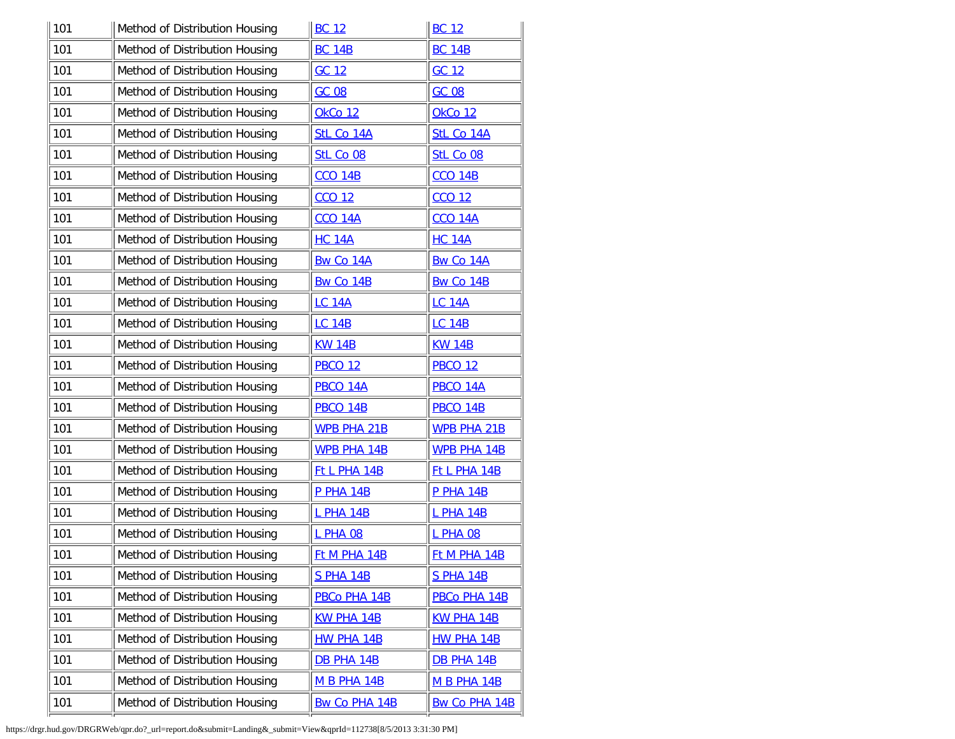| 101 | Method of Distribution Housing | <b>BC 12</b>         | <b>BC 12</b>         |
|-----|--------------------------------|----------------------|----------------------|
| 101 | Method of Distribution Housing | <b>BC 14B</b>        | <b>BC 14B</b>        |
| 101 | Method of Distribution Housing | GC 12                | GC 12                |
| 101 | Method of Distribution Housing | <b>GC 08</b>         | <b>GC 08</b>         |
| 101 | Method of Distribution Housing | OkCo 12              | OkCo 12              |
| 101 | Method of Distribution Housing | StL Co 14A           | StL Co 14A           |
| 101 | Method of Distribution Housing | StL Co 08            | StL Co 08            |
| 101 | Method of Distribution Housing | <b>CCO 14B</b>       | <b>CCO 14B</b>       |
| 101 | Method of Distribution Housing | <b>CCO 12</b>        | <b>CCO 12</b>        |
| 101 | Method of Distribution Housing | <b>CCO 14A</b>       | <b>CCO 14A</b>       |
| 101 | Method of Distribution Housing | <b>HC 14A</b>        | <b>HC 14A</b>        |
| 101 | Method of Distribution Housing | Bw Co 14A            | Bw Co 14A            |
| 101 | Method of Distribution Housing | Bw Co 14B            | Bw Co 14B            |
| 101 | Method of Distribution Housing | <b>LC 14A</b>        | <b>LC 14A</b>        |
| 101 | Method of Distribution Housing | <b>LC 14B</b>        | <b>LC 14B</b>        |
| 101 | Method of Distribution Housing | <b>KW 14B</b>        | <b>KW 14B</b>        |
| 101 | Method of Distribution Housing | <b>PBCO 12</b>       | <b>PBCO 12</b>       |
| 101 | Method of Distribution Housing | PBCO 14A             | PBCO 14A             |
| 101 | Method of Distribution Housing | <b>PBCO 14B</b>      | <b>PBCO 14B</b>      |
| 101 | Method of Distribution Housing | <b>WPB PHA 21B</b>   | <b>WPB PHA 21B</b>   |
| 101 | Method of Distribution Housing | <b>WPB PHA 14B</b>   | <b>WPB PHA 14B</b>   |
| 101 | Method of Distribution Housing | Ft L PHA 14B         | Ft L PHA 14B         |
| 101 | Method of Distribution Housing | <b>P PHA 14B</b>     | <b>P PHA 14B</b>     |
| 101 | Method of Distribution Housing | <b>L PHA 14B</b>     | <b>L PHA 14B</b>     |
| 101 | Method of Distribution Housing | <b>L PHA 08</b>      | <b>L PHA 08</b>      |
| 101 | Method of Distribution Housing | Ft M PHA 14B         | <b>Ft M PHA 14B</b>  |
| 101 | Method of Distribution Housing | <b>S PHA 14B</b>     | <b>S PHA 14B</b>     |
| 101 | Method of Distribution Housing | PBCo PHA 14B         | PBCo PHA 14B         |
| 101 | Method of Distribution Housing | <b>KW PHA 14B</b>    | <b>KW PHA 14B</b>    |
| 101 | Method of Distribution Housing | <b>HW PHA 14B</b>    | <b>HW PHA 14B</b>    |
| 101 | Method of Distribution Housing | <b>DB PHA 14B</b>    | <b>DB PHA 14B</b>    |
| 101 | Method of Distribution Housing | <b>M B PHA 14B</b>   | <b>M B PHA 14B</b>   |
| 101 | Method of Distribution Housing | <b>Bw Co PHA 14B</b> | <b>Bw Co PHA 14B</b> |
|     |                                |                      |                      |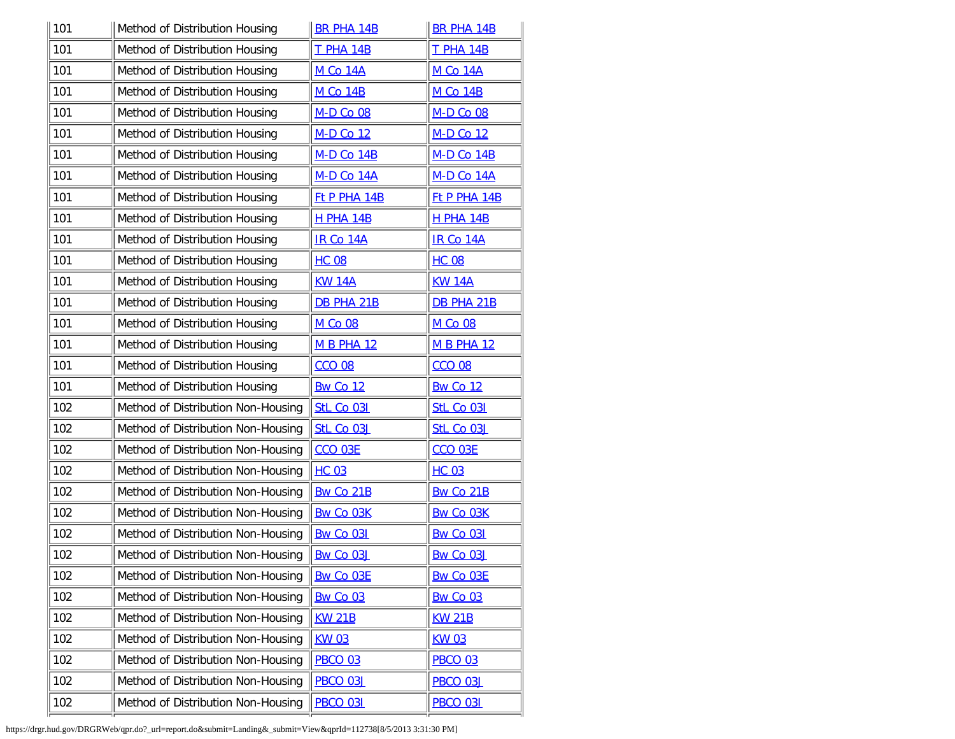| 101 | Method of Distribution Housing     | <b>BR PHA 14B</b>   | <b>BR PHA 14B</b>   |
|-----|------------------------------------|---------------------|---------------------|
| 101 | Method of Distribution Housing     | <b>T PHA 14B</b>    | <b>T PHA 14B</b>    |
| 101 | Method of Distribution Housing     | <b>M Co 14A</b>     | <b>M Co 14A</b>     |
| 101 | Method of Distribution Housing     | <b>M Co 14B</b>     | <b>M Co 14B</b>     |
| 101 | Method of Distribution Housing     | <b>M-D Co 08</b>    | M-D Co 08           |
| 101 | Method of Distribution Housing     | M-D Co 12           | M-D Co 12           |
| 101 | Method of Distribution Housing     | <b>M-D Co 14B</b>   | <b>M-D Co 14B</b>   |
| 101 | Method of Distribution Housing     | M-D Co 14A          | <b>M-D Co 14A</b>   |
| 101 | Method of Distribution Housing     | <b>Ft P PHA 14B</b> | <b>Ft P PHA 14B</b> |
| 101 | Method of Distribution Housing     | <b>H PHA 14B</b>    | <b>H PHA 14B</b>    |
| 101 | Method of Distribution Housing     | <b>IR Co 14A</b>    | <b>IR Co 14A</b>    |
| 101 | Method of Distribution Housing     | <b>HC 08</b>        | <b>HC 08</b>        |
| 101 | Method of Distribution Housing     | <b>KW 14A</b>       | <b>KW 14A</b>       |
| 101 | Method of Distribution Housing     | <b>DB PHA 21B</b>   | <b>DB PHA 21B</b>   |
| 101 | Method of Distribution Housing     | <b>M Co 08</b>      | M Co 08             |
| 101 | Method of Distribution Housing     | <b>M B PHA 12</b>   | <b>M B PHA 12</b>   |
| 101 | Method of Distribution Housing     | <b>CCO 08</b>       | <b>CCO 08</b>       |
| 101 | Method of Distribution Housing     | <b>Bw Co 12</b>     | <b>Bw Co 12</b>     |
| 102 | Method of Distribution Non-Housing | StL Co 031          | <b>StL Co 031</b>   |
| 102 | Method of Distribution Non-Housing | StL Co 03J          | StL Co 03J          |
| 102 | Method of Distribution Non-Housing | <b>CCO 03E</b>      | <b>CCO 03E</b>      |
| 102 | Method of Distribution Non-Housing | <b>HC 03</b>        | <b>HC 03</b>        |
| 102 | Method of Distribution Non-Housing | Bw Co 21B           | Bw Co 21B           |
| 102 | Method of Distribution Non-Housing | <b>Bw Co 03K</b>    | <b>Bw Co 03K</b>    |
| 102 | Method of Distribution Non-Housing | <b>Bw Co 031</b>    | <b>Bw Co 031</b>    |
| 102 | Method of Distribution Non-Housing | Bw Co 03J           | Bw Co 03J           |
| 102 | Method of Distribution Non-Housing | Bw Co 03E           | Bw Co 03E           |
| 102 | Method of Distribution Non-Housing | <b>Bw Co 03</b>     | <b>Bw Co 03</b>     |
| 102 | Method of Distribution Non-Housing | <b>KW 21B</b>       | <b>KW 21B</b>       |
| 102 | Method of Distribution Non-Housing | <b>KW03</b>         | <b>KW03</b>         |
| 102 | Method of Distribution Non-Housing | <b>PBCO 03</b>      | <b>PBCO 03</b>      |
| 102 | Method of Distribution Non-Housing | <b>PBCO 03J</b>     | <b>PBCO 03J</b>     |
| 102 | Method of Distribution Non-Housing | <b>PBCO 031</b>     | <b>PBCO 031</b>     |
|     |                                    |                     |                     |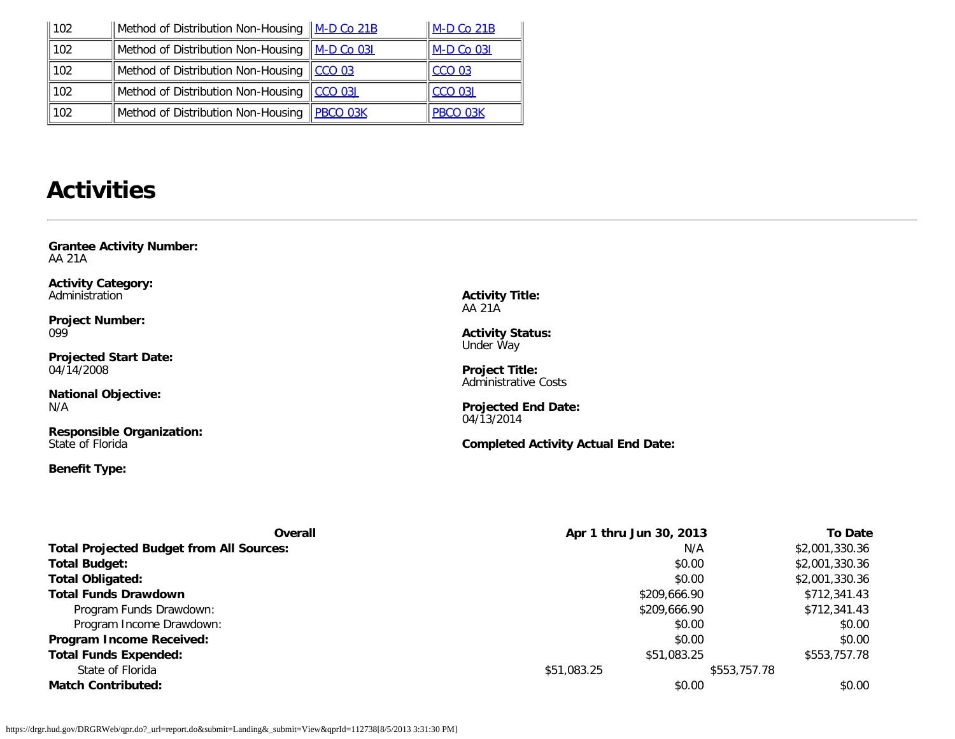| 102 | Method of Distribution Non-Housing M-D Co 21B   |                    | $M-D$ Co 21B    |
|-----|-------------------------------------------------|--------------------|-----------------|
| 102 | Method of Distribution Non-Housing   M-D Co 031 |                    | $M-D$ Co 031    |
| 102 | Method of Distribution Non-Housing              | $\parallel$ CCO 03 | <b>CCO 03</b>   |
| 102 | Method of Distribution Non-Housing              | $CCO$ 03J          | $CCO$ 03J       |
| 102 | Method of Distribution Non-Housing              | $PBCO$ 03K         | <b>PBCO 03K</b> |

## **Activities**

<span id="page-6-0"></span>**Grantee Activity Number:** AA 21A

**Activity Category:** Administration

**Project Number:** 099

**Projected Start Date:** 04/14/2008

**National Objective:** N/A

**Responsible Organization:** State of Florida

## **Benefit Type:**

**Activity Title:** AA 21A

**Activity Status:** Under Way

**Project Title:** Administrative Costs

**Projected End Date:** 04/13/2014

**Completed Activity Actual End Date:**

| <b>Overall</b>                                  | Apr 1 thru Jun 30, 2013 |              | <b>To Date</b> |
|-------------------------------------------------|-------------------------|--------------|----------------|
| <b>Total Projected Budget from All Sources:</b> |                         | N/A          | \$2,001,330.36 |
| <b>Total Budget:</b>                            |                         | \$0.00       | \$2,001,330.36 |
| <b>Total Obligated:</b>                         |                         | \$0.00       | \$2,001,330.36 |
| <b>Total Funds Drawdown</b>                     |                         | \$209,666.90 | \$712,341.43   |
| Program Funds Drawdown:                         |                         | \$209,666.90 | \$712,341.43   |
| Program Income Drawdown:                        |                         | \$0.00       | \$0.00         |
| Program Income Received:                        |                         | \$0.00       | \$0.00         |
| <b>Total Funds Expended:</b>                    |                         | \$51,083.25  | \$553,757.78   |
| State of Florida                                | \$51,083.25             | \$553,757.78 |                |
| <b>Match Contributed:</b>                       |                         | \$0.00       | \$0.00         |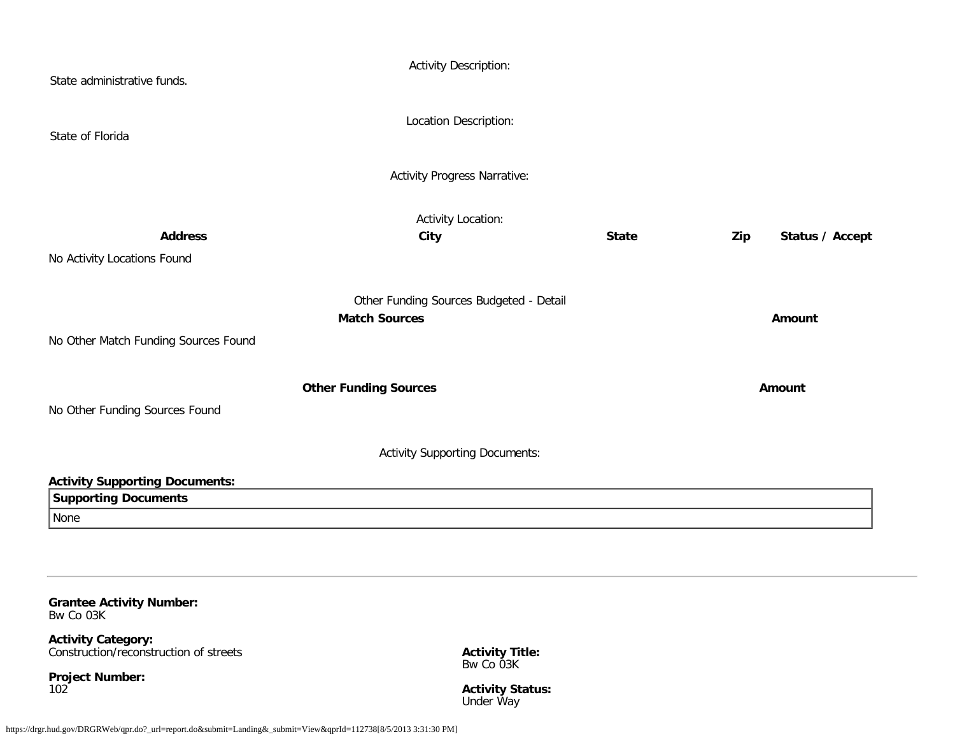| State administrative funds.           | <b>Activity Description:</b>            |              |                        |
|---------------------------------------|-----------------------------------------|--------------|------------------------|
| State of Florida                      | Location Description:                   |              |                        |
|                                       | <b>Activity Progress Narrative:</b>     |              |                        |
|                                       | <b>Activity Location:</b>               |              |                        |
| <b>Address</b>                        | City                                    | <b>State</b> | Status / Accept<br>Zip |
| No Activity Locations Found           |                                         |              |                        |
|                                       | Other Funding Sources Budgeted - Detail |              |                        |
|                                       | <b>Match Sources</b>                    |              | Amount                 |
| No Other Match Funding Sources Found  |                                         |              |                        |
|                                       | <b>Other Funding Sources</b>            |              | Amount                 |
| No Other Funding Sources Found        |                                         |              |                        |
|                                       | <b>Activity Supporting Documents:</b>   |              |                        |
| <b>Activity Supporting Documents:</b> |                                         |              |                        |
| <b>Supporting Documents</b>           |                                         |              |                        |
| None                                  |                                         |              |                        |
|                                       |                                         |              |                        |

<span id="page-7-0"></span>**Grantee Activity Number:** Bw Co 03K

**Activity Category:** Construction/reconstruction of streets

**Project Number:** 102

**Activity Title:** Bw Co 03K

**Activity Status:** Under Way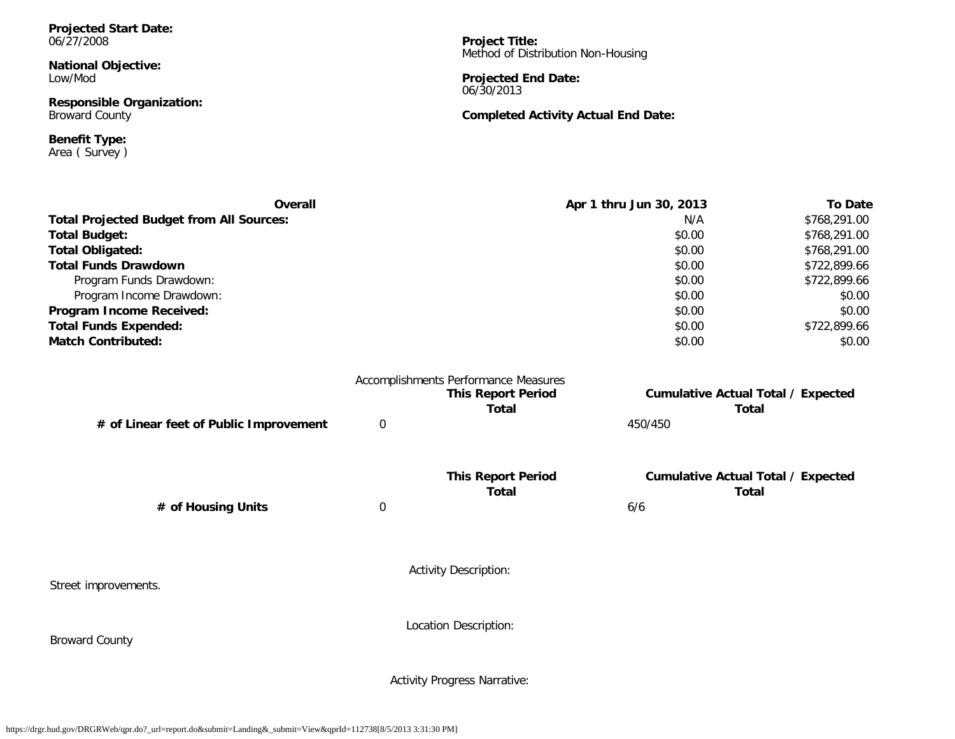**Projected Start Date:** 06/27/2008

**National Objective:** Low/Mod

**Responsible Organization:** Broward County

**Benefit Type:** Area ( Survey ) **Project Title:** Method of Distribution Non-Housing

**Projected End Date:** 06/30/2013

#### **Completed Activity Actual End Date:**

| Overall                                         |             |                                                                                                                                                                                                                                | Apr 1 thru Jun 30, 2013 | <b>To Date</b>                            |
|-------------------------------------------------|-------------|--------------------------------------------------------------------------------------------------------------------------------------------------------------------------------------------------------------------------------|-------------------------|-------------------------------------------|
| <b>Total Projected Budget from All Sources:</b> |             |                                                                                                                                                                                                                                | N/A                     | \$768,291.00                              |
| <b>Total Budget:</b>                            |             |                                                                                                                                                                                                                                | \$0.00                  | \$768,291.00                              |
| <b>Total Obligated:</b>                         |             |                                                                                                                                                                                                                                | \$0.00                  | \$768,291.00                              |
| <b>Total Funds Drawdown</b>                     |             |                                                                                                                                                                                                                                | \$0.00                  | \$722,899.66                              |
| Program Funds Drawdown:                         |             |                                                                                                                                                                                                                                | \$0.00                  | \$722,899.66                              |
| Program Income Drawdown:                        |             |                                                                                                                                                                                                                                | \$0.00                  | \$0.00                                    |
| Program Income Received:                        |             |                                                                                                                                                                                                                                | \$0.00                  | \$0.00                                    |
| <b>Total Funds Expended:</b>                    |             |                                                                                                                                                                                                                                | \$0.00                  | \$722,899.66                              |
| <b>Match Contributed:</b>                       |             |                                                                                                                                                                                                                                | \$0.00                  | \$0.00                                    |
|                                                 |             | Accomplishments Performance Measures                                                                                                                                                                                           |                         |                                           |
|                                                 |             | <b>This Report Period</b>                                                                                                                                                                                                      |                         | <b>Cumulative Actual Total / Expected</b> |
|                                                 |             | Total                                                                                                                                                                                                                          |                         | Total                                     |
| # of Linear feet of Public Improvement          | $\mathbf 0$ |                                                                                                                                                                                                                                | 450/450                 |                                           |
|                                                 |             | The form the countries of the control of the control of the control of the control of the control of the control of the control of the control of the control of the control of the control of the control of the control of t |                         |                                           |

**This Report Period Cumulative Actual Total / Expected Total Total # of Housing Units** 0 6/6

Street improvements.

Broward County

Activity Description:

Location Description:

Activity Progress Narrative: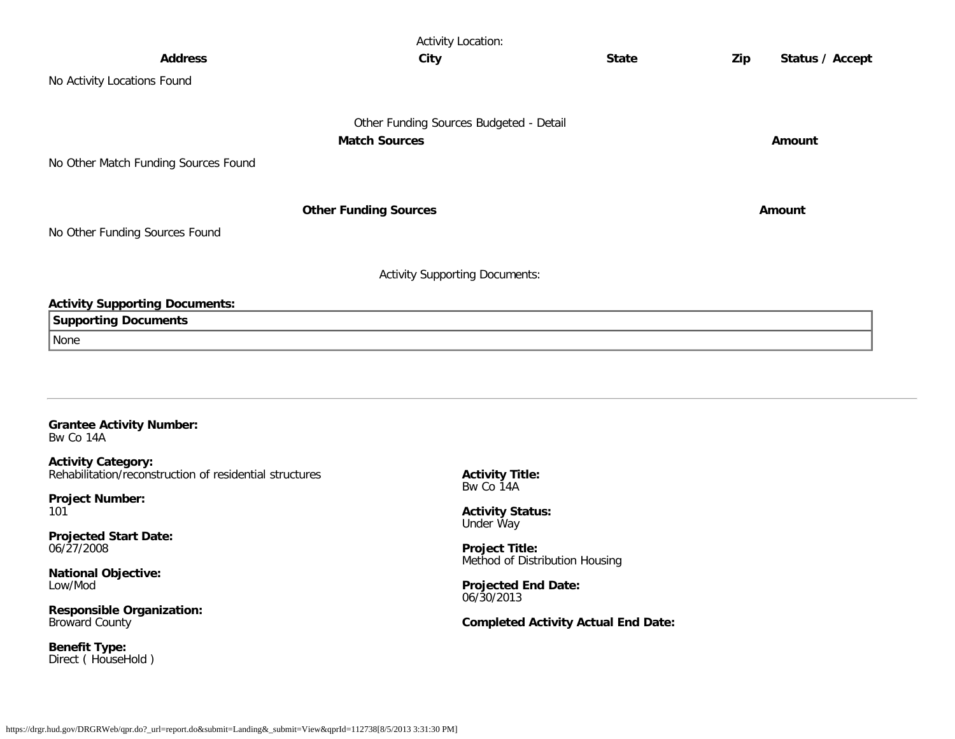| <b>Activity Location:</b>             |                                         |              |     |                 |  |
|---------------------------------------|-----------------------------------------|--------------|-----|-----------------|--|
| <b>Address</b>                        | City                                    | <b>State</b> | Zip | Status / Accept |  |
| No Activity Locations Found           |                                         |              |     |                 |  |
|                                       | Other Funding Sources Budgeted - Detail |              |     |                 |  |
|                                       | <b>Match Sources</b>                    |              |     | Amount          |  |
| No Other Match Funding Sources Found  |                                         |              |     |                 |  |
|                                       | <b>Other Funding Sources</b>            |              |     | Amount          |  |
| No Other Funding Sources Found        |                                         |              |     |                 |  |
|                                       | <b>Activity Supporting Documents:</b>   |              |     |                 |  |
| <b>Activity Supporting Documents:</b> |                                         |              |     |                 |  |
| <b>Supporting Documents</b>           |                                         |              |     |                 |  |
| None                                  |                                         |              |     |                 |  |
|                                       |                                         |              |     |                 |  |
|                                       |                                         |              |     |                 |  |

#### <span id="page-9-0"></span>**Grantee Activity Number:** Bw Co 14A

**Activity Category:** Rehabilitation/reconstruction of residential structures

**Project Number:** 101

**Projected Start Date:** 06/27/2008

**National Objective:** Low/Mod

**Responsible Organization:** Broward County

**Benefit Type:** Direct ( HouseHold ) **Activity Title:** Bw Co 14A

**Activity Status:** Under Way

**Project Title:** Method of Distribution Housing

**Projected End Date:** 06/30/2013

**Completed Activity Actual End Date:**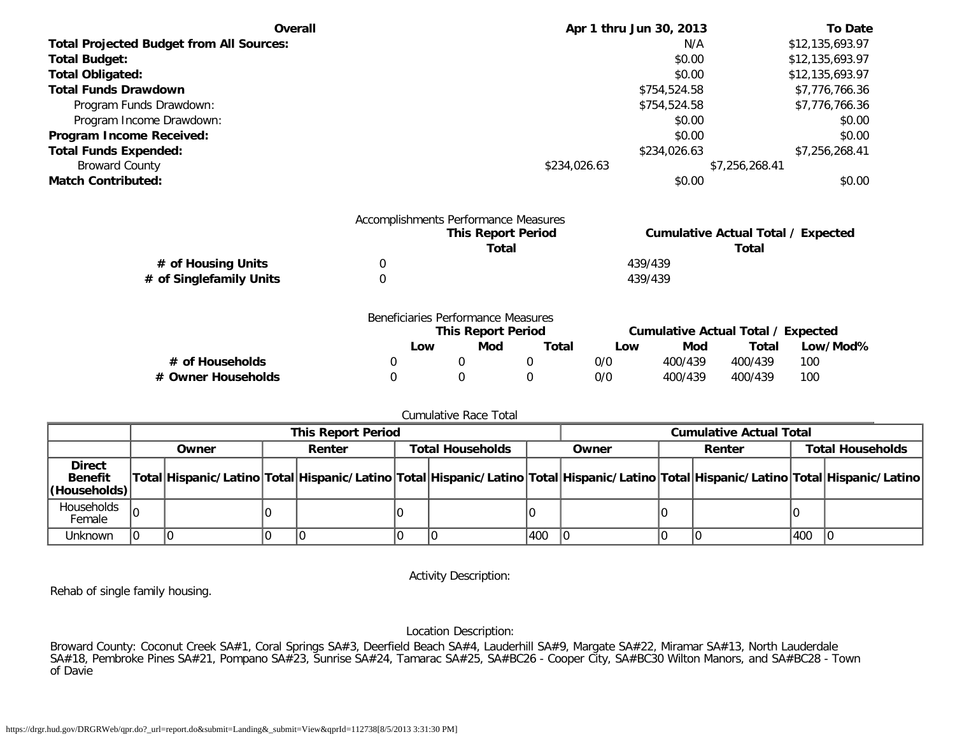| Overall                                         | Apr 1 thru Jun 30, 2013 | <b>To Date</b>  |
|-------------------------------------------------|-------------------------|-----------------|
| <b>Total Projected Budget from All Sources:</b> | N/A                     | \$12,135,693.97 |
| <b>Total Budget:</b>                            | \$0.00                  | \$12,135,693.97 |
| <b>Total Obligated:</b>                         | \$0.00                  | \$12,135,693.97 |
| <b>Total Funds Drawdown</b>                     | \$754,524.58            | \$7,776,766.36  |
| Program Funds Drawdown:                         | \$754,524.58            | \$7,776,766.36  |
| Program Income Drawdown:                        | \$0.00                  | \$0.00          |
| Program Income Received:                        | \$0.00                  | \$0.00          |
| <b>Total Funds Expended:</b>                    | \$234,026.63            | \$7,256,268.41  |
| <b>Broward County</b>                           | \$234,026.63            | \$7,256,268.41  |
| <b>Match Contributed:</b>                       | \$0.00                  | \$0.00          |

|                         | Accomplishments Performance Measures |                                           |
|-------------------------|--------------------------------------|-------------------------------------------|
|                         | <b>This Report Period</b>            | <b>Cumulative Actual Total / Expected</b> |
|                         | Total                                | Total                                     |
| # of Housing Units      |                                      | 439/439                                   |
| # of Singlefamily Units |                                      | 439/439                                   |

|                    | Beneficiaries Performance Measures |                           |       |     |         |                                    |          |
|--------------------|------------------------------------|---------------------------|-------|-----|---------|------------------------------------|----------|
|                    |                                    | <b>This Report Period</b> |       |     |         | Cumulative Actual Total / Expected |          |
|                    | Low                                | Mod                       | Total | Low | Mod     | Total                              | Low/Mod% |
| # of Households    |                                    |                           |       | 0/0 | 400/439 | 400/439                            | 100      |
| # Owner Households |                                    |                           |       | 0/0 | 400/439 | 400/439                            | 100      |

#### Cumulative Race Total

|                                                 | <b>This Report Period</b> |       |  |        |  | <b>Cumulative Actual Total</b> |     |                                                                                                                                     |  |        |     |                         |
|-------------------------------------------------|---------------------------|-------|--|--------|--|--------------------------------|-----|-------------------------------------------------------------------------------------------------------------------------------------|--|--------|-----|-------------------------|
|                                                 |                           | Owner |  | Renter |  | <b>Total Households</b>        |     | Owner                                                                                                                               |  | Renter |     | <b>Total Households</b> |
| <b>Direct</b><br><b>Benefit</b><br>(Households) |                           |       |  |        |  |                                |     | Total Hispanic/Latino Total Hispanic/Latino Total Hispanic/Latino Total Hispanic/Latino Total Hispanic/Latino Total Hispanic/Latino |  |        |     |                         |
| Households<br>Female                            |                           |       |  |        |  |                                |     |                                                                                                                                     |  |        |     |                         |
| Unknown                                         |                           |       |  |        |  |                                | 400 |                                                                                                                                     |  |        | 400 |                         |

Activity Description:

Rehab of single family housing.

Location Description:

Broward County: Coconut Creek SA#1, Coral Springs SA#3, Deerfield Beach SA#4, Lauderhill SA#9, Margate SA#22, Miramar SA#13, North Lauderdale SA#18, Pembroke Pines SA#21, Pompano SA#23, Sunrise SA#24, Tamarac SA#25, SA#BC26 - Cooper City, SA#BC30 Wilton Manors, and SA#BC28 - Town of Davie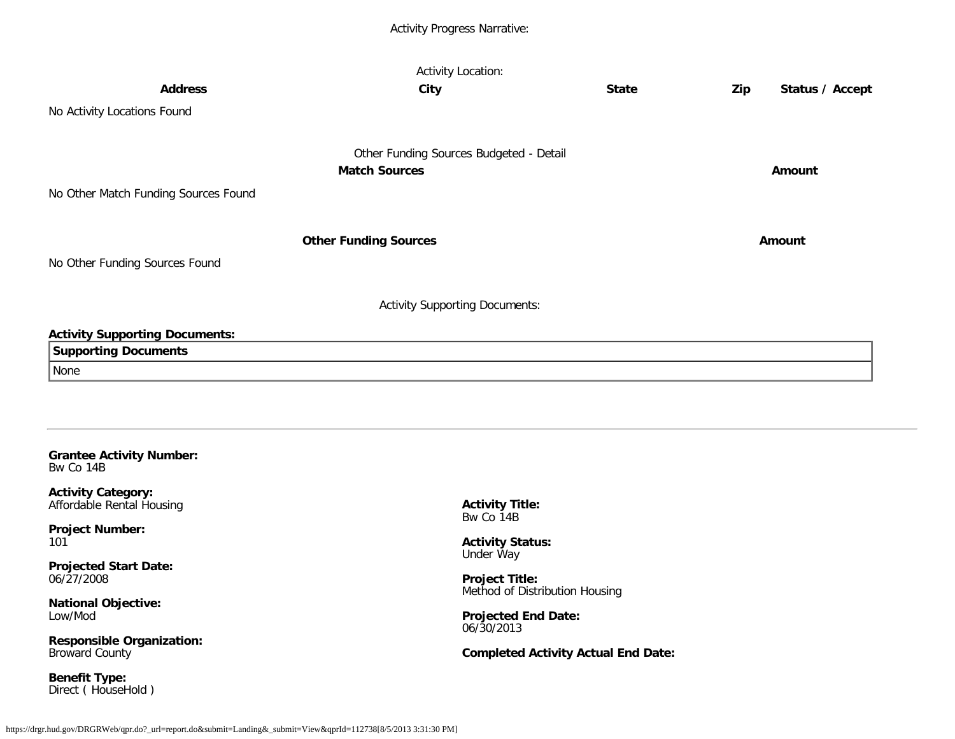## Activity Progress Narrative:

|                                              | <b>Activity Location:</b>               |              |     |                 |
|----------------------------------------------|-----------------------------------------|--------------|-----|-----------------|
| <b>Address</b>                               | City                                    | <b>State</b> | Zip | Status / Accept |
| No Activity Locations Found                  |                                         |              |     |                 |
|                                              |                                         |              |     |                 |
|                                              | Other Funding Sources Budgeted - Detail |              |     |                 |
|                                              | <b>Match Sources</b>                    |              |     | Amount          |
| No Other Match Funding Sources Found         |                                         |              |     |                 |
|                                              |                                         |              |     |                 |
|                                              | <b>Other Funding Sources</b>            |              |     | Amount          |
| No Other Funding Sources Found               |                                         |              |     |                 |
|                                              |                                         |              |     |                 |
|                                              | <b>Activity Supporting Documents:</b>   |              |     |                 |
| <b>Activity Supporting Documents:</b>        |                                         |              |     |                 |
| <b>Supporting Documents</b>                  |                                         |              |     |                 |
| None                                         |                                         |              |     |                 |
|                                              |                                         |              |     |                 |
|                                              |                                         |              |     |                 |
|                                              |                                         |              |     |                 |
| <b>Grantee Activity Number:</b><br>Bw Co 14B |                                         |              |     |                 |

<span id="page-11-0"></span>**Activity Category:** Affordable Rental Housing

**Project Number:** 101

**Projected Start Date:** 06/27/2008

**National Objective:** Low/Mod

**Responsible Organization:** Broward County

**Benefit Type:** Direct ( HouseHold ) **Activity Title:** Bw Co 14B

**Activity Status:** Under Way

**Project Title:** Method of Distribution Housing

**Projected End Date:** 06/30/2013

**Completed Activity Actual End Date:**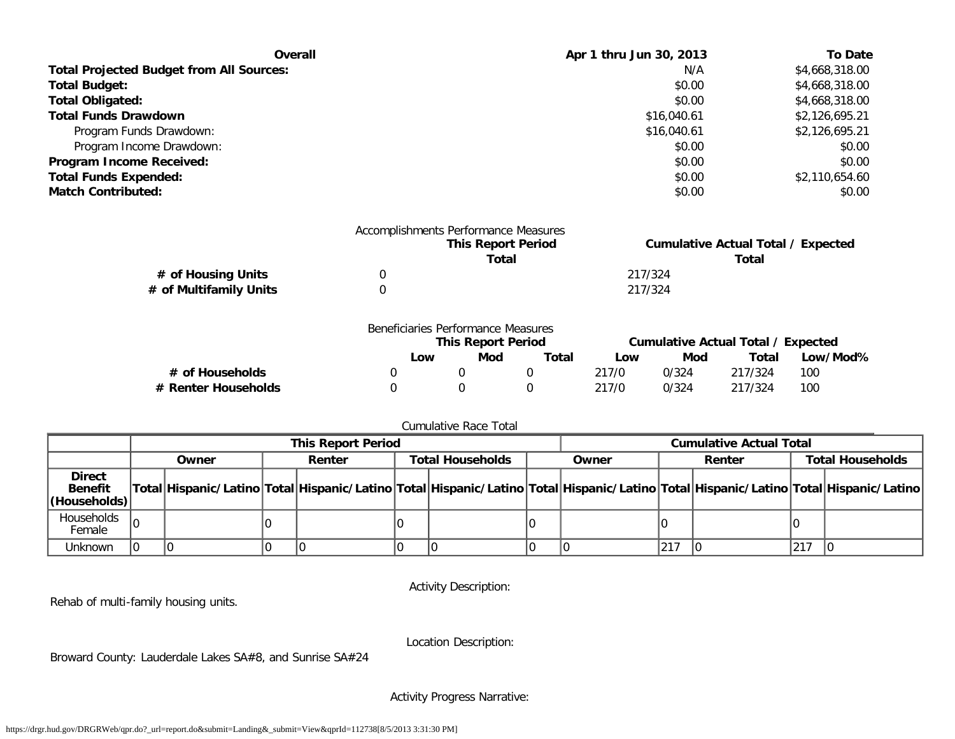| Overall                                         | Apr 1 thru Jun 30, 2013 | <b>To Date</b> |
|-------------------------------------------------|-------------------------|----------------|
| <b>Total Projected Budget from All Sources:</b> | N/A                     | \$4,668,318.00 |
| <b>Total Budget:</b>                            | \$0.00                  | \$4,668,318.00 |
| <b>Total Obligated:</b>                         | \$0.00                  | \$4,668,318.00 |
| <b>Total Funds Drawdown</b>                     | \$16,040.61             | \$2,126,695.21 |
| Program Funds Drawdown:                         | \$16,040.61             | \$2,126,695.21 |
| Program Income Drawdown:                        | \$0.00                  | \$0.00         |
| Program Income Received:                        | \$0.00                  | \$0.00         |
| <b>Total Funds Expended:</b>                    | \$0.00                  | \$2,110,654.60 |
| <b>Match Contributed:</b>                       | \$0.00                  | \$0.00         |

|                        |    | Accomplishments Performance Measures |                                           |
|------------------------|----|--------------------------------------|-------------------------------------------|
|                        |    | <b>This Report Period</b>            | <b>Cumulative Actual Total / Expected</b> |
|                        |    | Total                                | Total                                     |
| # of Housing Units     | 0. |                                      | 217/324                                   |
| # of Multifamily Units |    |                                      | 217/324                                   |
|                        |    |                                      |                                           |

|                     | Beneficiaries Performance Measures |                           |       |       |       |                                    |          |
|---------------------|------------------------------------|---------------------------|-------|-------|-------|------------------------------------|----------|
|                     |                                    | <b>This Report Period</b> |       |       |       | Cumulative Actual Total / Expected |          |
|                     | Low                                | Mod                       | Total | Low   | Mod   | Total                              | Low/Mod% |
| # of Households     |                                    |                           |       | 217/0 | 0/324 | 217/324                            | 100      |
| # Renter Households |                                    |                           |       | 217/0 | 0/324 | 217/324                            | 100      |

## Cumulative Race Total

|                                                 | <b>This Report Period</b> |       |  |        |                         | <b>Cumulative Actual Total</b> |       |                                                                                                                                     |        |  |                         |  |
|-------------------------------------------------|---------------------------|-------|--|--------|-------------------------|--------------------------------|-------|-------------------------------------------------------------------------------------------------------------------------------------|--------|--|-------------------------|--|
|                                                 |                           | Owner |  | Renter | <b>Total Households</b> |                                | Owner |                                                                                                                                     | Renter |  | <b>Total Households</b> |  |
| <b>Direct</b><br><b>Benefit</b><br>(Households) |                           |       |  |        |                         |                                |       | Total Hispanic/Latino Total Hispanic/Latino Total Hispanic/Latino Total Hispanic/Latino Total Hispanic/Latino Total Hispanic/Latino |        |  |                         |  |
| Households<br>Female                            | I٥                        |       |  |        |                         |                                |       |                                                                                                                                     |        |  |                         |  |
| Unknown                                         |                           |       |  |        |                         |                                |       |                                                                                                                                     | 217    |  | 217                     |  |

Activity Description:

Rehab of multi-family housing units.

Location Description:

Broward County: Lauderdale Lakes SA#8, and Sunrise SA#24

Activity Progress Narrative: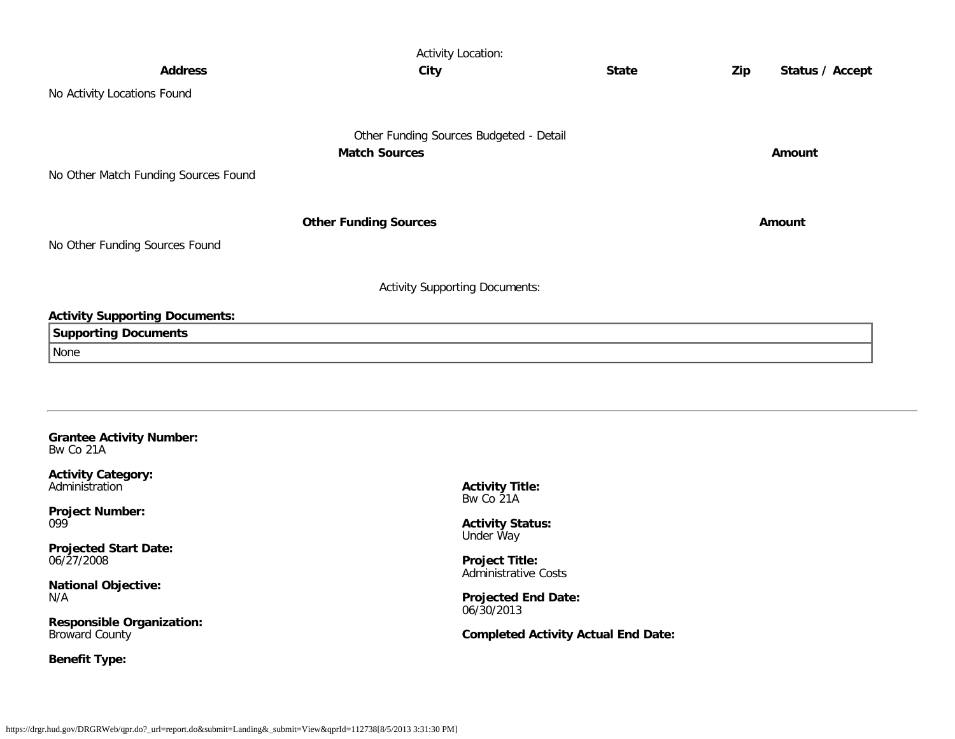|                                              | <b>Activity Location:</b>                                           |              |                        |
|----------------------------------------------|---------------------------------------------------------------------|--------------|------------------------|
| <b>Address</b>                               | City                                                                | <b>State</b> | Status / Accept<br>Zip |
| No Activity Locations Found                  |                                                                     |              |                        |
|                                              | Other Funding Sources Budgeted - Detail                             |              |                        |
|                                              | <b>Match Sources</b>                                                |              | Amount                 |
| No Other Match Funding Sources Found         |                                                                     |              |                        |
|                                              |                                                                     |              |                        |
|                                              | <b>Other Funding Sources</b>                                        |              | Amount                 |
| No Other Funding Sources Found               |                                                                     |              |                        |
|                                              |                                                                     |              |                        |
|                                              | <b>Activity Supporting Documents:</b>                               |              |                        |
| <b>Activity Supporting Documents:</b>        |                                                                     |              |                        |
| <b>Supporting Documents</b>                  |                                                                     |              |                        |
| None                                         |                                                                     |              |                        |
|                                              |                                                                     |              |                        |
|                                              |                                                                     |              |                        |
|                                              |                                                                     |              |                        |
| <b>Grantee Activity Number:</b><br>Bw Co 21A |                                                                     |              |                        |
| <b>Activity Category:</b><br>Administration  | <b>Activity Title:</b><br>$D_{11}$ , $D_{22}$ , $D_{13}$ , $D_{14}$ |              |                        |

<span id="page-13-0"></span>**Project Number:** 099

**Projected Start Date:** 06/27/2008

**National Objective:** N/A

**Responsible Organization:** Broward County

**Benefit Type:**

Bw Co 21A

**Activity Status:** Under Way

**Project Title:** Administrative Costs

**Projected End Date:** 06/30/2013

**Completed Activity Actual End Date:**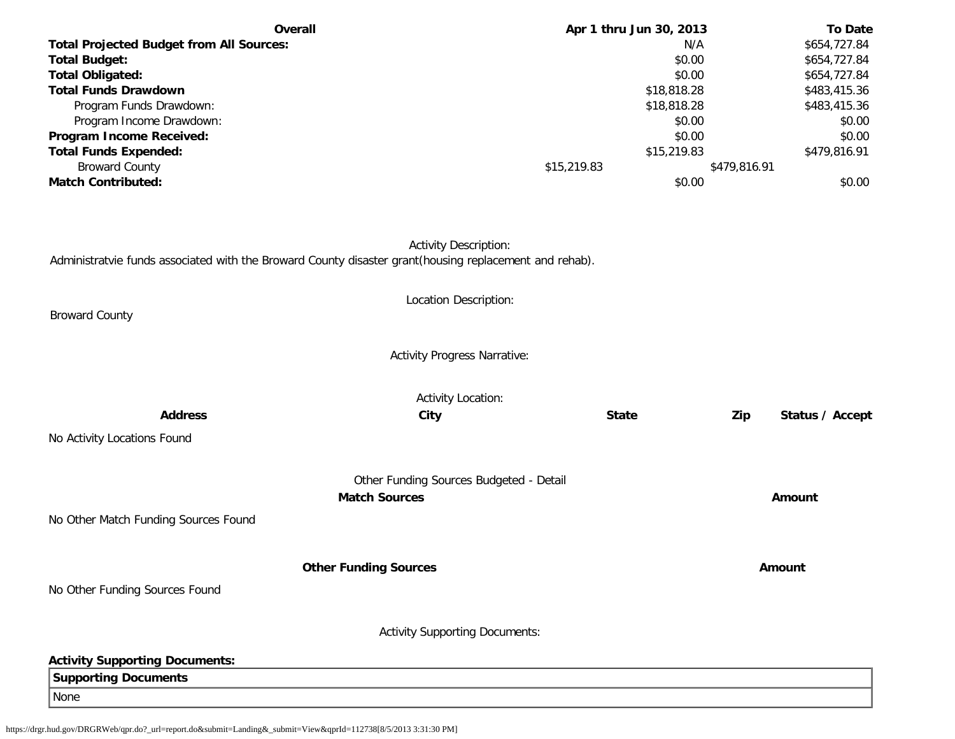| Overall                                         | Apr 1 thru Jun 30, 2013 | <b>To Date</b> |
|-------------------------------------------------|-------------------------|----------------|
| <b>Total Projected Budget from All Sources:</b> | N/A                     | \$654,727.84   |
| <b>Total Budget:</b>                            | \$0.00                  | \$654,727.84   |
| <b>Total Obligated:</b>                         | \$0.00                  | \$654,727.84   |
| <b>Total Funds Drawdown</b>                     | \$18,818.28             | \$483,415.36   |
| Program Funds Drawdown:                         | \$18,818.28             | \$483,415.36   |
| Program Income Drawdown:                        | \$0.00                  | \$0.00         |
| Program Income Received:                        | \$0.00                  | \$0.00         |
| <b>Total Funds Expended:</b>                    | \$15,219.83             | \$479,816.91   |
| <b>Broward County</b>                           | \$15,219.83             | \$479,816.91   |
| <b>Match Contributed:</b>                       | \$0.00                  | \$0.00         |

Activity Description:

Administratvie funds associated with the Broward County disaster grant(housing replacement and rehab).

|                                       | Location Description:                                           |              |                        |
|---------------------------------------|-----------------------------------------------------------------|--------------|------------------------|
| <b>Broward County</b>                 |                                                                 |              |                        |
|                                       | <b>Activity Progress Narrative:</b>                             |              |                        |
|                                       | <b>Activity Location:</b>                                       |              |                        |
| <b>Address</b>                        | City                                                            | <b>State</b> | Zip<br>Status / Accept |
| No Activity Locations Found           |                                                                 |              |                        |
|                                       |                                                                 |              |                        |
|                                       | Other Funding Sources Budgeted - Detail<br><b>Match Sources</b> |              | Amount                 |
| No Other Match Funding Sources Found  |                                                                 |              |                        |
|                                       | <b>Other Funding Sources</b>                                    |              | Amount                 |
| No Other Funding Sources Found        |                                                                 |              |                        |
|                                       | <b>Activity Supporting Documents:</b>                           |              |                        |
|                                       |                                                                 |              |                        |
| <b>Activity Supporting Documents:</b> |                                                                 |              |                        |
| <b>Supporting Documents</b>           |                                                                 |              |                        |
| None                                  |                                                                 |              |                        |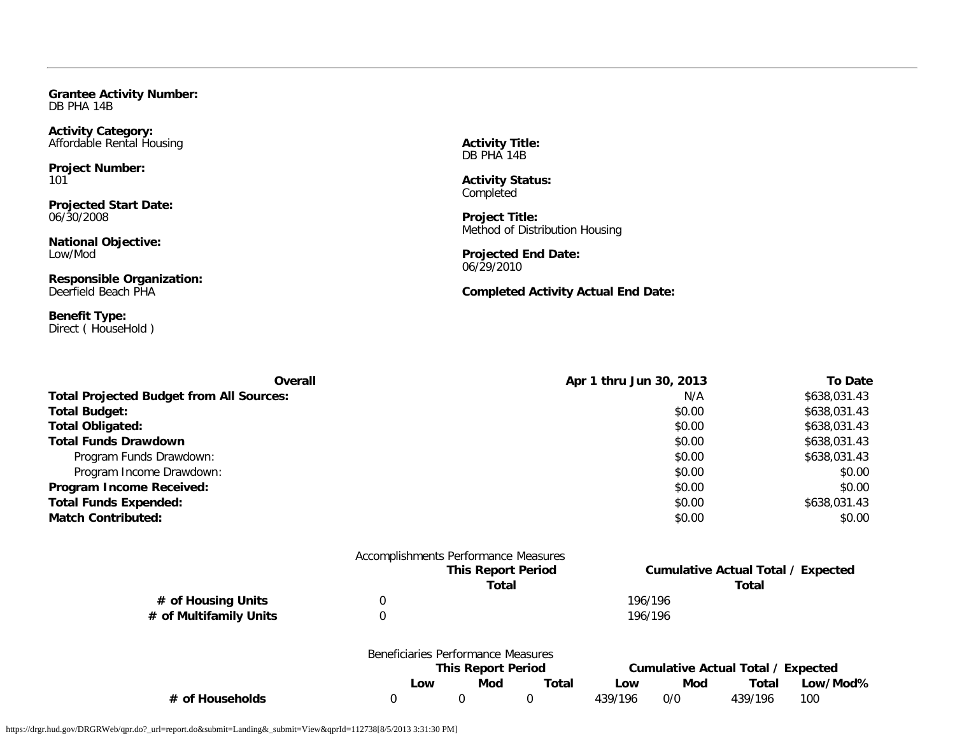<span id="page-15-0"></span>**Grantee Activity Number:** DB PHA 14B

**Activity Category:** Affordable Rental Housing

**Project Number:** 101

**Projected Start Date:** 06/30/2008

**National Objective:** Low/Mod

**Responsible Organization:** Deerfield Beach PHA

**Benefit Type:** Direct ( HouseHold ) **Activity Title:** DB PHA 14B

**Activity Status: Completed** 

**Project Title:** Method of Distribution Housing

**Projected End Date:** 06/29/2010

**Completed Activity Actual End Date:**

| <b>Overall</b>                                  | Apr 1 thru Jun 30, 2013 | <b>To Date</b> |
|-------------------------------------------------|-------------------------|----------------|
| <b>Total Projected Budget from All Sources:</b> | N/A                     | \$638,031.43   |
| <b>Total Budget:</b>                            | \$0.00                  | \$638,031.43   |
| <b>Total Obligated:</b>                         | \$0.00                  | \$638,031.43   |
| <b>Total Funds Drawdown</b>                     | \$0.00                  | \$638,031.43   |
| Program Funds Drawdown:                         | \$0.00                  | \$638,031.43   |
| Program Income Drawdown:                        | \$0.00                  | \$0.00         |
| Program Income Received:                        | \$0.00                  | \$0.00         |
| <b>Total Funds Expended:</b>                    | \$0.00                  | \$638,031.43   |
| <b>Match Contributed:</b>                       | \$0.00                  | \$0.00         |
| Accomplishments Performance Measures            |                         |                |

|                        | <b>NUCCUTING BILIOT CITOLITIQITICO INICUSUL CS</b> |                           |       |         |         |                                           |          |
|------------------------|----------------------------------------------------|---------------------------|-------|---------|---------|-------------------------------------------|----------|
|                        |                                                    | <b>This Report Period</b> |       |         |         | <b>Cumulative Actual Total / Expected</b> |          |
|                        |                                                    | Total                     |       |         |         | Total                                     |          |
| # of Housing Units     |                                                    |                           |       |         | 196/196 |                                           |          |
| # of Multifamily Units |                                                    |                           |       |         | 196/196 |                                           |          |
|                        | Beneficiaries Performance Measures                 |                           |       |         |         |                                           |          |
|                        |                                                    | <b>This Report Period</b> |       |         |         | <b>Cumulative Actual Total / Expected</b> |          |
|                        | Low                                                | Mod                       | Total | Low     | Mod     | Total                                     | Low/Mod% |
| # of Households        |                                                    |                           |       | 439/196 | 0/0     | 439/196                                   | 100      |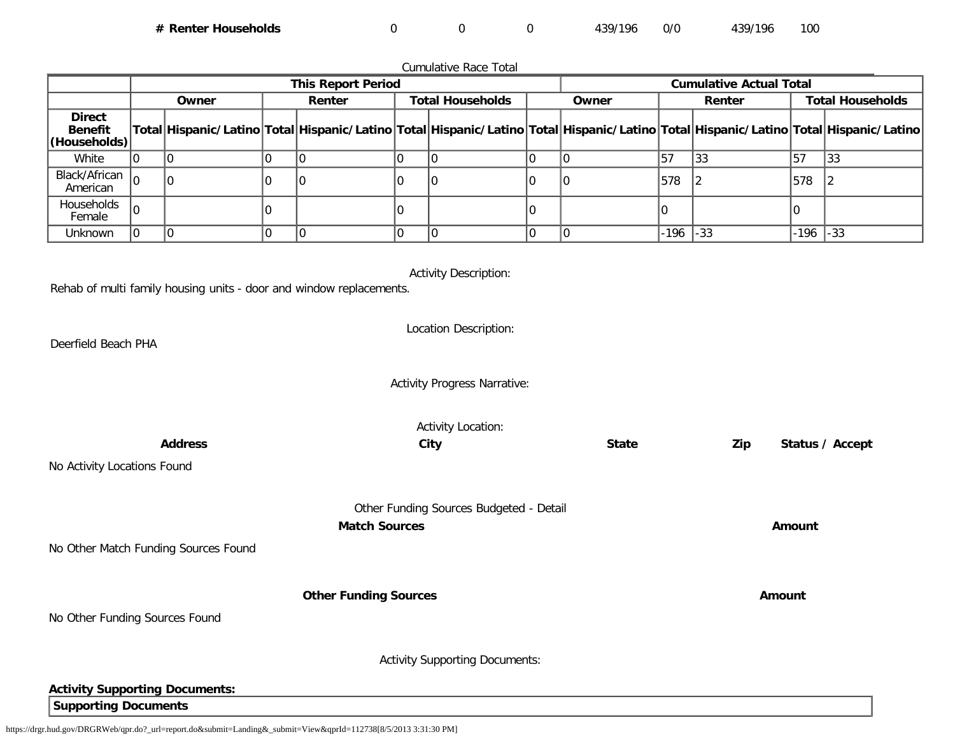**# Renter Households** 0 0 0 439/196 0/0 439/196 100

Cumulative Race Total **This Report Period Cumulative Actual Total Owner Renter Total Households Owner Renter Total Households Direct Benefit (Households) Total Hispanic/Latino Total Hispanic/Latino Total Hispanic/Latino Total Hispanic/Latino Total Hispanic/Latino Total Hispanic/Latino** White |0 |0 |0 |0 |0 |0 |0 |0 |0 |0 |0 |57 |33 |57 |33 Black/African<br>American ack/Affican |0 |0 |0 |0 |0 |0 |0 |0 |0 |0 |0 |578 |2 |578 |2 Households<br>Female Female <sup>0</sup> <sup>0</sup> <sup>0</sup> <sup>0</sup> <sup>0</sup> <sup>0</sup> Unknown 0 0 0 0 0 0 0 0 -196 -33 -196 -33 Activity Description: Rehab of multi family housing units - door and window replacements. Location Description: Deerfield Beach PHA Activity Progress Narrative: Activity Location: **Address City State Zip Status / Accept** No Activity Locations Found Other Funding Sources Budgeted - Detail **Match Sources Amount** No Other Match Funding Sources Found **Other Funding Sources Amount Amount Amount** No Other Funding Sources Found Activity Supporting Documents: **Activity Supporting Documents: Supporting Documents**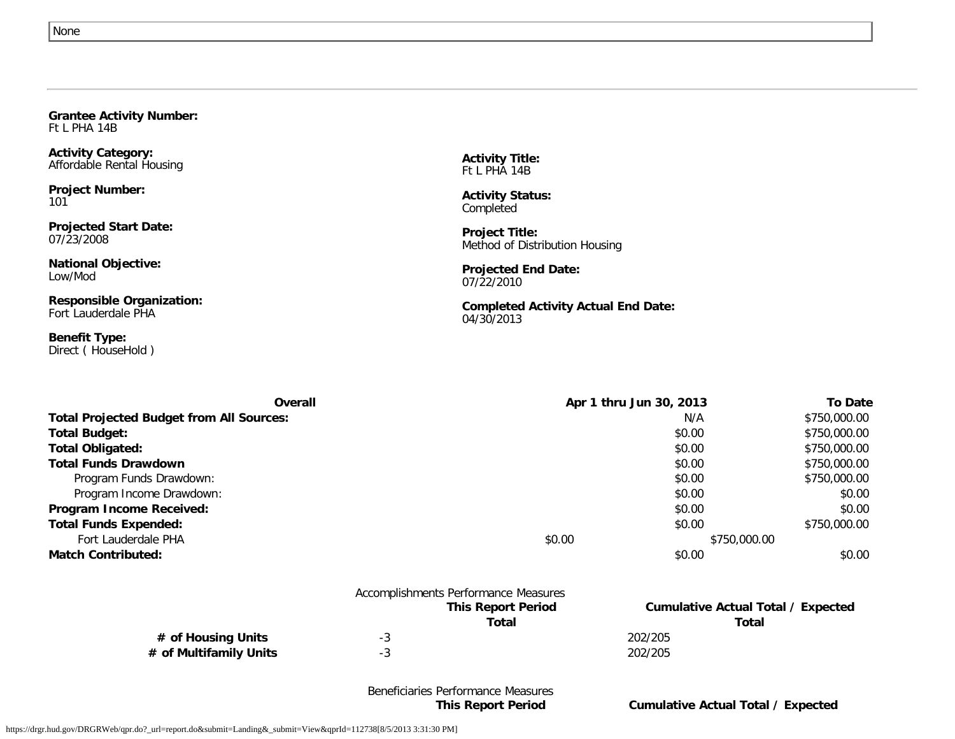<span id="page-17-0"></span>

| Ft L PHA 14B                                           |  |
|--------------------------------------------------------|--|
| <b>Activity Category:</b><br>Affordable Rental Housing |  |
| <b>Project Number:</b><br>101                          |  |
| <b>Projected Start Date:</b><br>07/23/2008             |  |

**National Objective:** Low/Mod

**Responsible Organization:** Fort Lauderdale PHA

**Grantee Activity Number:**

**Benefit Type:** Direct ( HouseHold )

**Activity Title:** Ft L PHA 14B

**Activity Status:** Completed

**Project Title:** Method of Distribution Housing

**Projected End Date:** 07/22/2010

**Completed Activity Actual End Date:** 04/30/2013

| Overall                                         |        | Apr 1 thru Jun 30, 2013 | <b>To Date</b> |
|-------------------------------------------------|--------|-------------------------|----------------|
| <b>Total Projected Budget from All Sources:</b> |        | N/A                     | \$750,000.00   |
| <b>Total Budget:</b>                            |        | \$0.00                  | \$750,000.00   |
| <b>Total Obligated:</b>                         |        | \$0.00                  | \$750,000.00   |
| <b>Total Funds Drawdown</b>                     |        | \$0.00                  | \$750,000.00   |
| Program Funds Drawdown:                         |        | \$0.00                  | \$750,000.00   |
| Program Income Drawdown:                        |        | \$0.00                  | \$0.00         |
| Program Income Received:                        |        | \$0.00                  | \$0.00         |
| <b>Total Funds Expended:</b>                    |        | \$0.00                  | \$750,000.00   |
| Fort Lauderdale PHA                             | \$0.00 | \$750,000.00            |                |
| <b>Match Contributed:</b>                       |        | \$0.00                  | \$0.00         |

|                        |    | Accomplishments Performance Measures |         |                                           |
|------------------------|----|--------------------------------------|---------|-------------------------------------------|
|                        |    | <b>This Report Period</b>            |         | <b>Cumulative Actual Total / Expected</b> |
|                        |    | Total                                |         | Total                                     |
| # of Housing Units     | -3 |                                      | 202/205 |                                           |
| # of Multifamily Units |    |                                      | 202/205 |                                           |
|                        |    |                                      |         |                                           |

Beneficiaries Performance Measures

**This Report Period Cumulative Actual Total / Expected**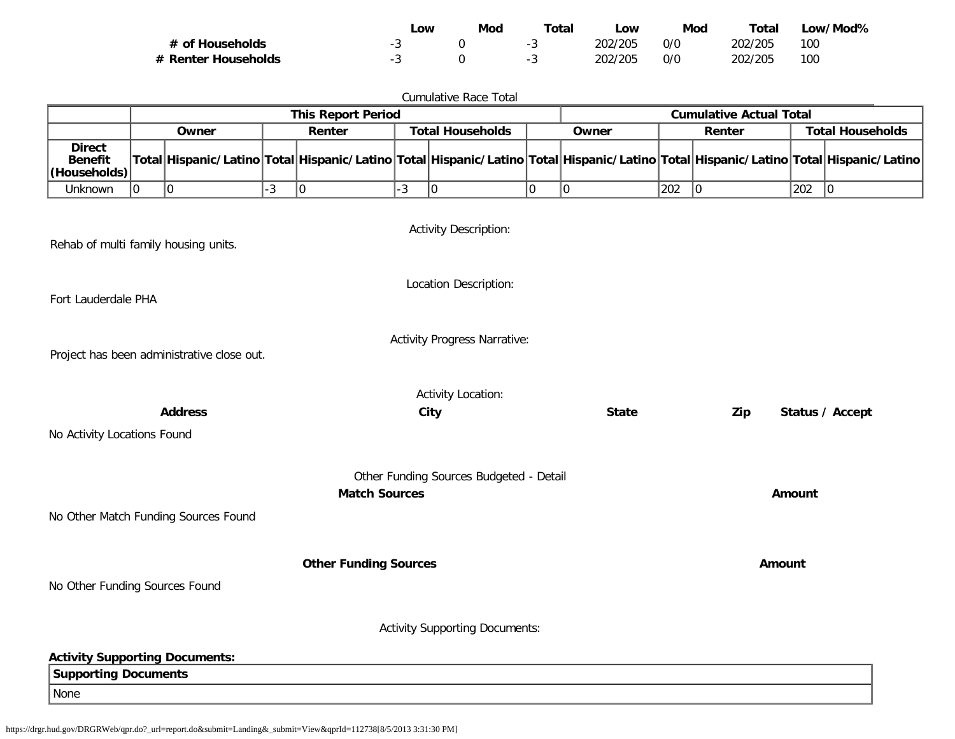|                     | ∟ow | Mod | Total | _OW     | Mod | Total   | Low/Mod% |
|---------------------|-----|-----|-------|---------|-----|---------|----------|
| # of Households     |     |     |       | 202/205 | 0/0 | 202/205 | 100      |
| # Renter Households |     |     |       | 202/205 | 0/0 | 202/205 | 100      |

|                                                                                               |                                                                                   |                                      |                                            |                                                                                                                                     |      | <b>Cumulative Race Total</b>            |             |              |     |                         |               |                 |
|-----------------------------------------------------------------------------------------------|-----------------------------------------------------------------------------------|--------------------------------------|--------------------------------------------|-------------------------------------------------------------------------------------------------------------------------------------|------|-----------------------------------------|-------------|--------------|-----|-------------------------|---------------|-----------------|
|                                                                                               | <b>This Report Period</b><br><b>Cumulative Actual Total</b>                       |                                      |                                            |                                                                                                                                     |      |                                         |             |              |     |                         |               |                 |
|                                                                                               |                                                                                   | Owner                                | Renter<br><b>Total Households</b><br>Owner |                                                                                                                                     |      |                                         |             | Renter       |     | <b>Total Households</b> |               |                 |
| <b>Direct</b><br><b>Benefit</b><br>(Households)                                               |                                                                                   |                                      |                                            | Total Hispanic/Latino Total Hispanic/Latino Total Hispanic/Latino Total Hispanic/Latino Total Hispanic/Latino Total Hispanic/Latino |      |                                         |             |              |     |                         |               |                 |
| Unknown                                                                                       | 0                                                                                 | 0                                    | $-3$                                       | $ 0\rangle$                                                                                                                         | $-3$ | 0                                       | $\mathbf 0$ | $ 0\rangle$  | 202 | $ 0\rangle$             | $ 202\rangle$ | $\sqrt{0}$      |
| <b>Activity Description:</b><br>Rehab of multi family housing units.<br>Location Description: |                                                                                   |                                      |                                            |                                                                                                                                     |      |                                         |             |              |     |                         |               |                 |
| Fort Lauderdale PHA                                                                           |                                                                                   |                                      |                                            |                                                                                                                                     |      |                                         |             |              |     |                         |               |                 |
|                                                                                               | <b>Activity Progress Narrative:</b><br>Project has been administrative close out. |                                      |                                            |                                                                                                                                     |      |                                         |             |              |     |                         |               |                 |
|                                                                                               |                                                                                   |                                      |                                            |                                                                                                                                     |      | <b>Activity Location:</b>               |             |              |     |                         |               |                 |
|                                                                                               |                                                                                   | <b>Address</b>                       |                                            |                                                                                                                                     |      | City                                    |             | <b>State</b> |     | Zip                     |               | Status / Accept |
| No Activity Locations Found                                                                   |                                                                                   |                                      |                                            |                                                                                                                                     |      |                                         |             |              |     |                         |               |                 |
|                                                                                               |                                                                                   |                                      |                                            |                                                                                                                                     |      |                                         |             |              |     |                         |               |                 |
|                                                                                               |                                                                                   | No Other Match Funding Sources Found |                                            | <b>Match Sources</b>                                                                                                                |      | Other Funding Sources Budgeted - Detail |             |              |     |                         | Amount        |                 |
|                                                                                               |                                                                                   |                                      |                                            |                                                                                                                                     |      |                                         |             |              |     |                         |               |                 |
|                                                                                               |                                                                                   |                                      |                                            | <b>Other Funding Sources</b>                                                                                                        |      |                                         |             |              |     | Amount                  |               |                 |
| No Other Funding Sources Found                                                                |                                                                                   |                                      |                                            |                                                                                                                                     |      |                                         |             |              |     |                         |               |                 |
|                                                                                               | <b>Activity Supporting Documents:</b>                                             |                                      |                                            |                                                                                                                                     |      |                                         |             |              |     |                         |               |                 |
| <b>Activity Supporting Documents:</b>                                                         |                                                                                   |                                      |                                            |                                                                                                                                     |      |                                         |             |              |     |                         |               |                 |
| <b>Supporting Documents</b>                                                                   |                                                                                   |                                      |                                            |                                                                                                                                     |      |                                         |             |              |     |                         |               |                 |
| None                                                                                          |                                                                                   |                                      |                                            |                                                                                                                                     |      |                                         |             |              |     |                         |               |                 |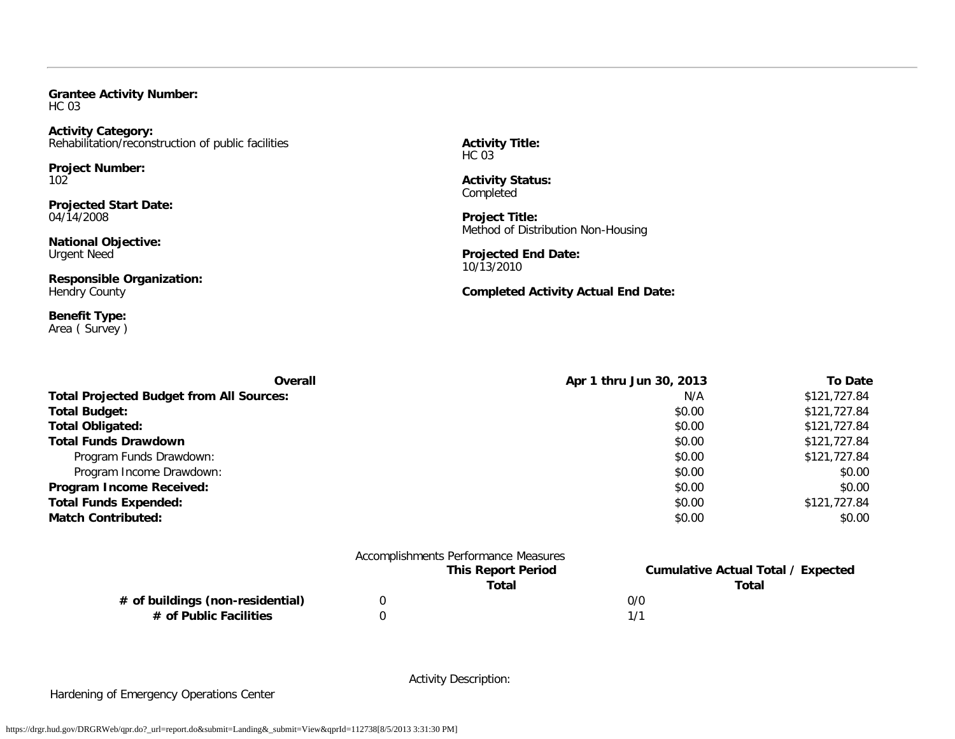<span id="page-19-0"></span>**Grantee Activity Number:** HC 03

**Activity Category:** Rehabilitation/reconstruction of public facilities

**Project Number:** 102

**Projected Start Date:** 04/14/2008

**National Objective:** Urgent Need

**Responsible Organization:** Hendry County

**Benefit Type:** Area ( Survey ) **Activity Title:** HC 03

**Activity Status: Completed** 

**Project Title:** Method of Distribution Non-Housing

**Projected End Date:** 10/13/2010

**Completed Activity Actual End Date:**

| <b>Overall</b>                                  | Apr 1 thru Jun 30, 2013 | <b>To Date</b> |
|-------------------------------------------------|-------------------------|----------------|
| <b>Total Projected Budget from All Sources:</b> | N/A                     | \$121,727.84   |
| <b>Total Budget:</b>                            | \$0.00                  | \$121,727.84   |
| <b>Total Obligated:</b>                         | \$0.00                  | \$121,727.84   |
| <b>Total Funds Drawdown</b>                     | \$0.00                  | \$121,727.84   |
| Program Funds Drawdown:                         | \$0.00                  | \$121,727.84   |
| Program Income Drawdown:                        | \$0.00                  | \$0.00         |
| <b>Program Income Received:</b>                 | \$0.00                  | \$0.00         |
| <b>Total Funds Expended:</b>                    | \$0.00                  | \$121,727.84   |
| <b>Match Contributed:</b>                       | \$0.00                  | \$0.00         |

|                                  | Accomplishments Performance Measures |     |                                    |
|----------------------------------|--------------------------------------|-----|------------------------------------|
|                                  | <b>This Report Period</b>            |     | Cumulative Actual Total / Expected |
|                                  | Total                                |     | Total                              |
| # of buildings (non-residential) |                                      | 0/0 |                                    |
| # of Public Facilities           |                                      | 1/1 |                                    |
|                                  |                                      |     |                                    |

Hardening of Emergency Operations Center

Activity Description: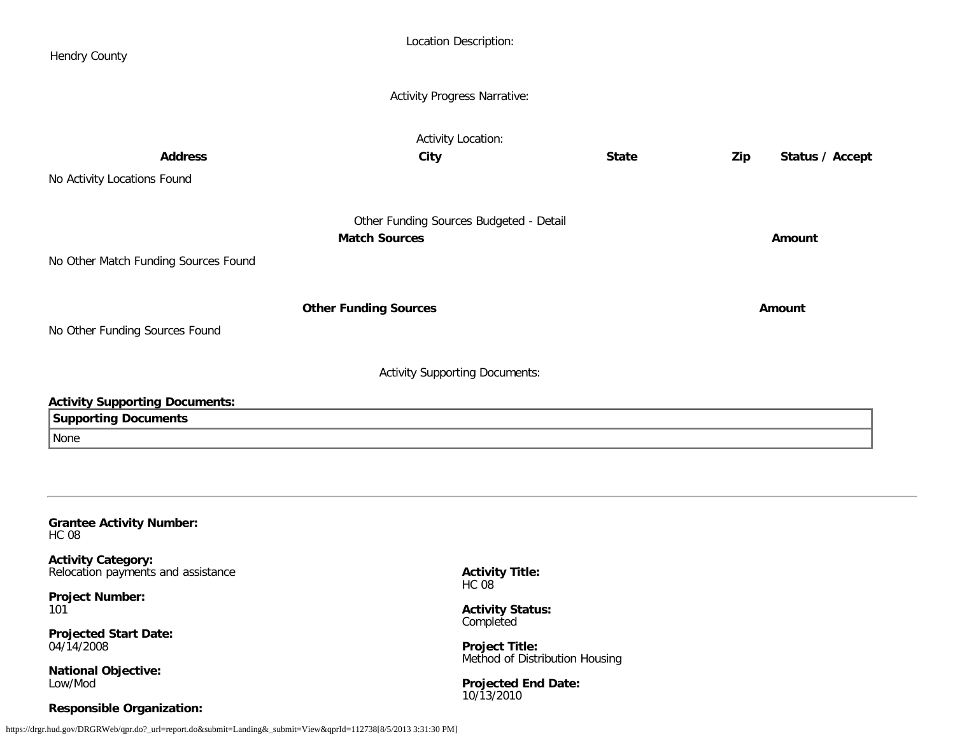<span id="page-20-0"></span>

| <b>Hendry County</b>                                                     |                              | Location Description:                                   |              |     |                 |
|--------------------------------------------------------------------------|------------------------------|---------------------------------------------------------|--------------|-----|-----------------|
|                                                                          |                              | <b>Activity Progress Narrative:</b>                     |              |     |                 |
| <b>Address</b><br>No Activity Locations Found                            | City                         | <b>Activity Location:</b>                               | <b>State</b> | Zip | Status / Accept |
| No Other Match Funding Sources Found                                     | <b>Match Sources</b>         | Other Funding Sources Budgeted - Detail                 |              |     | Amount          |
| No Other Funding Sources Found                                           | <b>Other Funding Sources</b> |                                                         |              |     | Amount          |
| <b>Activity Supporting Documents:</b>                                    |                              | <b>Activity Supporting Documents:</b>                   |              |     |                 |
| <b>Supporting Documents</b><br>None                                      |                              |                                                         |              |     |                 |
| <b>Grantee Activity Number:</b><br><b>HC 08</b>                          |                              |                                                         |              |     |                 |
| <b>Activity Category:</b><br>Relocation payments and assistance          |                              | <b>Activity Title:</b><br><b>HC 08</b>                  |              |     |                 |
| <b>Project Number:</b><br>101                                            |                              | <b>Activity Status:</b><br>Completed                    |              |     |                 |
| <b>Projected Start Date:</b><br>04/14/2008<br><b>National Objective:</b> |                              | <b>Project Title:</b><br>Method of Distribution Housing |              |     |                 |
| Low/Mod<br><b>Responsible Organization:</b>                              |                              | <b>Projected End Date:</b><br>10/13/2010                |              |     |                 |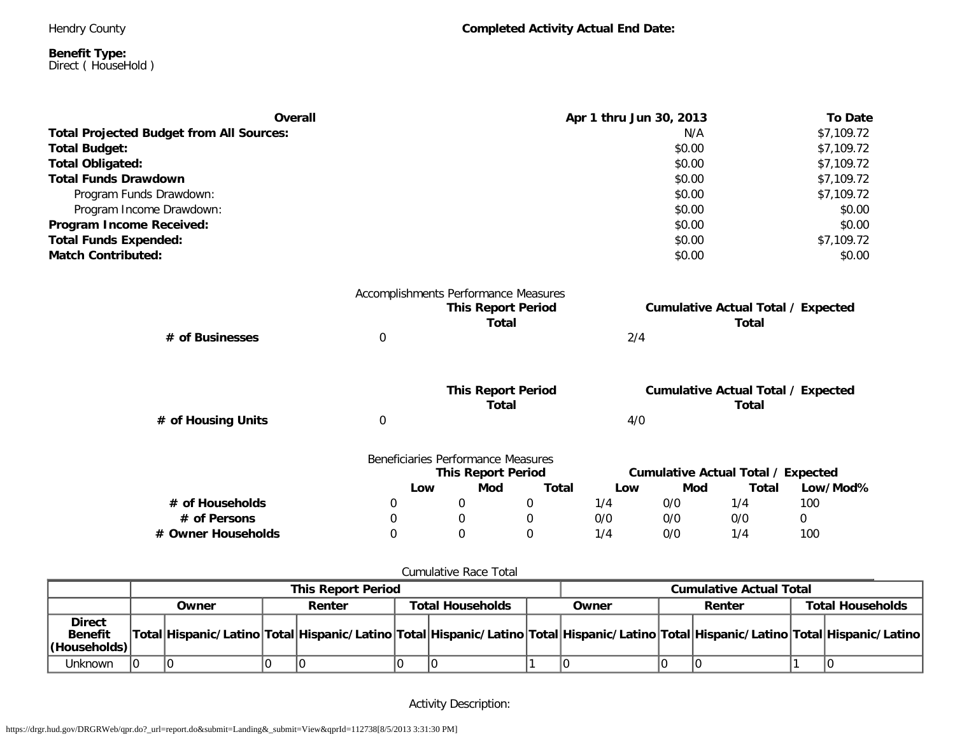Hendry County

**Completed Activity Actual End Date:**

#### **Benefit Type:** Direct ( HouseHold )

| <b>Overall</b>                                  |   | Apr 1 thru Jun 30, 2013              |                           |              |     |        |                                                           |            |
|-------------------------------------------------|---|--------------------------------------|---------------------------|--------------|-----|--------|-----------------------------------------------------------|------------|
| <b>Total Projected Budget from All Sources:</b> |   |                                      |                           |              |     | N/A    |                                                           | \$7,109.72 |
| <b>Total Budget:</b>                            |   |                                      |                           |              |     | \$0.00 |                                                           | \$7,109.72 |
| Total Obligated:                                |   |                                      |                           |              |     | \$0.00 |                                                           | \$7,109.72 |
| <b>Total Funds Drawdown</b>                     |   |                                      |                           |              |     | \$0.00 |                                                           | \$7,109.72 |
| Program Funds Drawdown:                         |   |                                      |                           |              |     | \$0.00 |                                                           | \$7,109.72 |
| Program Income Drawdown:                        |   |                                      |                           |              |     | \$0.00 |                                                           | \$0.00     |
| Program Income Received:                        |   |                                      |                           |              |     | \$0.00 |                                                           | \$0.00     |
| <b>Total Funds Expended:</b>                    |   |                                      |                           |              |     | \$0.00 |                                                           | \$7,109.72 |
| <b>Match Contributed:</b>                       |   |                                      |                           |              |     | \$0.00 |                                                           | \$0.00     |
|                                                 |   | Accomplishments Performance Measures |                           |              |     |        |                                                           |            |
|                                                 |   |                                      | <b>This Report Period</b> |              |     |        | <b>Cumulative Actual Total / Expected</b>                 |            |
|                                                 |   |                                      | <b>Total</b>              |              |     |        | <b>Total</b>                                              |            |
| # of Businesses                                 | 0 |                                      |                           |              | 2/4 |        |                                                           |            |
|                                                 |   |                                      | <b>This Report Period</b> |              |     |        |                                                           |            |
|                                                 |   |                                      | <b>Total</b>              |              |     |        | <b>Cumulative Actual Total / Expected</b><br><b>Total</b> |            |
| # of Housing Units                              | 0 |                                      |                           |              | 4/0 |        |                                                           |            |
|                                                 |   | Beneficiaries Performance Measures   |                           |              |     |        |                                                           |            |
|                                                 |   |                                      | <b>This Report Period</b> |              |     |        | <b>Cumulative Actual Total / Expected</b>                 |            |
|                                                 |   | Low                                  | Mod                       | <b>Total</b> | Low | Mod    | <b>Total</b>                                              | Low/Mod%   |
| # of Households                                 | 0 | 0                                    |                           | $\mathbf 0$  | 1/4 | 0/0    | 1/4                                                       | 100        |
| # of Persons                                    | 0 | $\mathbf 0$                          |                           | 0            | 0/0 | 0/0    | 0/0                                                       | 0          |
| # Owner Households                              | 0 | $\Omega$                             |                           | $\Omega$     | 1/4 | 0/0    | 1/4                                                       | 100        |
|                                                 |   |                                      |                           |              |     |        |                                                           |            |

## Cumulative Race Total

|                                                  | <b>This Report Period</b> |       |  |                                   |  |       |  | <b>Cumulative Actual Total</b>                                                                                                      |  |                         |  |  |
|--------------------------------------------------|---------------------------|-------|--|-----------------------------------|--|-------|--|-------------------------------------------------------------------------------------------------------------------------------------|--|-------------------------|--|--|
|                                                  |                           | Owner |  | <b>Total Households</b><br>Renter |  | Owner |  | Renter                                                                                                                              |  | <b>Total Households</b> |  |  |
| <b>Direct</b><br><b>Benefit</b><br> (Households) |                           |       |  |                                   |  |       |  | Total Hispanic/Latino Total Hispanic/Latino Total Hispanic/Latino Total Hispanic/Latino Total Hispanic/Latino Total Hispanic/Latino |  |                         |  |  |
| Unknown                                          |                           |       |  |                                   |  |       |  |                                                                                                                                     |  |                         |  |  |

Activity Description: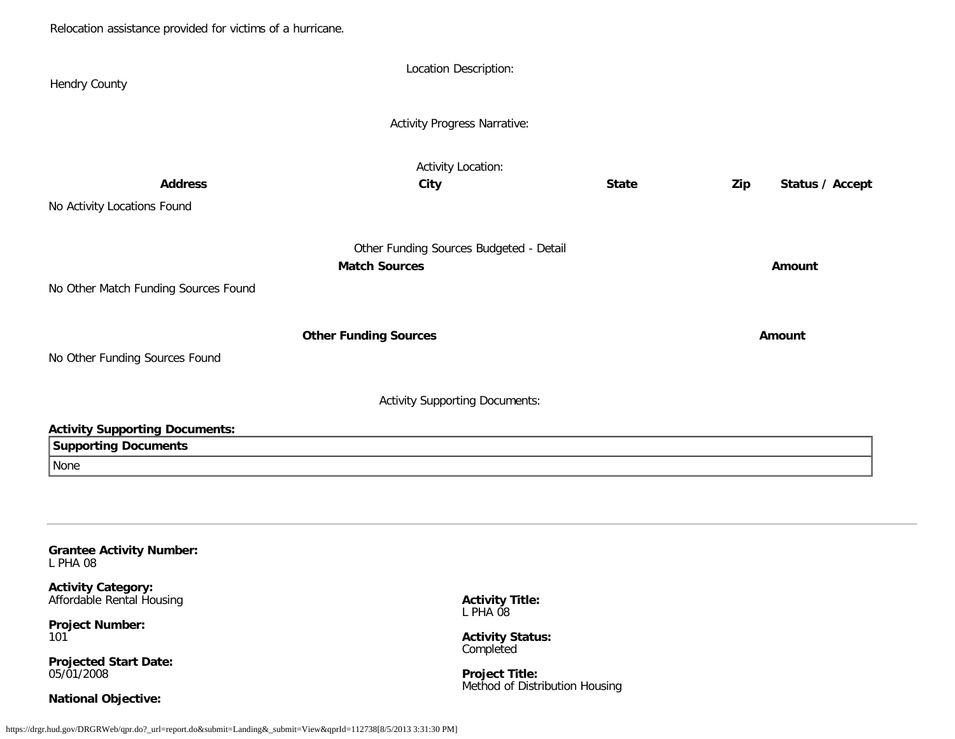Relocation assistance provided for victims of a hurricane.

| <b>Hendry County</b>                                                                                                                   | Location Description:                                           |              |                        |
|----------------------------------------------------------------------------------------------------------------------------------------|-----------------------------------------------------------------|--------------|------------------------|
|                                                                                                                                        | <b>Activity Progress Narrative:</b>                             |              |                        |
| <b>Address</b><br>No Activity Locations Found                                                                                          | <b>Activity Location:</b><br>City                               | <b>State</b> | Status / Accept<br>Zip |
| No Other Match Funding Sources Found                                                                                                   | Other Funding Sources Budgeted - Detail<br><b>Match Sources</b> |              | Amount                 |
| No Other Funding Sources Found                                                                                                         | <b>Other Funding Sources</b>                                    |              | Amount                 |
|                                                                                                                                        | <b>Activity Supporting Documents:</b>                           |              |                        |
| <b>Activity Supporting Documents:</b><br><b>Supporting Documents</b><br>None                                                           |                                                                 |              |                        |
| <b>Grantee Activity Number:</b><br>L PHA 08<br><b>Activity Category:</b><br>Affordable Rental Housing<br><b>Project Number:</b><br>101 | <b>Activity Title:</b><br>L PHA 08<br><b>Activity Status:</b>   |              |                        |

<span id="page-22-0"></span>**Projected Start Date:** 05/01/2008

**National Objective:**

**Activity Status:** Completed

**Project Title:** Method of Distribution Housing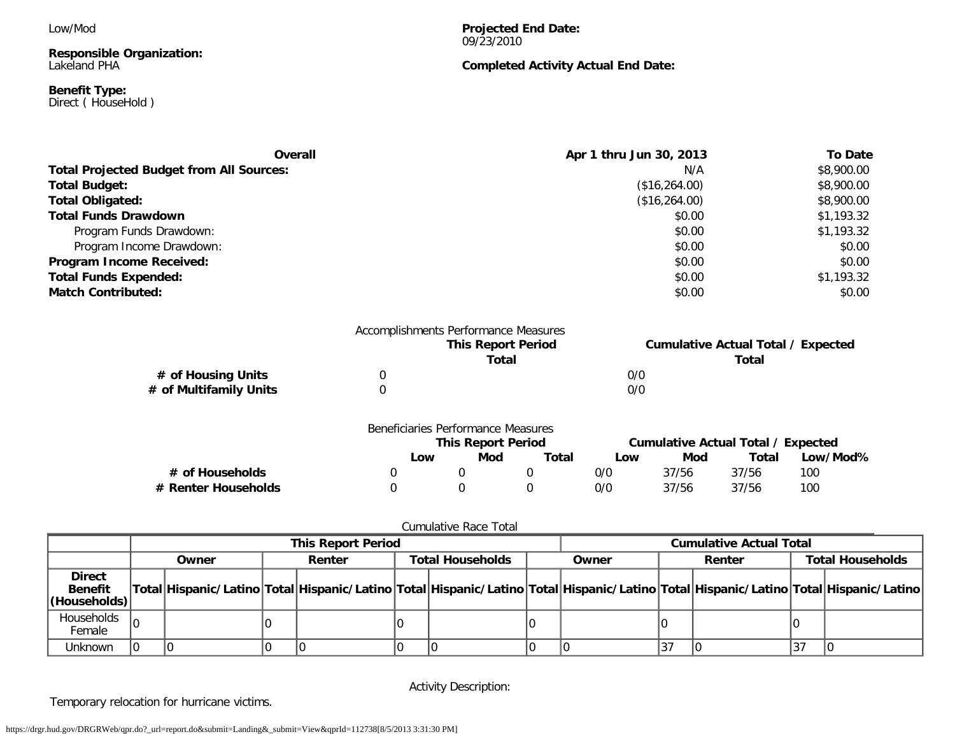Low/Mod

**Responsible Organization:** Lakeland PHA

#### **Benefit Type:** Direct ( HouseHold )

**Projected End Date:** 09/23/2010

## **Completed Activity Actual End Date:**

| Overall                                         | Apr 1 thru Jun 30, 2013 | <b>To Date</b> |
|-------------------------------------------------|-------------------------|----------------|
| <b>Total Projected Budget from All Sources:</b> | N/A                     | \$8,900.00     |
| <b>Total Budget:</b>                            | (\$16,264.00)           | \$8,900.00     |
| <b>Total Obligated:</b>                         | (\$16,264.00)           | \$8,900.00     |
| <b>Total Funds Drawdown</b>                     | \$0.00                  | \$1,193.32     |
| Program Funds Drawdown:                         | \$0.00                  | \$1,193.32     |
| Program Income Drawdown:                        | \$0.00                  | \$0.00         |
| <b>Program Income Received:</b>                 | \$0.00                  | \$0.00         |
| <b>Total Funds Expended:</b>                    | \$0.00                  | \$1,193.32     |
| <b>Match Contributed:</b>                       | \$0.00                  | \$0.00         |

|                        |   | Accomplishments Performance Measures<br><b>This Report Period</b> |     | <b>Cumulative Actual Total / Expected</b> |
|------------------------|---|-------------------------------------------------------------------|-----|-------------------------------------------|
|                        |   | Total                                                             |     | Total                                     |
| # of Housing Units     | 0 |                                                                   | 0/0 |                                           |
| # of Multifamily Units |   |                                                                   | 0/0 |                                           |
|                        |   |                                                                   |     |                                           |
|                        |   |                                                                   |     |                                           |

|                     | Beneficiaries Performance Measures | <b>This Report Period</b> |       |     |       | Cumulative Actual Total / Expected |          |
|---------------------|------------------------------------|---------------------------|-------|-----|-------|------------------------------------|----------|
|                     | Low                                | Mod                       | Total | Low | Mod   | Total                              | Low/Mod% |
| # of Households     |                                    |                           |       | 0/0 | 37/56 | 37/56                              | 100      |
| # Renter Households |                                    |                           |       | 0/0 | 37/56 | 37/56                              | 100      |

## Cumulative Race Total

|                                                  | <b>This Report Period</b> |       |  |        |                         |  |       | <b>Cumulative Actual Total</b> |        |  |                         |                                                                                                                                     |
|--------------------------------------------------|---------------------------|-------|--|--------|-------------------------|--|-------|--------------------------------|--------|--|-------------------------|-------------------------------------------------------------------------------------------------------------------------------------|
|                                                  |                           | Owner |  | Renter | <b>Total Households</b> |  | Owner |                                | Renter |  | <b>Total Households</b> |                                                                                                                                     |
| <b>Direct</b><br><b>Benefit</b><br> (Households) |                           |       |  |        |                         |  |       |                                |        |  |                         | Total Hispanic/Latino Total Hispanic/Latino Total Hispanic/Latino Total Hispanic/Latino Total Hispanic/Latino Total Hispanic/Latino |
| Households<br>Female                             |                           |       |  |        |                         |  |       |                                |        |  |                         |                                                                                                                                     |
| Unknown                                          |                           |       |  |        |                         |  |       |                                | 37،    |  | 37،                     |                                                                                                                                     |

Activity Description:

Temporary relocation for hurricane victims.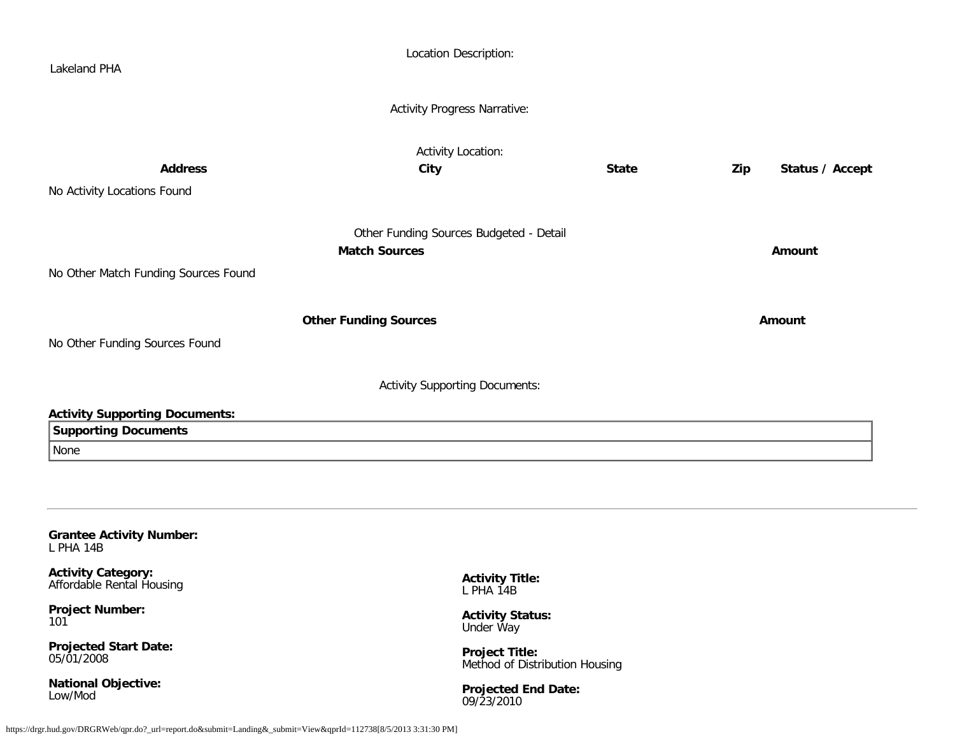| Lakeland PHA                                           | Location Description:                                   |              |        |                 |
|--------------------------------------------------------|---------------------------------------------------------|--------------|--------|-----------------|
|                                                        | <b>Activity Progress Narrative:</b>                     |              |        |                 |
|                                                        | Activity Location:                                      |              |        |                 |
| <b>Address</b>                                         | City                                                    | <b>State</b> | Zip    | Status / Accept |
| No Activity Locations Found                            |                                                         |              |        |                 |
|                                                        | Other Funding Sources Budgeted - Detail                 |              |        |                 |
|                                                        | <b>Match Sources</b>                                    |              | Amount |                 |
| No Other Match Funding Sources Found                   |                                                         |              |        |                 |
|                                                        |                                                         |              | Amount |                 |
| No Other Funding Sources Found                         | <b>Other Funding Sources</b>                            |              |        |                 |
|                                                        |                                                         |              |        |                 |
|                                                        | <b>Activity Supporting Documents:</b>                   |              |        |                 |
| <b>Activity Supporting Documents:</b>                  |                                                         |              |        |                 |
| <b>Supporting Documents</b>                            |                                                         |              |        |                 |
| None                                                   |                                                         |              |        |                 |
|                                                        |                                                         |              |        |                 |
|                                                        |                                                         |              |        |                 |
| <b>Grantee Activity Number:</b><br>L PHA 14B           |                                                         |              |        |                 |
| <b>Activity Category:</b><br>Affordable Rental Housing | <b>Activity Title:</b><br>L PHA 14B                     |              |        |                 |
| <b>Project Number:</b><br>101                          | <b>Activity Status:</b><br>Under Way                    |              |        |                 |
| <b>Projected Start Date:</b><br>05/01/2008             | <b>Project Title:</b><br>Method of Distribution Housing |              |        |                 |
| <b>National Objective:</b><br>$l$ and $l$ $\Delta$     | <b>Projected End Date:</b>                              |              |        |                 |

09/23/2010

<span id="page-24-0"></span>Low/Mod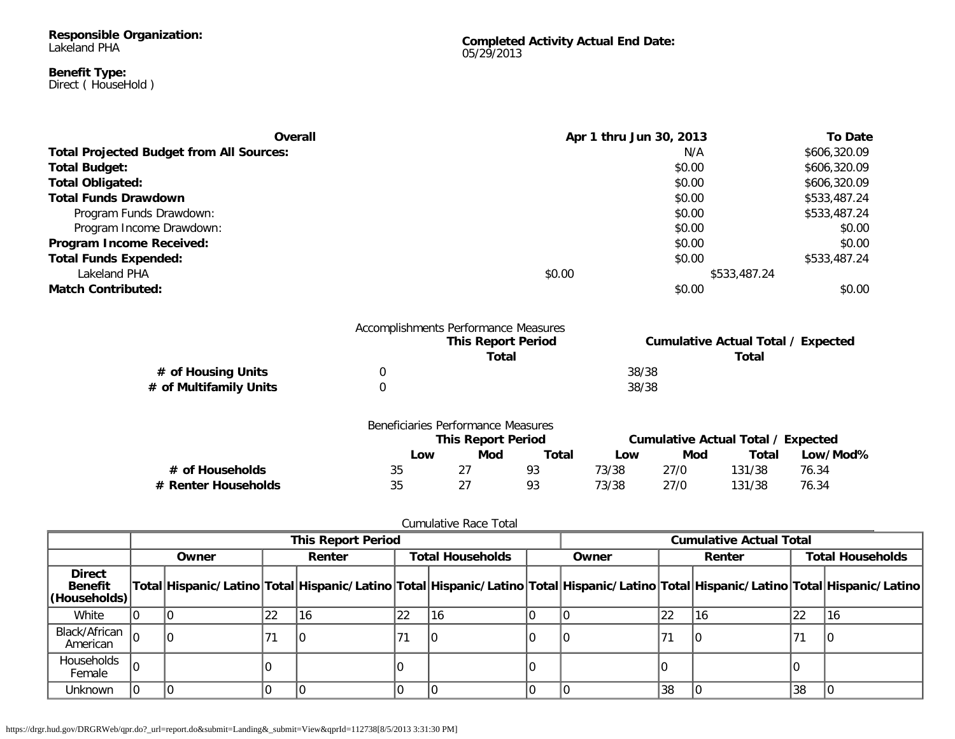#### **Responsible Organization:** Lakeland PHA

#### **Benefit Type:** Direct ( HouseHold )

**Completed Activity Actual End Date:** 05/29/2013

| Overall                                         |        | Apr 1 thru Jun 30, 2013 | <b>To Date</b> |
|-------------------------------------------------|--------|-------------------------|----------------|
| <b>Total Projected Budget from All Sources:</b> |        | N/A                     | \$606,320.09   |
| <b>Total Budget:</b>                            |        | \$0.00                  | \$606,320.09   |
| <b>Total Obligated:</b>                         |        | \$0.00                  | \$606,320.09   |
| <b>Total Funds Drawdown</b>                     |        | \$0.00                  | \$533,487.24   |
| Program Funds Drawdown:                         |        | \$0.00                  | \$533,487.24   |
| Program Income Drawdown:                        |        | \$0.00                  | \$0.00         |
| Program Income Received:                        |        | \$0.00                  | \$0.00         |
| <b>Total Funds Expended:</b>                    |        | \$0.00                  | \$533,487.24   |
| Lakeland PHA                                    | \$0.00 | \$533,487.24            |                |
| <b>Match Contributed:</b>                       |        | \$0.00                  | \$0.00         |

|                        | Accomplishments Performance Measures |       |                                           |
|------------------------|--------------------------------------|-------|-------------------------------------------|
|                        | <b>This Report Period</b>            |       | <b>Cumulative Actual Total / Expected</b> |
|                        | Total                                |       | Total                                     |
| # of Housing Units     |                                      | 38/38 |                                           |
| # of Multifamily Units |                                      | 38/38 |                                           |

|                     | Beneficiaries Performance Measures |     |       |                                    |      |        |          |
|---------------------|------------------------------------|-----|-------|------------------------------------|------|--------|----------|
|                     | <b>This Report Period</b>          |     |       | Cumulative Actual Total / Expected |      |        |          |
|                     | Low                                | Mod | Total | Low                                | Mod  | Total  | Low/Mod% |
| # of Households     | 35                                 |     | 93    | 73/38                              | 27/0 | 131/38 | 76.34    |
| # Renter Households | 35                                 | 27  | 93    | 73/38                              | 27/0 | 131/38 | 76.34    |

|                                                 |       | <b>This Report Period</b> |        |    |                 |  |                                                                                                                                     |    | <b>Cumulative Actual Total</b> |    |                         |  |
|-------------------------------------------------|-------|---------------------------|--------|----|-----------------|--|-------------------------------------------------------------------------------------------------------------------------------------|----|--------------------------------|----|-------------------------|--|
|                                                 | Owner |                           | Renter |    | Owner<br>Renter |  | <b>Total Households</b>                                                                                                             |    |                                |    | <b>Total Households</b> |  |
| <b>Direct</b><br><b>Benefit</b><br>(Households) |       |                           |        |    |                 |  | Total Hispanic/Latino Total Hispanic/Latino Total Hispanic/Latino Total Hispanic/Latino Total Hispanic/Latino Total Hispanic/Latino |    |                                |    |                         |  |
| White                                           |       | 22                        | 16     | 22 | 16              |  |                                                                                                                                     | 22 | 16                             | 22 | 116                     |  |
| Black/African<br>American                       |       |                           | 10     | 71 | IС              |  |                                                                                                                                     |    |                                | 71 |                         |  |
| Households<br>Female                            |       |                           |        |    |                 |  |                                                                                                                                     |    |                                |    |                         |  |
| Unknown                                         |       |                           |        |    |                 |  |                                                                                                                                     | 38 |                                | 38 |                         |  |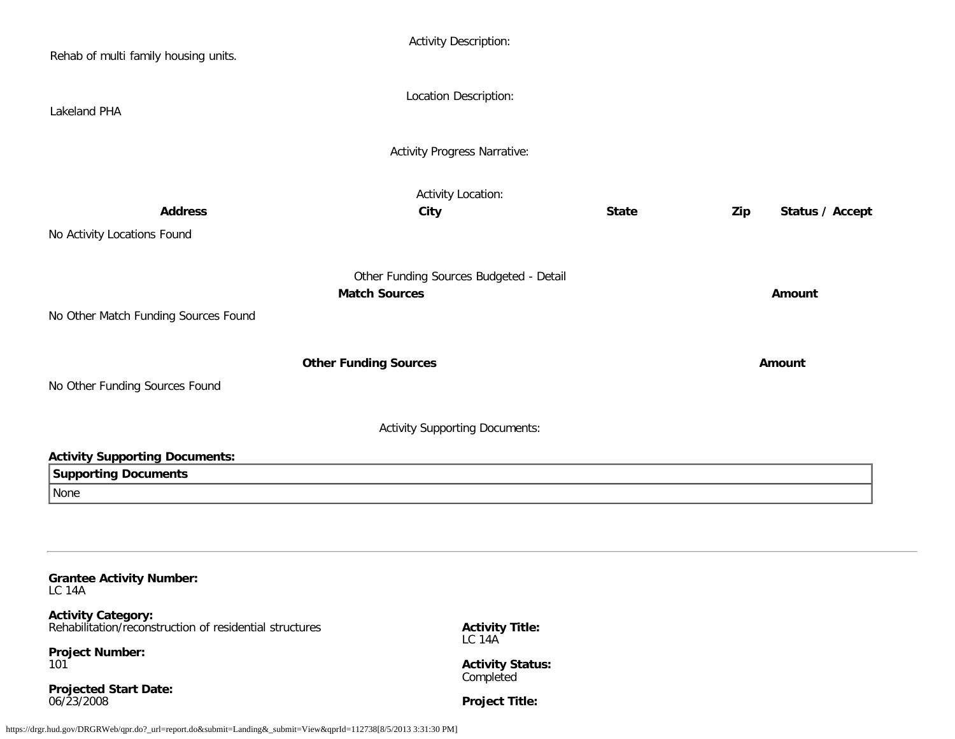| Rehab of multi family housing units.                                                 | <b>Activity Description:</b>            |              |                        |  |
|--------------------------------------------------------------------------------------|-----------------------------------------|--------------|------------------------|--|
| Lakeland PHA                                                                         | Location Description:                   |              |                        |  |
|                                                                                      | <b>Activity Progress Narrative:</b>     |              |                        |  |
|                                                                                      | <b>Activity Location:</b>               |              |                        |  |
| <b>Address</b>                                                                       | City                                    | <b>State</b> | Status / Accept<br>Zip |  |
| No Activity Locations Found                                                          |                                         |              |                        |  |
|                                                                                      |                                         |              |                        |  |
|                                                                                      | Other Funding Sources Budgeted - Detail |              |                        |  |
|                                                                                      | <b>Match Sources</b>                    |              | Amount                 |  |
| No Other Match Funding Sources Found                                                 |                                         |              |                        |  |
|                                                                                      |                                         |              |                        |  |
|                                                                                      |                                         |              | Amount                 |  |
|                                                                                      | <b>Other Funding Sources</b>            |              |                        |  |
| No Other Funding Sources Found                                                       |                                         |              |                        |  |
|                                                                                      |                                         |              |                        |  |
|                                                                                      | <b>Activity Supporting Documents:</b>   |              |                        |  |
|                                                                                      |                                         |              |                        |  |
| <b>Activity Supporting Documents:</b>                                                |                                         |              |                        |  |
| <b>Supporting Documents</b><br>None                                                  |                                         |              |                        |  |
|                                                                                      |                                         |              |                        |  |
|                                                                                      |                                         |              |                        |  |
|                                                                                      |                                         |              |                        |  |
| <b>Grantee Activity Number:</b><br><b>LC 14A</b>                                     |                                         |              |                        |  |
| <b>Activity Category:</b><br>Rehabilitation/reconstruction of residential structures | <b>Activity Title:</b>                  |              |                        |  |
| <b>Project Number:</b><br>101                                                        | LC 14A<br><b>Activity Status:</b>       |              |                        |  |

<span id="page-26-0"></span>**Projected Start Date:** 06/23/2008

**Project Title:**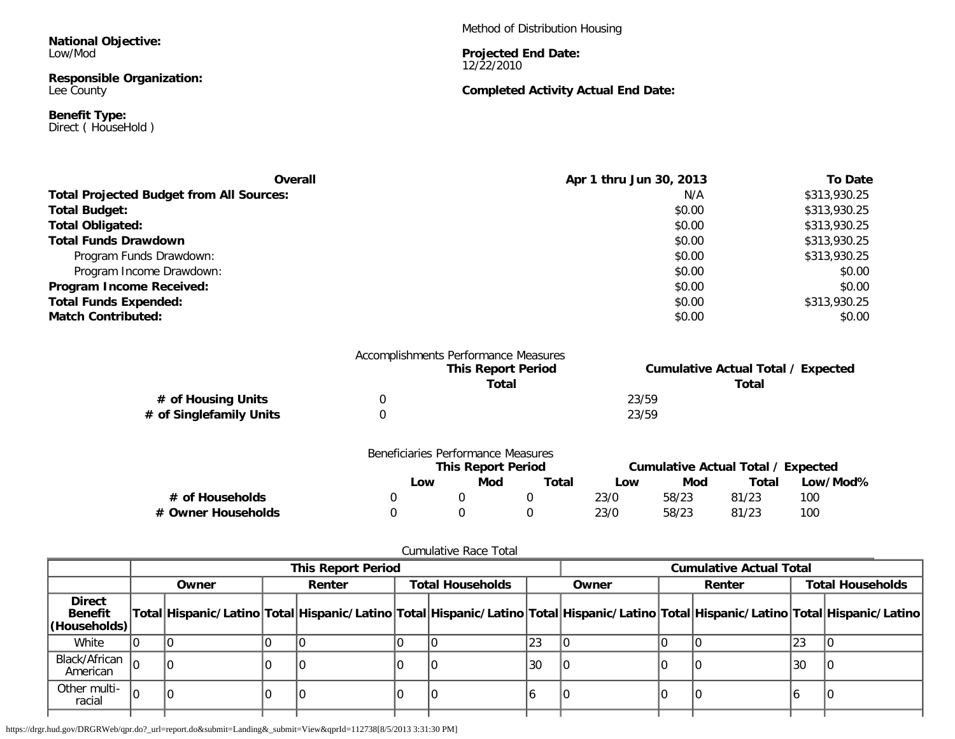**National Objective:** Low/Mod

**Responsible Organization:** Lee County

**Benefit Type:** Direct ( HouseHold ) Method of Distribution Housing

**Projected End Date:** 12/22/2010

## **Completed Activity Actual End Date:**

| Overall                                         | Apr 1 thru Jun 30, 2013 | To Date      |
|-------------------------------------------------|-------------------------|--------------|
| <b>Total Projected Budget from All Sources:</b> | N/A                     | \$313,930.25 |
| <b>Total Budget:</b>                            | \$0.00                  | \$313,930.25 |
| <b>Total Obligated:</b>                         | \$0.00                  | \$313,930.25 |
| <b>Total Funds Drawdown</b>                     | \$0.00                  | \$313,930.25 |
| Program Funds Drawdown:                         | \$0.00                  | \$313,930.25 |
| Program Income Drawdown:                        | \$0.00                  | \$0.00       |
| Program Income Received:                        | \$0.00                  | \$0.00       |
| <b>Total Funds Expended:</b>                    | \$0.00                  | \$313,930.25 |
| <b>Match Contributed:</b>                       | \$0.00                  | \$0.00       |

|                         | Accomplishments Performance Measures |       |                                           |
|-------------------------|--------------------------------------|-------|-------------------------------------------|
|                         | <b>This Report Period</b>            |       | <b>Cumulative Actual Total / Expected</b> |
|                         | Total                                |       | Total                                     |
| # of Housing Units      |                                      | 23/59 |                                           |
| # of Singlefamily Units |                                      | 23/59 |                                           |
|                         |                                      |       |                                           |

|                    | Beneficiaries Performance Measures |                           |       |      |       |                                    |          |
|--------------------|------------------------------------|---------------------------|-------|------|-------|------------------------------------|----------|
|                    |                                    | <b>This Report Period</b> |       |      |       | Cumulative Actual Total / Expected |          |
|                    | Low                                | Mod                       | Total | Low  | Mod   | Total                              | Low/Mod% |
| # of Households    |                                    |                           |       | 23/0 | 58/23 | 81/23                              | 100      |
| # Owner Households |                                    |                           |       | 23/0 | 58/23 | 81/23                              | 100      |

## Cumulative Race Total

|                                                 | <b>This Report Period</b> |       |  |        |  |                         |    | <b>Cumulative Actual Total</b>                                                                                                      |  |                         |    |  |
|-------------------------------------------------|---------------------------|-------|--|--------|--|-------------------------|----|-------------------------------------------------------------------------------------------------------------------------------------|--|-------------------------|----|--|
|                                                 |                           | Owner |  | Renter |  | <b>Total Households</b> |    | Owner<br>Renter                                                                                                                     |  | <b>Total Households</b> |    |  |
| <b>Direct</b><br><b>Benefit</b><br>(Households) |                           |       |  |        |  |                         |    | Total Hispanic/Latino Total Hispanic/Latino Total Hispanic/Latino Total Hispanic/Latino Total Hispanic/Latino Total Hispanic/Latino |  |                         |    |  |
| White                                           |                           |       |  |        |  |                         | 23 |                                                                                                                                     |  |                         | 23 |  |
| Black/African $\vert_0$<br>American             |                           | 10    |  |        |  |                         | 30 |                                                                                                                                     |  |                         | 30 |  |
| Other multi-<br>racial                          | lO                        |       |  |        |  |                         |    |                                                                                                                                     |  |                         |    |  |
|                                                 |                           |       |  |        |  |                         |    |                                                                                                                                     |  |                         |    |  |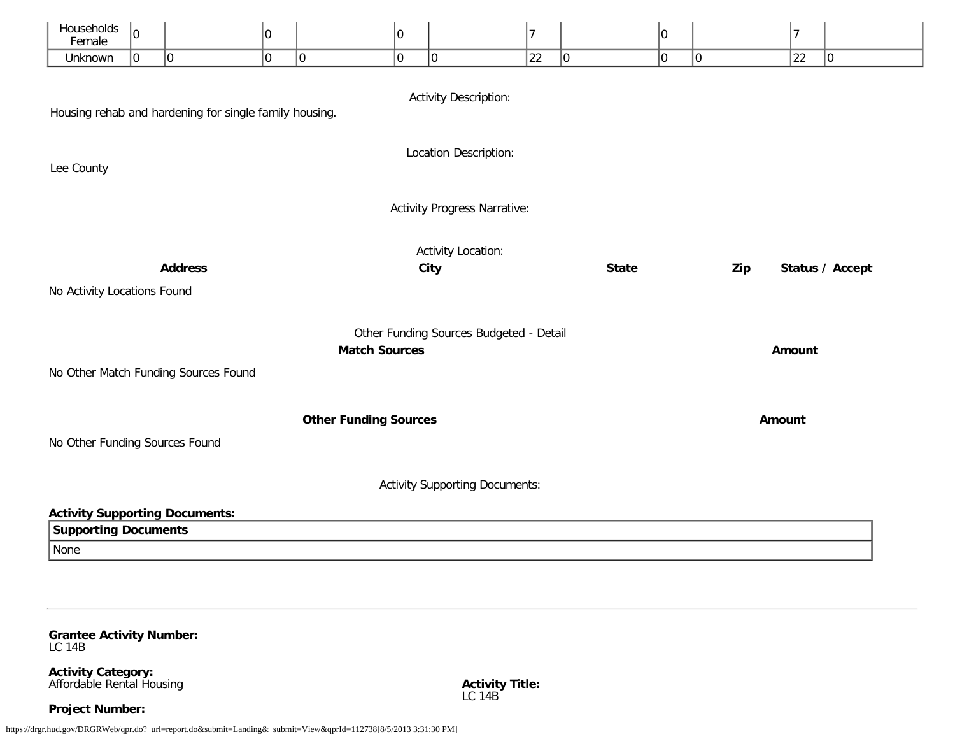| Households<br>Female                                                                          | 10                                                                        |                                      | 0 |                              | 0 |                                       | $\overline{7}$ |             | 10 |             | 7  |             |
|-----------------------------------------------------------------------------------------------|---------------------------------------------------------------------------|--------------------------------------|---|------------------------------|---|---------------------------------------|----------------|-------------|----|-------------|----|-------------|
| Unknown                                                                                       | 10                                                                        | $ 0\rangle$                          | 0 | $ 0\rangle$                  | 0 | $ 0\rangle$                           | 22             | $ 0\rangle$ | 10 | $ 0\rangle$ | 22 | $ 0\rangle$ |
| <b>Activity Description:</b><br>Housing rehab and hardening for single family housing.        |                                                                           |                                      |   |                              |   |                                       |                |             |    |             |    |             |
| Location Description:<br>Lee County                                                           |                                                                           |                                      |   |                              |   |                                       |                |             |    |             |    |             |
| <b>Activity Progress Narrative:</b>                                                           |                                                                           |                                      |   |                              |   |                                       |                |             |    |             |    |             |
| <b>Activity Location:</b><br>Status / Accept<br><b>Address</b><br>City<br><b>State</b><br>Zip |                                                                           |                                      |   |                              |   |                                       |                |             |    |             |    |             |
| No Activity Locations Found                                                                   |                                                                           |                                      |   |                              |   |                                       |                |             |    |             |    |             |
|                                                                                               | Other Funding Sources Budgeted - Detail<br><b>Match Sources</b><br>Amount |                                      |   |                              |   |                                       |                |             |    |             |    |             |
|                                                                                               |                                                                           | No Other Match Funding Sources Found |   |                              |   |                                       |                |             |    |             |    |             |
|                                                                                               |                                                                           |                                      |   | <b>Other Funding Sources</b> |   |                                       |                |             |    | Amount      |    |             |
| No Other Funding Sources Found                                                                |                                                                           |                                      |   |                              |   |                                       |                |             |    |             |    |             |
|                                                                                               |                                                                           |                                      |   |                              |   | <b>Activity Supporting Documents:</b> |                |             |    |             |    |             |
| <b>Activity Supporting Documents:</b>                                                         |                                                                           |                                      |   |                              |   |                                       |                |             |    |             |    |             |
| <b>Supporting Documents</b>                                                                   |                                                                           |                                      |   |                              |   |                                       |                |             |    |             |    |             |
| None                                                                                          |                                                                           |                                      |   |                              |   |                                       |                |             |    |             |    |             |

<span id="page-28-0"></span>**Grantee Activity Number:** LC 14B

**Activity Category:** Affordable Rental Housing

**Project Number:**

https://drgr.hud.gov/DRGRWeb/qpr.do?\_url=report.do&submit=Landing&\_submit=View&qprId=112738[8/5/2013 3:31:30 PM]

**Activity Title:** LC 14B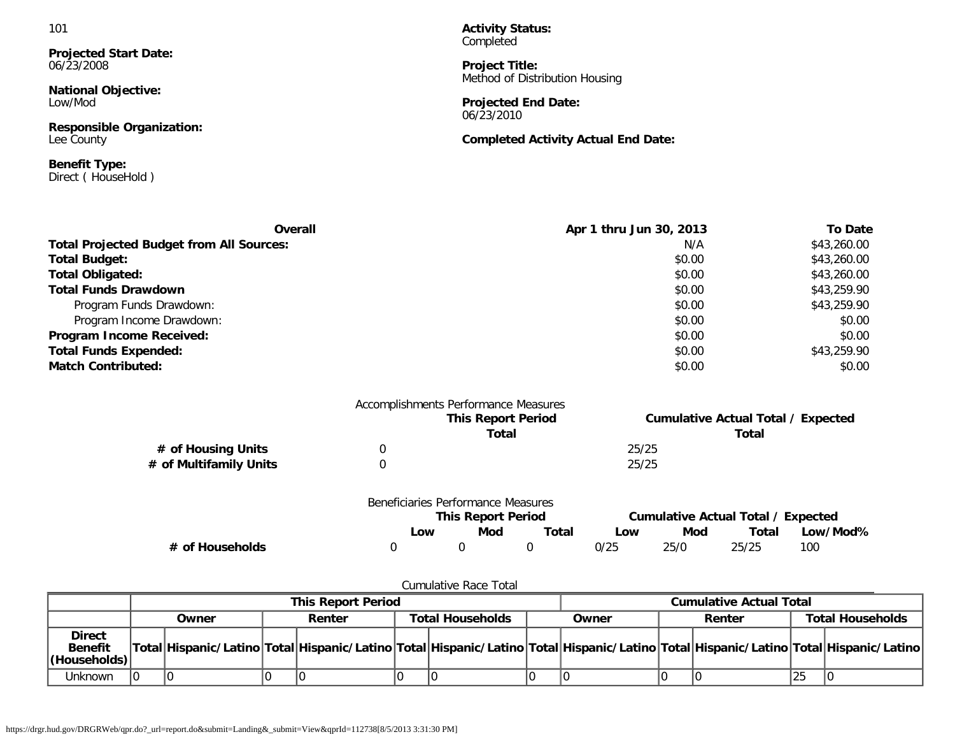**Projected Start Date:** 06/23/2008

**National Objective:** Low/Mod

**Responsible Organization:** Lee County

**Benefit Type:** Direct ( HouseHold ) **Activity Status:** Completed

**Project Title:** Method of Distribution Housing

**Projected End Date:** 06/23/2010

**Completed Activity Actual End Date:**

| <b>Overall</b>                                  | Apr 1 thru Jun 30, 2013 | <b>To Date</b> |
|-------------------------------------------------|-------------------------|----------------|
| <b>Total Projected Budget from All Sources:</b> | N/A                     | \$43,260.00    |
| <b>Total Budget:</b>                            | \$0.00                  | \$43,260.00    |
| <b>Total Obligated:</b>                         | \$0.00                  | \$43,260.00    |
| <b>Total Funds Drawdown</b>                     | \$0.00                  | \$43,259.90    |
| Program Funds Drawdown:                         | \$0.00                  | \$43,259.90    |
| Program Income Drawdown:                        | \$0.00                  | \$0.00         |
| Program Income Received:                        | \$0.00                  | \$0.00         |
| <b>Total Funds Expended:</b>                    | \$0.00                  | \$43,259.90    |
| <b>Match Contributed:</b>                       | \$0.00                  | \$0.00         |

|                        | Accomplishments Performance Measures |                                           |
|------------------------|--------------------------------------|-------------------------------------------|
|                        | <b>This Report Period</b>            | <b>Cumulative Actual Total / Expected</b> |
|                        | Total                                | Total                                     |
| # of Housing Units     |                                      | 25/25                                     |
| # of Multifamily Units |                                      | 25/25                                     |
|                        |                                      |                                           |

|                 | Beneficiaries Performance Measures |                           |       |                                    |      |       |          |
|-----------------|------------------------------------|---------------------------|-------|------------------------------------|------|-------|----------|
|                 |                                    | <b>This Report Period</b> |       | Cumulative Actual Total / Expected |      |       |          |
|                 | ∟ow                                | Mod                       | Total | Low                                | Mod  | Total | Low/Mod% |
| # of Households |                                    |                           |       | 0/25                               | 25/0 | 25/25 | 100      |

## Cumulative Race Total

|                                                  | <b>This Report Period</b> |       |  |        |                         |  | <b>Cumulative Actual Total</b> |                                                                                                                                     |                         |  |    |  |
|--------------------------------------------------|---------------------------|-------|--|--------|-------------------------|--|--------------------------------|-------------------------------------------------------------------------------------------------------------------------------------|-------------------------|--|----|--|
|                                                  |                           | Owner |  | Renter | <b>Total Households</b> |  | Renter<br>Owner                |                                                                                                                                     | <b>Total Households</b> |  |    |  |
| <b>Direct</b><br><b>Benefit</b><br> (Households) |                           |       |  |        |                         |  |                                | Total Hispanic/Latino Total Hispanic/Latino Total Hispanic/Latino Total Hispanic/Latino Total Hispanic/Latino Total Hispanic/Latino |                         |  |    |  |
| Unknown                                          | ١O                        |       |  |        |                         |  |                                |                                                                                                                                     |                         |  | 25 |  |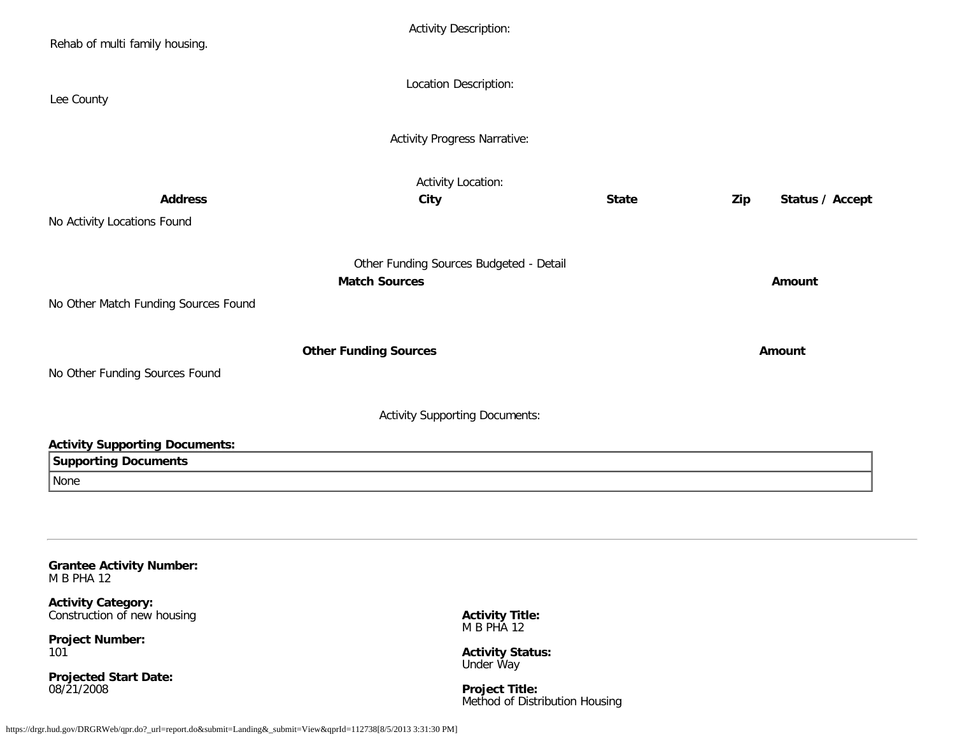| Rehab of multi family housing.                                                     | <b>Activity Description:</b>                                    |              |                        |
|------------------------------------------------------------------------------------|-----------------------------------------------------------------|--------------|------------------------|
| Lee County                                                                         | Location Description:                                           |              |                        |
|                                                                                    | <b>Activity Progress Narrative:</b>                             |              |                        |
| <b>Address</b>                                                                     | <b>Activity Location:</b><br><b>City</b>                        | <b>State</b> | Status / Accept<br>Zip |
| No Activity Locations Found                                                        |                                                                 |              |                        |
| No Other Match Funding Sources Found                                               | Other Funding Sources Budgeted - Detail<br><b>Match Sources</b> |              | Amount                 |
| No Other Funding Sources Found                                                     | <b>Other Funding Sources</b>                                    |              | Amount                 |
|                                                                                    | <b>Activity Supporting Documents:</b>                           |              |                        |
| <b>Activity Supporting Documents:</b>                                              |                                                                 |              |                        |
| <b>Supporting Documents</b><br>None                                                |                                                                 |              |                        |
|                                                                                    |                                                                 |              |                        |
| <b>Grantee Activity Number:</b><br><b>M B PHA 12</b>                               |                                                                 |              |                        |
| <b>Activity Category:</b><br>Construction of new housing<br><b>Project Number:</b> | <b>Activity Title:</b><br>M B PHA 12                            |              |                        |

<span id="page-30-0"></span>101

**Projected Start Date:** 08/21/2008

**Activity Status:** Under Way

**Project Title:** Method of Distribution Housing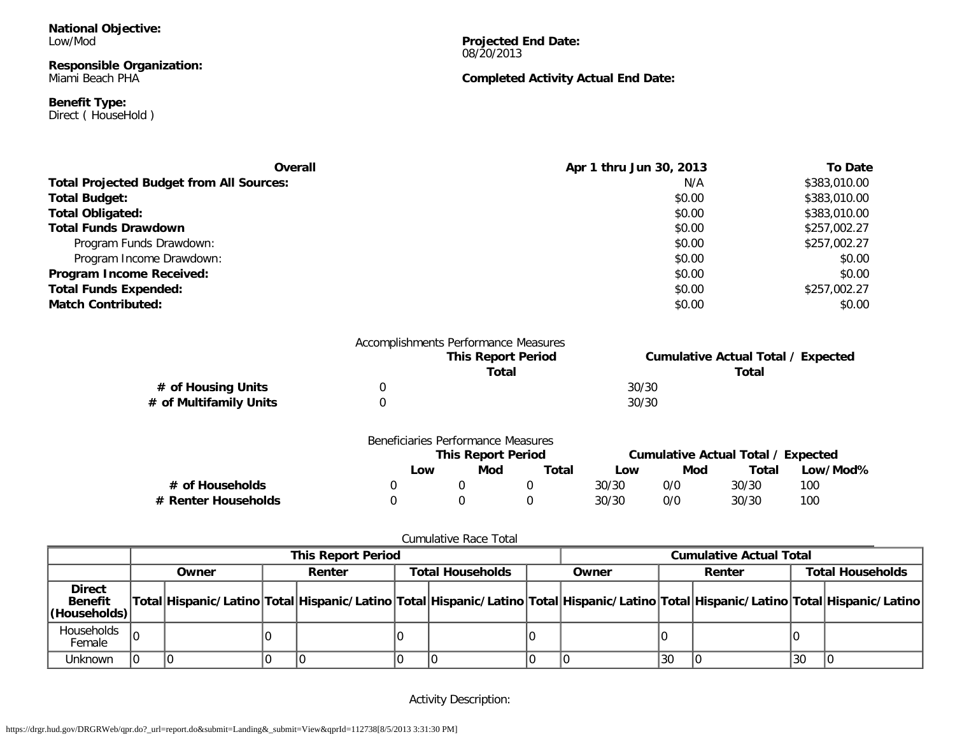**National Objective:** Low/Mod

**Responsible Organization:** Miami Beach PHA

**Benefit Type:** Direct ( HouseHold ) **Projected End Date:** 08/20/2013

**Completed Activity Actual End Date:**

| Overall                                         | Apr 1 thru Jun 30, 2013 | To Date      |
|-------------------------------------------------|-------------------------|--------------|
| <b>Total Projected Budget from All Sources:</b> | N/A                     | \$383,010.00 |
| <b>Total Budget:</b>                            | \$0.00                  | \$383,010.00 |
| <b>Total Obligated:</b>                         | \$0.00                  | \$383,010.00 |
| <b>Total Funds Drawdown</b>                     | \$0.00                  | \$257,002.27 |
| Program Funds Drawdown:                         | \$0.00                  | \$257,002.27 |
| Program Income Drawdown:                        | \$0.00                  | \$0.00       |
| <b>Program Income Received:</b>                 | \$0.00                  | \$0.00       |
| <b>Total Funds Expended:</b>                    | \$0.00                  | \$257,002.27 |
| <b>Match Contributed:</b>                       | \$0.00                  | \$0.00       |

|                        | Accomplishments Performance Measures |       |                                           |
|------------------------|--------------------------------------|-------|-------------------------------------------|
|                        | <b>This Report Period</b>            |       | <b>Cumulative Actual Total / Expected</b> |
|                        | Total                                |       | Total                                     |
| # of Housing Units     |                                      | 30/30 |                                           |
| # of Multifamily Units |                                      | 30/30 |                                           |

|                     | Beneficiaries Performance Measures |                           |       |                                    |     |       |          |
|---------------------|------------------------------------|---------------------------|-------|------------------------------------|-----|-------|----------|
|                     |                                    | <b>This Report Period</b> |       | Cumulative Actual Total / Expected |     |       |          |
|                     | Low                                | Mod                       | Total | Low                                | Mod | Total | Low/Mod% |
| # of Households     |                                    |                           |       | 30/30                              | 0/0 | 30/30 | 100      |
| # Renter Households |                                    |                           |       | 30/30                              | 0/0 | 30/30 | 100      |

|--|

|                                                 | <b>This Report Period</b> |       |  |        |  | <b>Cumulative Actual Total</b> |  |                                                                                                                                     |    |        |    |                         |
|-------------------------------------------------|---------------------------|-------|--|--------|--|--------------------------------|--|-------------------------------------------------------------------------------------------------------------------------------------|----|--------|----|-------------------------|
|                                                 |                           | Owner |  | Renter |  | <b>Total Households</b>        |  | Owner                                                                                                                               |    | Renter |    | <b>Total Households</b> |
| <b>Direct</b><br><b>Benefit</b><br>(Households) |                           |       |  |        |  |                                |  | Total Hispanic/Latino Total Hispanic/Latino Total Hispanic/Latino Total Hispanic/Latino Total Hispanic/Latino Total Hispanic/Latino |    |        |    |                         |
| Households<br>Female                            |                           |       |  |        |  |                                |  |                                                                                                                                     |    |        |    |                         |
| Unknown                                         |                           |       |  |        |  |                                |  |                                                                                                                                     | 30 |        | 30 |                         |

Activity Description: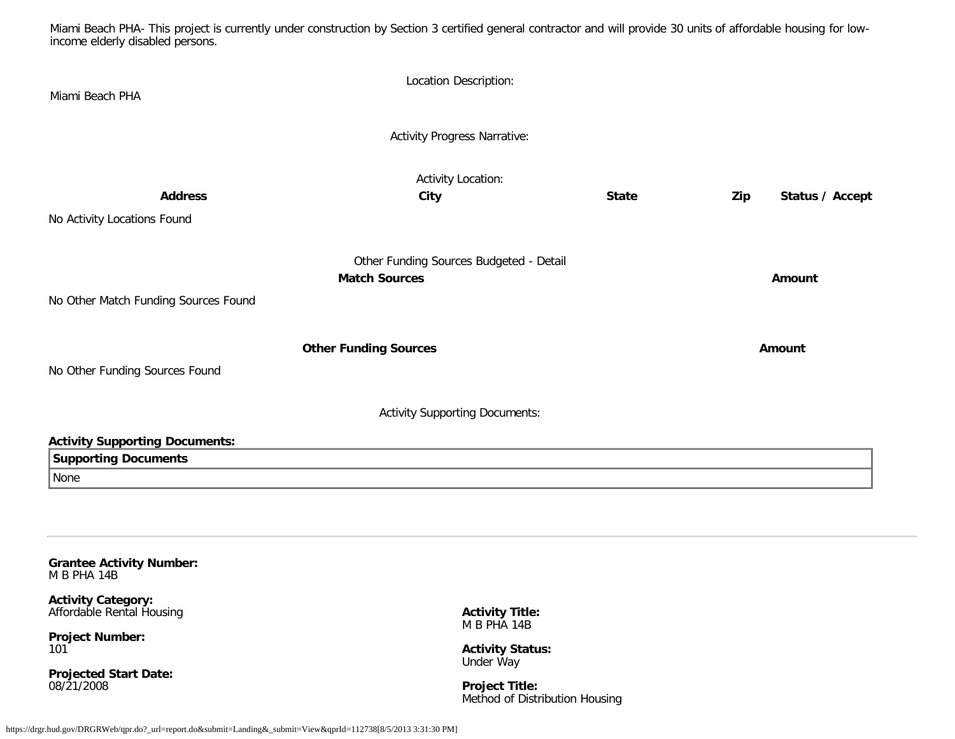Miami Beach PHA- This project is currently under construction by Section 3 certified general contractor and will provide 30 units of affordable housing for lowincome elderly disabled persons.

| Miami Beach PHA                                                                                                                           | Location Description:                                            |              |                        |
|-------------------------------------------------------------------------------------------------------------------------------------------|------------------------------------------------------------------|--------------|------------------------|
|                                                                                                                                           | <b>Activity Progress Narrative:</b>                              |              |                        |
| <b>Address</b><br>No Activity Locations Found                                                                                             | Activity Location:<br>City                                       | <b>State</b> | Status / Accept<br>Zip |
| No Other Match Funding Sources Found                                                                                                      | Other Funding Sources Budgeted - Detail<br><b>Match Sources</b>  |              | Amount                 |
| No Other Funding Sources Found                                                                                                            | <b>Other Funding Sources</b>                                     |              | Amount                 |
|                                                                                                                                           | <b>Activity Supporting Documents:</b>                            |              |                        |
| <b>Activity Supporting Documents:</b><br><b>Supporting Documents</b><br>None                                                              |                                                                  |              |                        |
| <b>Grantee Activity Number:</b><br>M B PHA 14B<br><b>Activity Category:</b><br>Affordable Rental Housing<br><b>Project Number:</b><br>101 | <b>Activity Title:</b><br>M B PHA 14B<br><b>Activity Status:</b> |              |                        |

<span id="page-32-0"></span>**Projected Start Date:** 08/21/2008

**Project Title:** Method of Distribution Housing

Under Way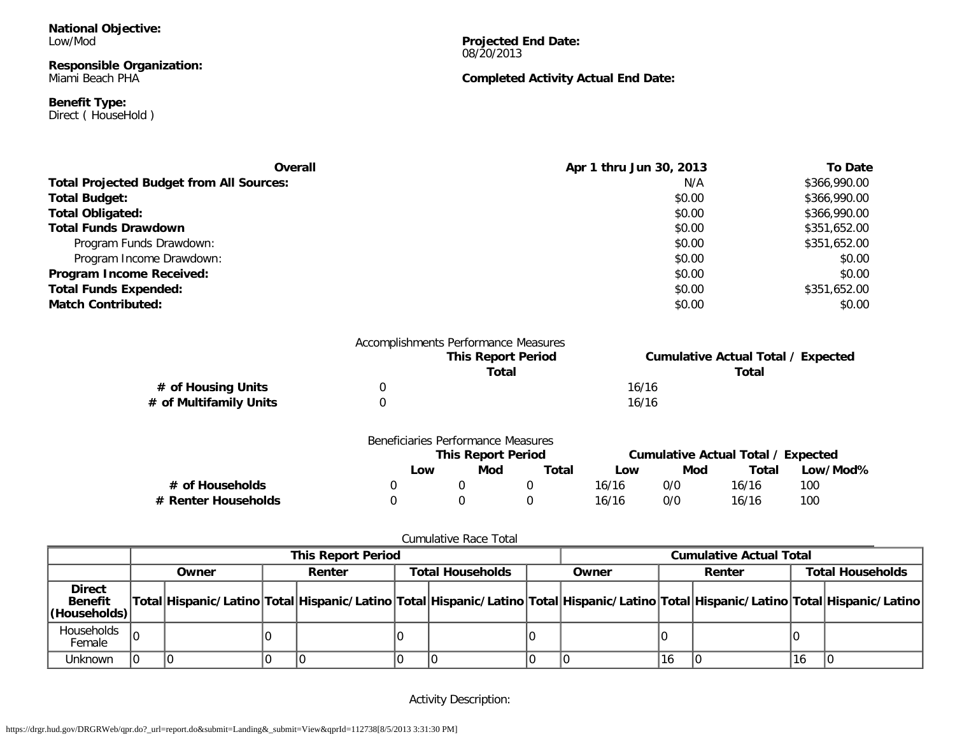**National Objective:** Low/Mod

**Responsible Organization:** Miami Beach PHA

**Benefit Type:** Direct ( HouseHold ) **Projected End Date:** 08/20/2013

**Completed Activity Actual End Date:**

| <b>Overall</b>                                  | Apr 1 thru Jun 30, 2013 | To Date      |
|-------------------------------------------------|-------------------------|--------------|
| <b>Total Projected Budget from All Sources:</b> | N/A                     | \$366,990.00 |
| <b>Total Budget:</b>                            | \$0.00                  | \$366,990.00 |
| <b>Total Obligated:</b>                         | \$0.00                  | \$366,990.00 |
| <b>Total Funds Drawdown</b>                     | \$0.00                  | \$351,652.00 |
| Program Funds Drawdown:                         | \$0.00                  | \$351,652.00 |
| Program Income Drawdown:                        | \$0.00                  | \$0.00       |
| Program Income Received:                        | \$0.00                  | \$0.00       |
| <b>Total Funds Expended:</b>                    | \$0.00                  | \$351,652.00 |
| <b>Match Contributed:</b>                       | \$0.00                  | \$0.00       |

|                        | Accomplishments Performance Measures |       |                                           |
|------------------------|--------------------------------------|-------|-------------------------------------------|
|                        | <b>This Report Period</b>            |       | <b>Cumulative Actual Total / Expected</b> |
|                        | Total                                |       | Total                                     |
| # of Housing Units     |                                      | 16/16 |                                           |
| # of Multifamily Units |                                      | 16/16 |                                           |

|                     | Beneficiaries Performance Measures |                           |       |       |                                    |       |          |
|---------------------|------------------------------------|---------------------------|-------|-------|------------------------------------|-------|----------|
|                     |                                    | <b>This Report Period</b> |       |       | Cumulative Actual Total / Expected |       |          |
|                     | <b>LOW</b>                         | Mod                       | Total | LOW   | Mod                                | Total | Low/Mod% |
| # of Households     |                                    |                           |       | 16/16 | 0/0                                | 16/16 | 100      |
| # Renter Households |                                    |                           |       | 16/16 | 0/0                                | 16/16 | 100      |

|                                                 | <b>This Report Period</b> |       |  |        |  | <b>Cumulative Actual Total</b> |  |                                                                                                                                     |    |        |    |                         |
|-------------------------------------------------|---------------------------|-------|--|--------|--|--------------------------------|--|-------------------------------------------------------------------------------------------------------------------------------------|----|--------|----|-------------------------|
|                                                 |                           | Owner |  | Renter |  | <b>Total Households</b>        |  | Owner                                                                                                                               |    | Renter |    | <b>Total Households</b> |
| <b>Direct</b><br><b>Benefit</b><br>(Households) |                           |       |  |        |  |                                |  | Total Hispanic/Latino Total Hispanic/Latino Total Hispanic/Latino Total Hispanic/Latino Total Hispanic/Latino Total Hispanic/Latino |    |        |    |                         |
| Households<br>Female                            |                           |       |  |        |  |                                |  |                                                                                                                                     |    |        |    |                         |
| Unknown                                         |                           |       |  |        |  |                                |  |                                                                                                                                     | 16 |        | 16 |                         |

Activity Description: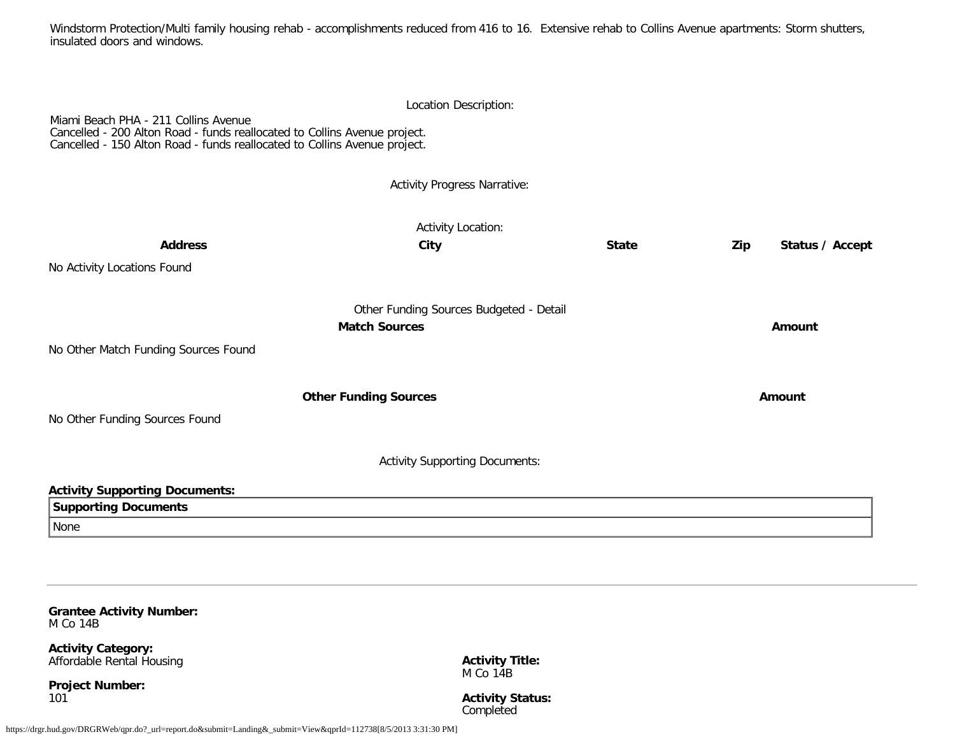Windstorm Protection/Multi family housing rehab - accomplishments reduced from 416 to 16. Extensive rehab to Collins Avenue apartments: Storm shutters, insulated doors and windows.

|                                                                                                                                                                                                | Location Description:                   |              |     |                 |
|------------------------------------------------------------------------------------------------------------------------------------------------------------------------------------------------|-----------------------------------------|--------------|-----|-----------------|
| Miami Beach PHA - 211 Collins Avenue<br>Cancelled - 200 Alton Road - funds reallocated to Collins Avenue project.<br>Cancelled - 150 Alton Road - funds reallocated to Collins Avenue project. |                                         |              |     |                 |
|                                                                                                                                                                                                | <b>Activity Progress Narrative:</b>     |              |     |                 |
|                                                                                                                                                                                                | <b>Activity Location:</b>               |              |     |                 |
| <b>Address</b>                                                                                                                                                                                 | City                                    | <b>State</b> | Zip | Status / Accept |
| No Activity Locations Found                                                                                                                                                                    |                                         |              |     |                 |
|                                                                                                                                                                                                | Other Funding Sources Budgeted - Detail |              |     |                 |
|                                                                                                                                                                                                | <b>Match Sources</b>                    |              |     | Amount          |
| No Other Match Funding Sources Found                                                                                                                                                           |                                         |              |     |                 |
|                                                                                                                                                                                                | <b>Other Funding Sources</b>            |              |     | Amount          |
| No Other Funding Sources Found                                                                                                                                                                 |                                         |              |     |                 |
|                                                                                                                                                                                                | <b>Activity Supporting Documents:</b>   |              |     |                 |
| <b>Activity Supporting Documents:</b>                                                                                                                                                          |                                         |              |     |                 |
| <b>Supporting Documents</b>                                                                                                                                                                    |                                         |              |     |                 |
| None                                                                                                                                                                                           |                                         |              |     |                 |
|                                                                                                                                                                                                |                                         |              |     |                 |

<span id="page-34-0"></span>**Grantee Activity Number:** M Co 14B

**Activity Category:** Affordable Rental Housing

**Project Number:** 101

**Activity Title:** M Co 14B

**Activity Status:** Completed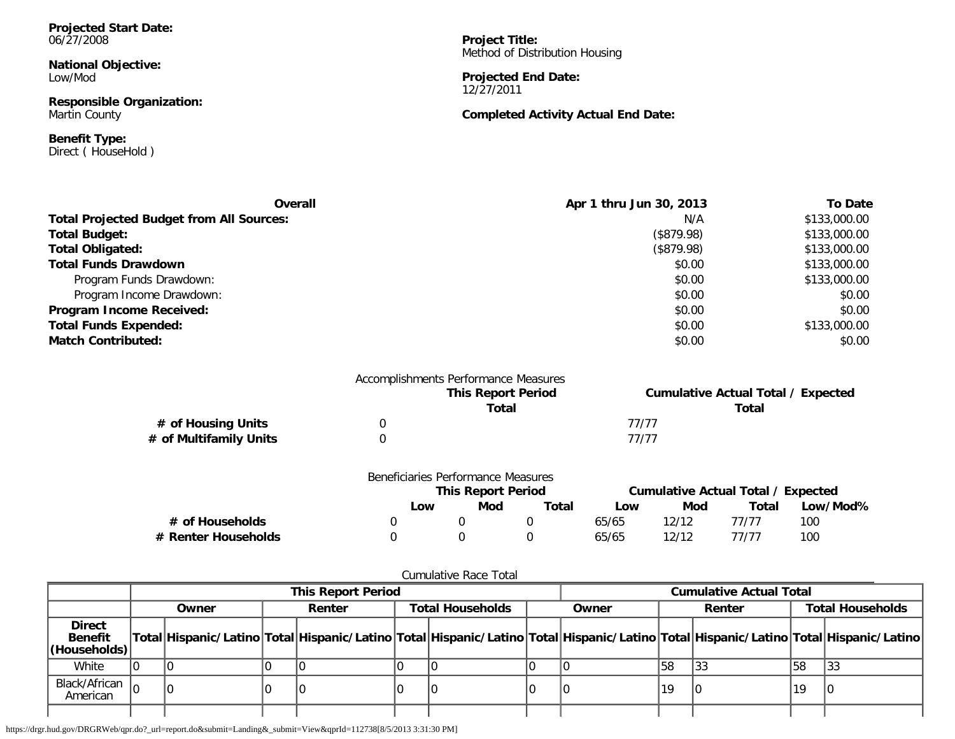**Projected Start Date:** 06/27/2008

**National Objective:** Low/Mod

**Responsible Organization:** Martin County

**Benefit Type:** Direct ( HouseHold )

**Project Title:** Method of Distribution Housing

**Projected End Date:** 12/27/2011

## **Completed Activity Actual End Date:**

| <b>Overall</b>                                  | Apr 1 thru Jun 30, 2013 | <b>To Date</b> |
|-------------------------------------------------|-------------------------|----------------|
| <b>Total Projected Budget from All Sources:</b> | N/A                     | \$133,000.00   |
| <b>Total Budget:</b>                            | (\$879.98)              | \$133,000.00   |
| <b>Total Obligated:</b>                         | (\$879.98)              | \$133,000.00   |
| <b>Total Funds Drawdown</b>                     | \$0.00                  | \$133,000.00   |
| Program Funds Drawdown:                         | \$0.00                  | \$133,000.00   |
| Program Income Drawdown:                        | \$0.00                  | \$0.00         |
| Program Income Received:                        | \$0.00                  | \$0.00         |
| <b>Total Funds Expended:</b>                    | \$0.00                  | \$133,000.00   |
| <b>Match Contributed:</b>                       | \$0.00                  | \$0.00         |

|                        | Accomplishments Performance Measures |       |                                           |
|------------------------|--------------------------------------|-------|-------------------------------------------|
|                        | <b>This Report Period</b>            |       | <b>Cumulative Actual Total / Expected</b> |
|                        | Total                                |       | Total                                     |
| # of Housing Units     |                                      | 77/77 |                                           |
| # of Multifamily Units |                                      | 77/77 |                                           |

|                     | Beneficiaries Performance Measures | <b>This Report Period</b> |       |       |       | Cumulative Actual Total / Expected |          |
|---------------------|------------------------------------|---------------------------|-------|-------|-------|------------------------------------|----------|
|                     | Low                                | Mod                       | Total | Low   | Mod   | Total                              | Low/Mod% |
| # of Households     |                                    |                           |       | 65/65 | 12/12 | 77/77                              | 100      |
| # Renter Households |                                    |                           |       | 65/65 | 12/12 | 77/77                              | 100      |

### Cumulative Race Total

|                                                 | <b>This Report Period</b> |  |        |  |                         |  | <b>Cumulative Actual Total</b>                                                                                                      |    |        |    |                         |  |
|-------------------------------------------------|---------------------------|--|--------|--|-------------------------|--|-------------------------------------------------------------------------------------------------------------------------------------|----|--------|----|-------------------------|--|
|                                                 | Owner                     |  | Renter |  | <b>Total Households</b> |  | Owner                                                                                                                               |    | Renter |    | <b>Total Households</b> |  |
| <b>Direct</b><br><b>Benefit</b><br>(Households) |                           |  |        |  |                         |  | Total Hispanic/Latino Total Hispanic/Latino Total Hispanic/Latino Total Hispanic/Latino Total Hispanic/Latino Total Hispanic/Latino |    |        |    |                         |  |
| White                                           |                           |  |        |  |                         |  |                                                                                                                                     | 58 | 33     | 58 | 133                     |  |
| Black/African $ _{\Omega}$<br>American          |                           |  |        |  |                         |  |                                                                                                                                     | 19 |        | 19 |                         |  |
|                                                 |                           |  |        |  |                         |  |                                                                                                                                     |    |        |    |                         |  |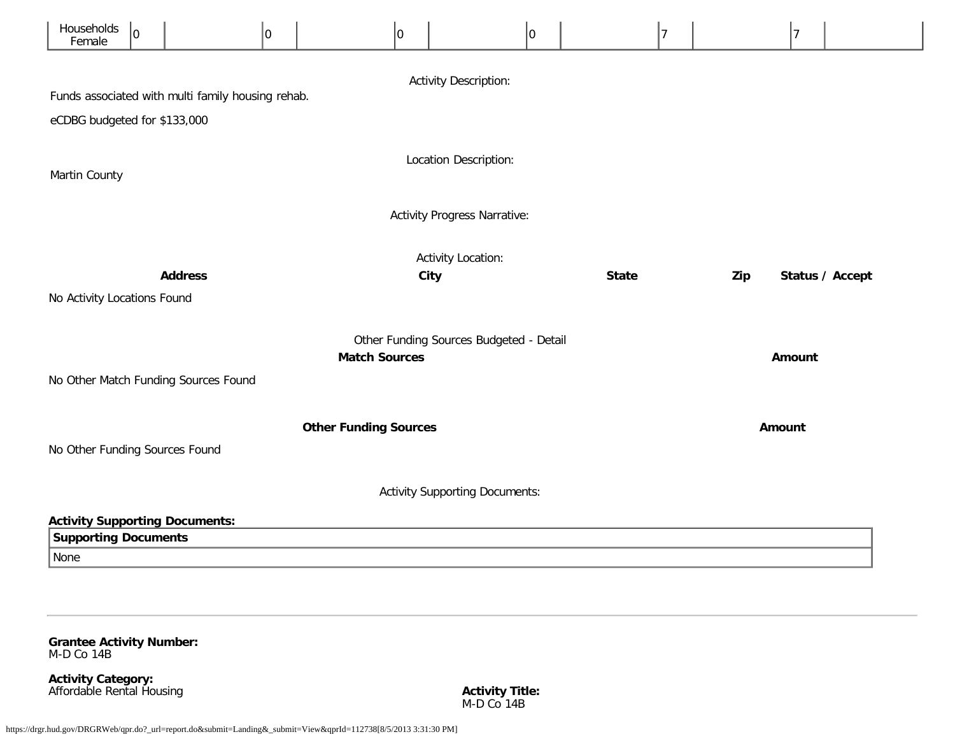| Households<br>Female                  | 10                                  |                                                   | 0 | $ 0\rangle$                  |      |                                         | 0 |              | 7 |     | $\overline{7}$  |
|---------------------------------------|-------------------------------------|---------------------------------------------------|---|------------------------------|------|-----------------------------------------|---|--------------|---|-----|-----------------|
|                                       | <b>Activity Description:</b>        |                                                   |   |                              |      |                                         |   |              |   |     |                 |
|                                       |                                     | Funds associated with multi family housing rehab. |   |                              |      |                                         |   |              |   |     |                 |
| eCDBG budgeted for \$133,000          |                                     |                                                   |   |                              |      |                                         |   |              |   |     |                 |
| Martin County                         | Location Description:               |                                                   |   |                              |      |                                         |   |              |   |     |                 |
|                                       | <b>Activity Progress Narrative:</b> |                                                   |   |                              |      |                                         |   |              |   |     |                 |
|                                       |                                     | <b>Address</b>                                    |   |                              | City | <b>Activity Location:</b>               |   | <b>State</b> |   | Zip | Status / Accept |
| No Activity Locations Found           |                                     |                                                   |   |                              |      |                                         |   |              |   |     |                 |
|                                       |                                     |                                                   |   | <b>Match Sources</b>         |      | Other Funding Sources Budgeted - Detail |   |              |   |     | Amount          |
|                                       |                                     | No Other Match Funding Sources Found              |   |                              |      |                                         |   |              |   |     |                 |
|                                       |                                     |                                                   |   | <b>Other Funding Sources</b> |      |                                         |   |              |   |     | Amount          |
| No Other Funding Sources Found        |                                     |                                                   |   |                              |      |                                         |   |              |   |     |                 |
| <b>Activity Supporting Documents:</b> |                                     |                                                   |   |                              |      |                                         |   |              |   |     |                 |
| <b>Activity Supporting Documents:</b> |                                     |                                                   |   |                              |      |                                         |   |              |   |     |                 |
| <b>Supporting Documents</b>           |                                     |                                                   |   |                              |      |                                         |   |              |   |     |                 |
| None                                  |                                     |                                                   |   |                              |      |                                         |   |              |   |     |                 |

<span id="page-36-0"></span>**Grantee Activity Number:** M-D Co 14B

**Activity Category:** Affordable Rental Housing **Activity Title:**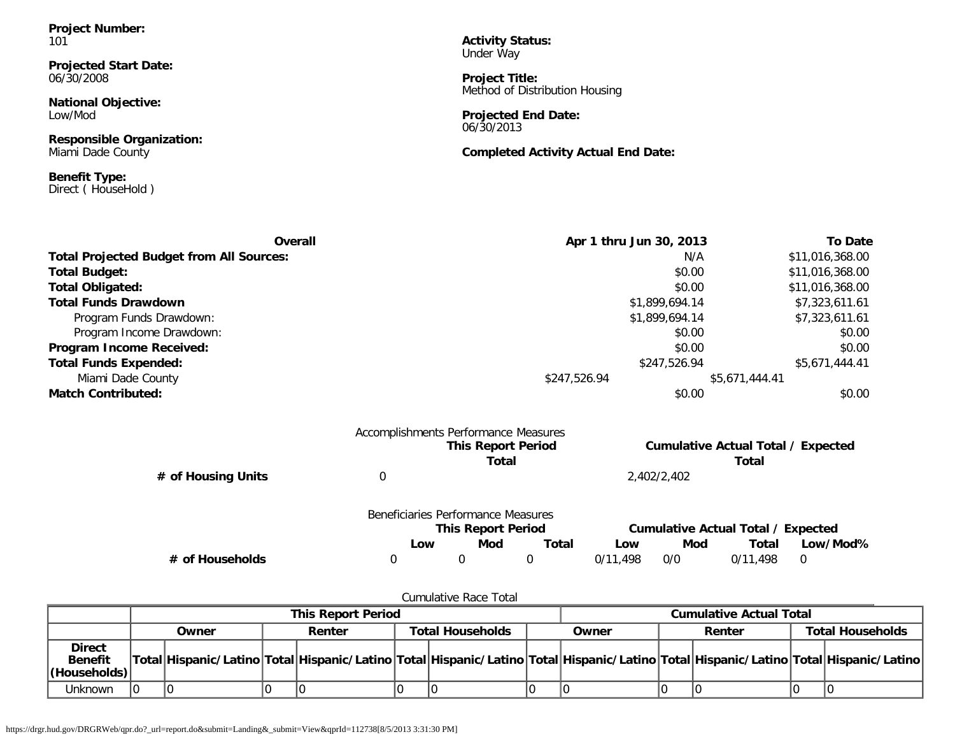**Project Number:** 101

**Projected Start Date:** 06/30/2008

**National Objective:** Low/Mod

**Responsible Organization:** Miami Dade County

**Benefit Type:** Direct ( HouseHold )

**Activity Status:** Under Way

**Project Title:** Method of Distribution Housing

**Projected End Date:** 06/30/2013

**Completed Activity Actual End Date:**

| Overall                                         | Apr 1 thru Jun 30, 2013 | <b>To Date</b>  |
|-------------------------------------------------|-------------------------|-----------------|
| <b>Total Projected Budget from All Sources:</b> | N/A                     | \$11,016,368.00 |
| <b>Total Budget:</b>                            | \$0.00                  | \$11,016,368.00 |
| <b>Total Obligated:</b>                         | \$0.00                  | \$11,016,368.00 |
| <b>Total Funds Drawdown</b>                     | \$1,899,694.14          | \$7,323,611.61  |
| Program Funds Drawdown:                         | \$1,899,694.14          | \$7,323,611.61  |
| Program Income Drawdown:                        | \$0.00                  | \$0.00          |
| Program Income Received:                        | \$0.00                  | \$0.00          |
| <b>Total Funds Expended:</b>                    | \$247,526.94            | \$5,671,444.41  |
| Miami Dade County                               | \$247,526.94            | \$5,671,444.41  |
| <b>Match Contributed:</b>                       | \$0.00                  | \$0.00          |
| Accomplishments Performance Measures            |                         |                 |

|                    | <b>This Report Period</b><br>Total                              | <b>Cumulative Actual Total / Expected</b><br>Total |
|--------------------|-----------------------------------------------------------------|----------------------------------------------------|
| # of Housing Units |                                                                 | 2,402/2,402                                        |
|                    | Beneficiaries Performance Measures<br><b>This Report Period</b> | <b>Cumulative Actual Total / Expected</b>          |

|                 | <b>This Report Period</b> |     |       | Cumulative Actual Total / Expected |     |          |          |
|-----------------|---------------------------|-----|-------|------------------------------------|-----|----------|----------|
|                 | _OW                       | Mod | Total | Low                                | Mod | Total    | Low/Mod% |
| # of Households |                           |     |       | 0/11.498                           | 0/0 | 0/11.498 |          |

Cumulative Race Total

|                                                         | <b>This Report Period</b> |       |  |                                                                                                                                     |  |                         | <b>Cumulative Actual Total</b> |       |  |        |  |                         |
|---------------------------------------------------------|---------------------------|-------|--|-------------------------------------------------------------------------------------------------------------------------------------|--|-------------------------|--------------------------------|-------|--|--------|--|-------------------------|
|                                                         |                           | Owner |  | Renter                                                                                                                              |  | <b>Total Households</b> |                                | Owner |  | Renter |  | <b>Total Households</b> |
| <b>Direct</b><br><b>Benefit</b><br>$ $ (Households) $ $ |                           |       |  | Total Hispanic/Latino Total Hispanic/Latino Total Hispanic/Latino Total Hispanic/Latino Total Hispanic/Latino Total Hispanic/Latino |  |                         |                                |       |  |        |  |                         |
| <b>Unknown</b>                                          |                           |       |  |                                                                                                                                     |  |                         |                                |       |  |        |  |                         |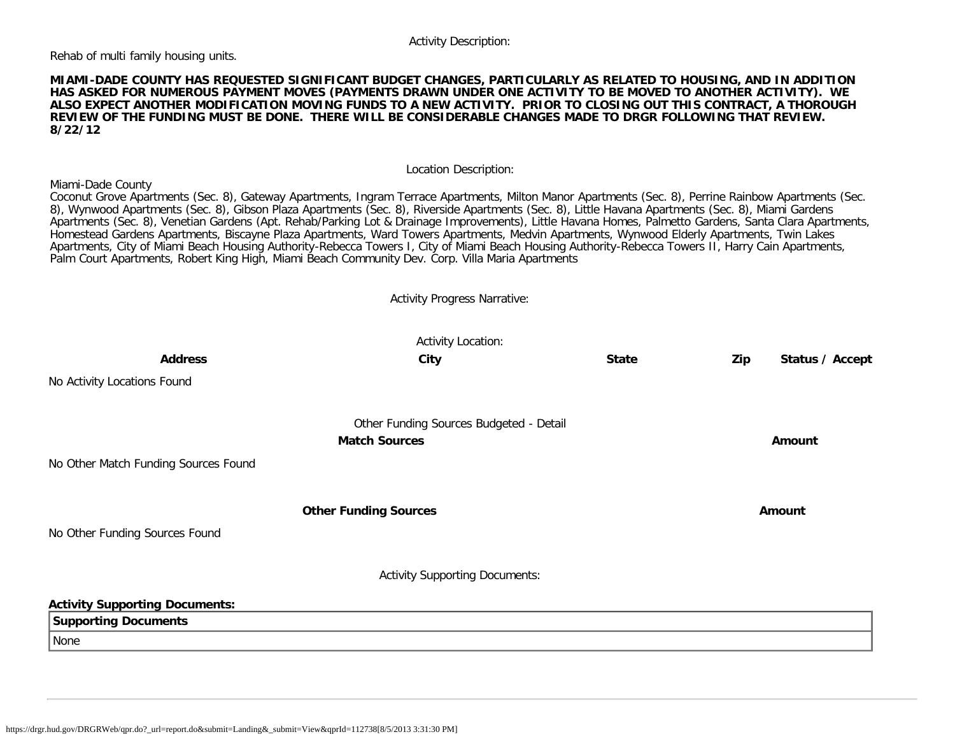#### Activity Description:

Rehab of multi family housing units.

#### **MIAMI-DADE COUNTY HAS REQUESTED SIGNIFICANT BUDGET CHANGES, PARTICULARLY AS RELATED TO HOUSING, AND IN ADDITION HAS ASKED FOR NUMEROUS PAYMENT MOVES (PAYMENTS DRAWN UNDER ONE ACTIVITY TO BE MOVED TO ANOTHER ACTIVITY). WE ALSO EXPECT ANOTHER MODIFICATION MOVING FUNDS TO A NEW ACTIVITY. PRIOR TO CLOSING OUT THIS CONTRACT, A THOROUGH REVIEW OF THE FUNDING MUST BE DONE. THERE WILL BE CONSIDERABLE CHANGES MADE TO DRGR FOLLOWING THAT REVIEW. 8/22/12**

Location Description:

#### Miami-Dade County

Coconut Grove Apartments (Sec. 8), Gateway Apartments, Ingram Terrace Apartments, Milton Manor Apartments (Sec. 8), Perrine Rainbow Apartments (Sec. 8), Wynwood Apartments (Sec. 8), Gibson Plaza Apartments (Sec. 8), Riverside Apartments (Sec. 8), Little Havana Apartments (Sec. 8), Miami Gardens Apartments (Sec. 8), Venetian Gardens (Apt. Rehab/Parking Lot & Drainage Improvements), Little Havana Homes, Palmetto Gardens, Santa Clara Apartments, Homestead Gardens Apartments, Biscayne Plaza Apartments, Ward Towers Apartments, Medvin Apartments, Wynwood Elderly Apartments, Twin Lakes Apartments, City of Miami Beach Housing Authority-Rebecca Towers I, City of Miami Beach Housing Authority-Rebecca Towers II, Harry Cain Apartments, Palm Court Apartments, Robert King High, Miami Beach Community Dev. Corp. Villa Maria Apartments

Activity Progress Narrative:

|                                       | <b>Activity Location:</b>               |              |        |                 |
|---------------------------------------|-----------------------------------------|--------------|--------|-----------------|
| <b>Address</b>                        | City                                    | <b>State</b> | Zip    | Status / Accept |
| No Activity Locations Found           |                                         |              |        |                 |
|                                       | Other Funding Sources Budgeted - Detail |              |        |                 |
|                                       | <b>Match Sources</b>                    |              | Amount |                 |
| No Other Match Funding Sources Found  |                                         |              |        |                 |
|                                       | <b>Other Funding Sources</b>            |              | Amount |                 |
| No Other Funding Sources Found        |                                         |              |        |                 |
|                                       | <b>Activity Supporting Documents:</b>   |              |        |                 |
| <b>Activity Supporting Documents:</b> |                                         |              |        |                 |
| <b>Supporting Documents</b>           |                                         |              |        |                 |
| None                                  |                                         |              |        |                 |
|                                       |                                         |              |        |                 |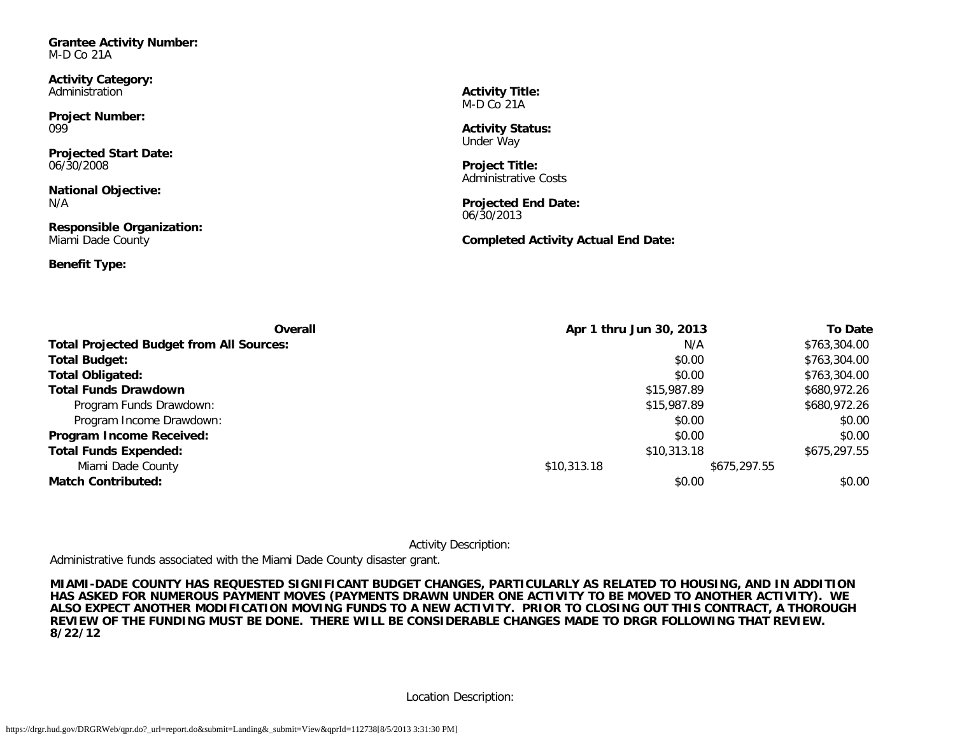<span id="page-39-0"></span>**Grantee Activity Number:** M-D Co 21A

**Activity Category:** Administration

**Project Number:** 099

**Projected Start Date:** 06/30/2008

**National Objective:** N/A

**Responsible Organization:** Miami Dade County

**Benefit Type:**

**Activity Title:** M-D Co 21A

**Activity Status:** Under Way

**Project Title:** Administrative Costs

**Projected End Date:** 06/30/2013

**Completed Activity Actual End Date:**

| <b>Overall</b>                                  | Apr 1 thru Jun 30, 2013 |              | <b>To Date</b> |
|-------------------------------------------------|-------------------------|--------------|----------------|
| <b>Total Projected Budget from All Sources:</b> |                         | N/A          | \$763,304.00   |
| <b>Total Budget:</b>                            |                         | \$0.00       | \$763,304.00   |
| <b>Total Obligated:</b>                         |                         | \$0.00       | \$763,304.00   |
| <b>Total Funds Drawdown</b>                     | \$15,987.89             |              | \$680,972.26   |
| Program Funds Drawdown:                         | \$15,987.89             |              | \$680,972.26   |
| Program Income Drawdown:                        |                         | \$0.00       | \$0.00         |
| Program Income Received:                        |                         | \$0.00       | \$0.00         |
| <b>Total Funds Expended:</b>                    | \$10,313.18             |              | \$675,297.55   |
| Miami Dade County                               | \$10,313.18             | \$675,297.55 |                |
| <b>Match Contributed:</b>                       |                         | \$0.00       | \$0.00         |

Activity Description:

Administrative funds associated with the Miami Dade County disaster grant.

**MIAMI-DADE COUNTY HAS REQUESTED SIGNIFICANT BUDGET CHANGES, PARTICULARLY AS RELATED TO HOUSING, AND IN ADDITION HAS ASKED FOR NUMEROUS PAYMENT MOVES (PAYMENTS DRAWN UNDER ONE ACTIVITY TO BE MOVED TO ANOTHER ACTIVITY). WE ALSO EXPECT ANOTHER MODIFICATION MOVING FUNDS TO A NEW ACTIVITY. PRIOR TO CLOSING OUT THIS CONTRACT, A THOROUGH REVIEW OF THE FUNDING MUST BE DONE. THERE WILL BE CONSIDERABLE CHANGES MADE TO DRGR FOLLOWING THAT REVIEW. 8/22/12**

Location Description: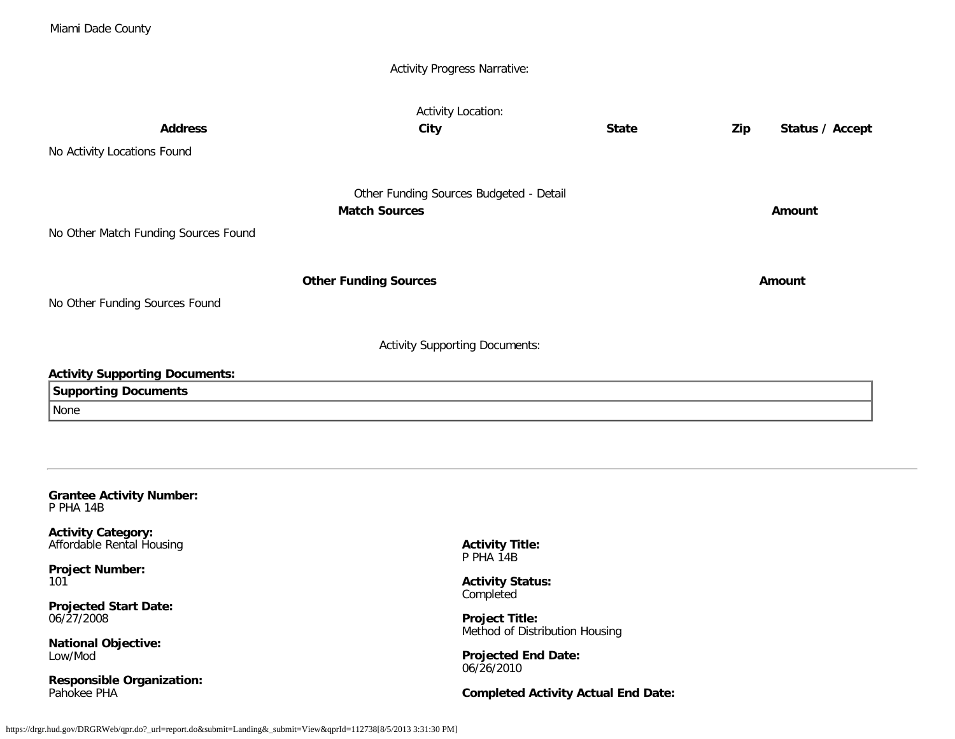|                                                        | <b>Activity Progress Narrative:</b>                     |              |                        |
|--------------------------------------------------------|---------------------------------------------------------|--------------|------------------------|
|                                                        | <b>Activity Location:</b>                               |              |                        |
| <b>Address</b>                                         | City                                                    | <b>State</b> | Status / Accept<br>Zip |
| No Activity Locations Found                            |                                                         |              |                        |
|                                                        | Other Funding Sources Budgeted - Detail                 |              |                        |
|                                                        | <b>Match Sources</b>                                    |              | Amount                 |
| No Other Match Funding Sources Found                   |                                                         |              |                        |
|                                                        | <b>Other Funding Sources</b>                            |              | Amount                 |
| No Other Funding Sources Found                         |                                                         |              |                        |
|                                                        | <b>Activity Supporting Documents:</b>                   |              |                        |
| <b>Activity Supporting Documents:</b>                  |                                                         |              |                        |
| <b>Supporting Documents</b>                            |                                                         |              |                        |
| None                                                   |                                                         |              |                        |
|                                                        |                                                         |              |                        |
| <b>Grantee Activity Number:</b><br>P PHA 14B           |                                                         |              |                        |
| <b>Activity Category:</b><br>Affordable Rental Housing | <b>Activity Title:</b><br>P PHA 14B                     |              |                        |
| <b>Project Number:</b><br>101                          | <b>Activity Status:</b><br>Completed                    |              |                        |
| <b>Projected Start Date:</b><br>06/27/2008             | <b>Project Title:</b><br>Method of Distribution Housing |              |                        |
| <b>National Objective:</b><br>Low/Mod                  | <b>Projected End Date:</b>                              |              |                        |

<span id="page-40-0"></span>**Responsible Organization:** Pahokee PHA

**Completed Activity Actual End Date:**

06/26/2010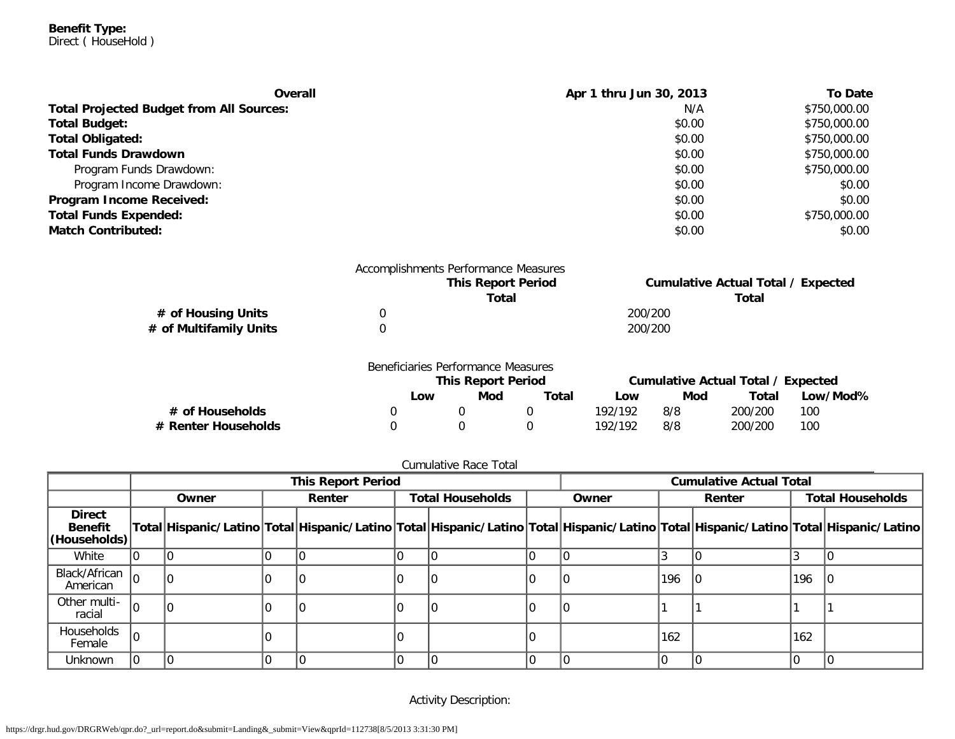**Benefit Type:** Direct ( HouseHold )

| Overall                                         | Apr 1 thru Jun 30, 2013 | <b>To Date</b> |
|-------------------------------------------------|-------------------------|----------------|
| <b>Total Projected Budget from All Sources:</b> | N/A                     | \$750,000.00   |
| <b>Total Budget:</b>                            | \$0.00                  | \$750,000.00   |
| <b>Total Obligated:</b>                         | \$0.00                  | \$750,000.00   |
| <b>Total Funds Drawdown</b>                     | \$0.00                  | \$750,000.00   |
| Program Funds Drawdown:                         | \$0.00                  | \$750,000.00   |
| Program Income Drawdown:                        | \$0.00                  | \$0.00         |
| Program Income Received:                        | \$0.00                  | \$0.00         |
| <b>Total Funds Expended:</b>                    | \$0.00                  | \$750,000.00   |
| <b>Match Contributed:</b>                       | \$0.00                  | \$0.00         |

|                        | Accomplishments Performance Measures |                                           |
|------------------------|--------------------------------------|-------------------------------------------|
|                        | <b>This Report Period</b>            | <b>Cumulative Actual Total / Expected</b> |
|                        | Total                                | Total                                     |
| # of Housing Units     |                                      | 200/200                                   |
| # of Multifamily Units |                                      | 200/200                                   |

|                     | Beneficiaries Performance Measures |     |       |                                    |     |         |          |
|---------------------|------------------------------------|-----|-------|------------------------------------|-----|---------|----------|
|                     | <b>This Report Period</b>          |     |       | Cumulative Actual Total / Expected |     |         |          |
|                     | Low                                | Mod | Total | Low                                | Mod | Total   | Low/Mod% |
| # of Households     |                                    |     |       | 192/192                            | 8/8 | 200/200 | 100      |
| # Renter Households |                                    |     |       | 192/192                            | 8/8 | 200/200 | 100      |

|                                                 | <b>This Report Period</b> |       |  |        |  | <b>Cumulative Actual Total</b> |  |                                                                                                                                     |        |  |     |                         |  |
|-------------------------------------------------|---------------------------|-------|--|--------|--|--------------------------------|--|-------------------------------------------------------------------------------------------------------------------------------------|--------|--|-----|-------------------------|--|
|                                                 |                           | Owner |  | Renter |  | <b>Total Households</b>        |  | Owner                                                                                                                               | Renter |  |     | <b>Total Households</b> |  |
| <b>Direct</b><br><b>Benefit</b><br>(Households) |                           |       |  |        |  |                                |  | Total Hispanic/Latino Total Hispanic/Latino Total Hispanic/Latino Total Hispanic/Latino Total Hispanic/Latino Total Hispanic/Latino |        |  |     |                         |  |
| White                                           |                           |       |  |        |  |                                |  |                                                                                                                                     |        |  |     |                         |  |
| Black/African<br>American                       |                           |       |  |        |  |                                |  |                                                                                                                                     | 196    |  | 196 |                         |  |
| Other multi-<br>racial                          | l٥                        |       |  |        |  |                                |  |                                                                                                                                     |        |  |     |                         |  |
| Households<br>Female                            |                           |       |  |        |  |                                |  |                                                                                                                                     | 162    |  | 162 |                         |  |
| <b>Unknown</b>                                  |                           |       |  |        |  |                                |  |                                                                                                                                     |        |  |     |                         |  |

Activity Description: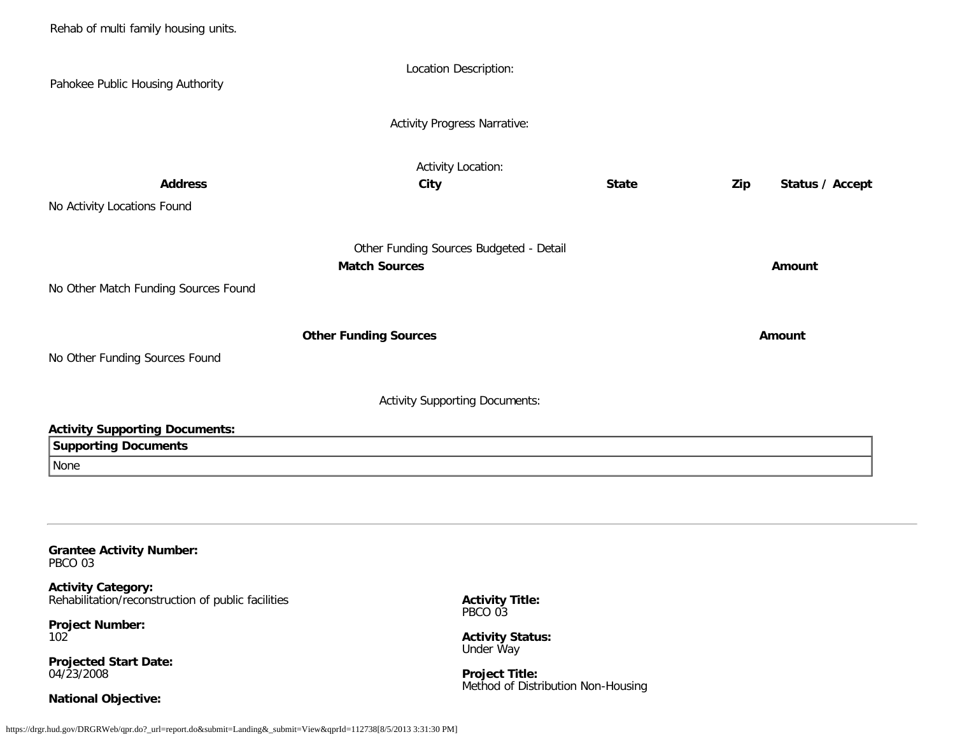Rehab of multi family housing units. Location Description: Pahokee Public Housing Authority Activity Progress Narrative: Activity Location: **Address City State Zip Status / Accept** No Activity Locations Found Other Funding Sources Budgeted - Detail **Match Sources Amount** No Other Match Funding Sources Found **Other Funding Sources Amount Amount Amount** No Other Funding Sources Found Activity Supporting Documents: **Activity Supporting Documents: Supporting Documents** None **Grantee Activity Number:** PBCO 03 **Activity Category:** Rehabilitation/reconstruction of public facilities **Project Number:** 102 **Projected Start Date: Activity Title:** PBCO 03 **Activity Status:** Under Way

**Project Title:** Method of Distribution Non-Housing

<span id="page-42-0"></span>04/23/2008

**National Objective:**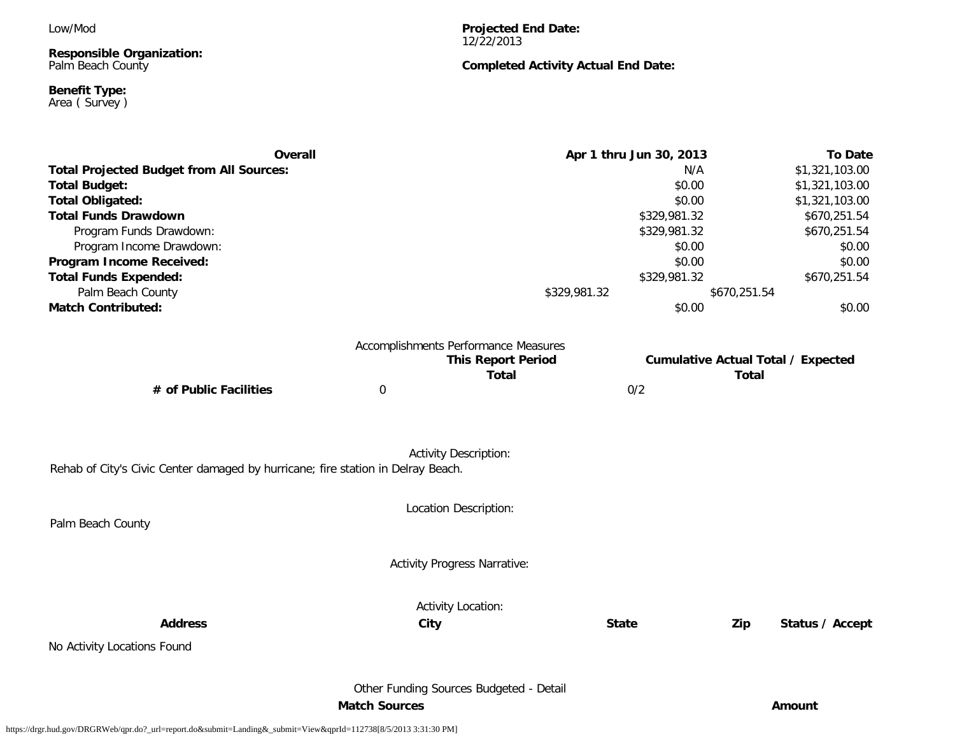Low/Mod

**Responsible Organization:** Palm Beach County

#### **Benefit Type:** Area ( Survey )

**Projected End Date:** 12/22/2013

## **Completed Activity Actual End Date:**

| <b>Overall</b>                                                                   |                      |                                         | Apr 1 thru Jun 30, 2013 |              | <b>To Date</b>                            |
|----------------------------------------------------------------------------------|----------------------|-----------------------------------------|-------------------------|--------------|-------------------------------------------|
| <b>Total Projected Budget from All Sources:</b>                                  |                      |                                         | N/A                     |              | \$1,321,103.00                            |
| <b>Total Budget:</b>                                                             |                      |                                         | \$0.00                  |              | \$1,321,103.00                            |
| <b>Total Obligated:</b>                                                          |                      |                                         | \$0.00                  |              | \$1,321,103.00                            |
| <b>Total Funds Drawdown</b>                                                      |                      |                                         | \$329,981.32            |              | \$670,251.54                              |
| Program Funds Drawdown:                                                          |                      |                                         | \$329,981.32            |              | \$670,251.54                              |
| Program Income Drawdown:                                                         |                      |                                         | \$0.00                  |              | \$0.00                                    |
| Program Income Received:                                                         |                      |                                         | \$0.00                  |              | \$0.00                                    |
| <b>Total Funds Expended:</b>                                                     |                      |                                         | \$329,981.32            |              | \$670,251.54                              |
| Palm Beach County                                                                |                      | \$329,981.32                            |                         | \$670,251.54 |                                           |
| <b>Match Contributed:</b>                                                        |                      |                                         | \$0.00                  |              | \$0.00                                    |
|                                                                                  |                      |                                         |                         |              |                                           |
|                                                                                  |                      | Accomplishments Performance Measures    |                         |              |                                           |
|                                                                                  |                      | <b>This Report Period</b>               |                         |              | <b>Cumulative Actual Total / Expected</b> |
|                                                                                  |                      | <b>Total</b>                            |                         | <b>Total</b> |                                           |
| # of Public Facilities                                                           | $\boldsymbol{0}$     |                                         | 0/2                     |              |                                           |
|                                                                                  |                      |                                         |                         |              |                                           |
|                                                                                  |                      |                                         |                         |              |                                           |
|                                                                                  |                      | <b>Activity Description:</b>            |                         |              |                                           |
| Rehab of City's Civic Center damaged by hurricane; fire station in Delray Beach. |                      |                                         |                         |              |                                           |
|                                                                                  |                      | Location Description:                   |                         |              |                                           |
| Palm Beach County                                                                |                      |                                         |                         |              |                                           |
|                                                                                  |                      |                                         |                         |              |                                           |
|                                                                                  |                      | <b>Activity Progress Narrative:</b>     |                         |              |                                           |
|                                                                                  |                      |                                         |                         |              |                                           |
|                                                                                  |                      | <b>Activity Location:</b>               |                         |              |                                           |
| <b>Address</b>                                                                   | City                 |                                         | <b>State</b>            | Zip          | Status / Accept                           |
| No Activity Locations Found                                                      |                      |                                         |                         |              |                                           |
|                                                                                  |                      |                                         |                         |              |                                           |
|                                                                                  |                      | Other Funding Sources Budgeted - Detail |                         |              |                                           |
|                                                                                  | <b>Match Sources</b> |                                         |                         |              | Amount                                    |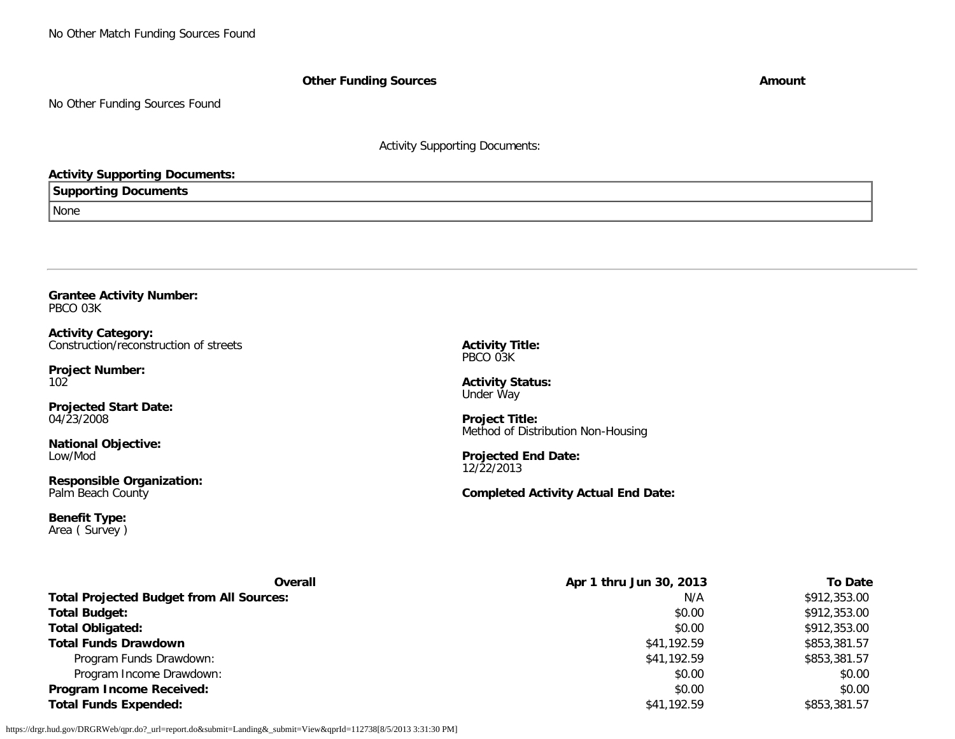No Other Match Funding Sources Found

**Other Funding Sources Amount** 

No Other Funding Sources Found

Activity Supporting Documents:

## **Activity Supporting Documents:**

## **Supporting Documents**

None

#### <span id="page-44-0"></span>**Grantee Activity Number:** PBCO 03K

**Activity Category:** Construction/reconstruction of streets

**Project Number:** 102

**Projected Start Date:** 04/23/2008

**National Objective:** Low/Mod

**Responsible Organization:** Palm Beach County

**Benefit Type:** Area ( Survey ) **Activity Title:** PBCO 03K

**Activity Status:** Under Way

**Project Title:** Method of Distribution Non-Housing

**Projected End Date:** 12/22/2013

**Completed Activity Actual End Date:**

| <b>Overall</b>                                  | Apr 1 thru Jun 30, 2013 | <b>To Date</b> |
|-------------------------------------------------|-------------------------|----------------|
| <b>Total Projected Budget from All Sources:</b> | N/A                     | \$912,353.00   |
| <b>Total Budget:</b>                            | \$0.00                  | \$912,353.00   |
| <b>Total Obligated:</b>                         | \$0.00                  | \$912,353.00   |
| <b>Total Funds Drawdown</b>                     | \$41,192.59             | \$853,381.57   |
| Program Funds Drawdown:                         | \$41,192.59             | \$853,381.57   |
| Program Income Drawdown:                        | \$0.00                  | \$0.00         |
| <b>Program Income Received:</b>                 | \$0.00                  | \$0.00         |
| <b>Total Funds Expended:</b>                    | \$41,192.59             | \$853,381.57   |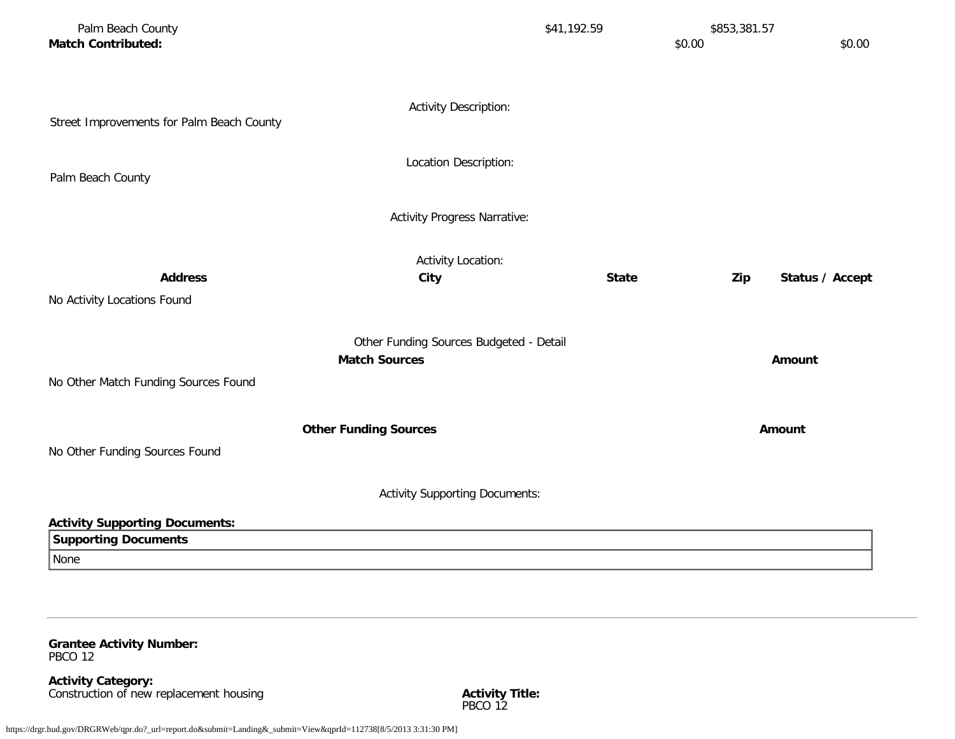| Palm Beach County<br><b>Match Contributed:</b> |                                       | \$41,192.59  | \$853,381.57<br>\$0.00<br>\$0.00 |
|------------------------------------------------|---------------------------------------|--------------|----------------------------------|
| Street Improvements for Palm Beach County      | <b>Activity Description:</b>          |              |                                  |
| Palm Beach County                              | Location Description:                 |              |                                  |
|                                                | <b>Activity Progress Narrative:</b>   |              |                                  |
| <b>Address</b>                                 | <b>Activity Location:</b><br>City     | <b>State</b> | Zip<br>Status / Accept           |
| No Activity Locations Found                    |                                       |              |                                  |
| No Other Match Funding Sources Found           | Amount                                |              |                                  |
| No Other Funding Sources Found                 | <b>Other Funding Sources</b>          |              | <b>Amount</b>                    |
|                                                | <b>Activity Supporting Documents:</b> |              |                                  |
| <b>Activity Supporting Documents:</b>          |                                       |              |                                  |
| <b>Supporting Documents</b>                    |                                       |              |                                  |
| None                                           |                                       |              |                                  |

<span id="page-45-0"></span>**Grantee Activity Number:** PBCO 12

**Activity Category:** Construction of new replacement housing **Activity Title:** Activity Title: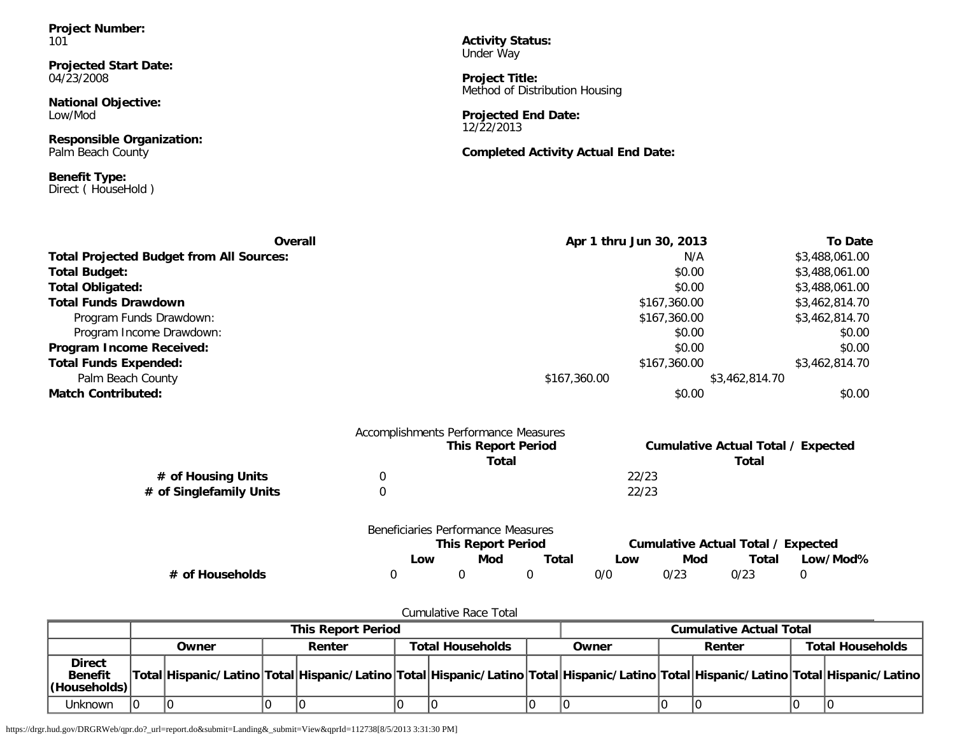**Project Number:** 101

**Projected Start Date:** 04/23/2008

**National Objective:** Low/Mod

**Responsible Organization:** Palm Beach County

**Benefit Type:** Direct ( HouseHold )

**Activity Status:** Under Way

**Project Title:** Method of Distribution Housing

**Projected End Date:** 12/22/2013

**Completed Activity Actual End Date:**

| Overall                                         | Apr 1 thru Jun 30, 2013                                    | <b>To Date</b>                       |
|-------------------------------------------------|------------------------------------------------------------|--------------------------------------|
| <b>Total Projected Budget from All Sources:</b> | N/A                                                        | \$3,488,061.00                       |
| <b>Total Budget:</b>                            | \$0.00                                                     | \$3,488,061.00                       |
| <b>Total Obligated:</b>                         | \$0.00                                                     | \$3,488,061.00                       |
| <b>Total Funds Drawdown</b>                     | \$167,360.00                                               | \$3,462,814.70                       |
| Program Funds Drawdown:                         | \$167,360.00                                               | \$3,462,814.70                       |
| Program Income Drawdown:                        | \$0.00                                                     | \$0.00                               |
| Program Income Received:                        | \$0.00                                                     | \$0.00                               |
| <b>Total Funds Expended:</b>                    | \$167,360.00                                               | \$3,462,814.70                       |
| Palm Beach County                               | \$167,360.00                                               | \$3,462,814.70                       |
| <b>Match Contributed:</b>                       | \$0.00                                                     | \$0.00                               |
|                                                 | Accomplishments Performance Measures<br>This Danaut Daviad | Currichting Batual Tatal / Evropetad |

|                         | <b>This Report Period</b> | Cumulative Actual Total / Expected |
|-------------------------|---------------------------|------------------------------------|
|                         | Total                     | Total                              |
| # of Housing Units      |                           | 22/23                              |
| # of Singlefamily Units |                           | 22/23                              |
|                         |                           |                                    |

|                 | Beneficiaries Performance Measures |                           |       |     |                                    |       |          |  |
|-----------------|------------------------------------|---------------------------|-------|-----|------------------------------------|-------|----------|--|
|                 |                                    | <b>This Report Period</b> |       |     | Cumulative Actual Total / Expected |       |          |  |
|                 | _OW                                | Mod                       | Total | Low | Mod                                | Total | Low/Mod% |  |
| # of Households |                                    |                           |       | 0/0 | 0/23                               | 0/23  |          |  |

| Cumulative Race Total                           |  |       |  |        |                                |                  |  |       |  |        |  |                                                                                                                                     |
|-------------------------------------------------|--|-------|--|--------|--------------------------------|------------------|--|-------|--|--------|--|-------------------------------------------------------------------------------------------------------------------------------------|
| <b>This Report Period</b>                       |  |       |  |        | <b>Cumulative Actual Total</b> |                  |  |       |  |        |  |                                                                                                                                     |
|                                                 |  | Owner |  | Renter |                                | Total Households |  | Owner |  | Renter |  | <b>Total Households</b>                                                                                                             |
| <b>Direct</b><br><b>Benefit</b><br>(Households) |  |       |  |        |                                |                  |  |       |  |        |  | Total Hispanic/Latino Total Hispanic/Latino Total Hispanic/Latino Total Hispanic/Latino Total Hispanic/Latino Total Hispanic/Latino |
| Unknown                                         |  |       |  |        |                                |                  |  |       |  |        |  |                                                                                                                                     |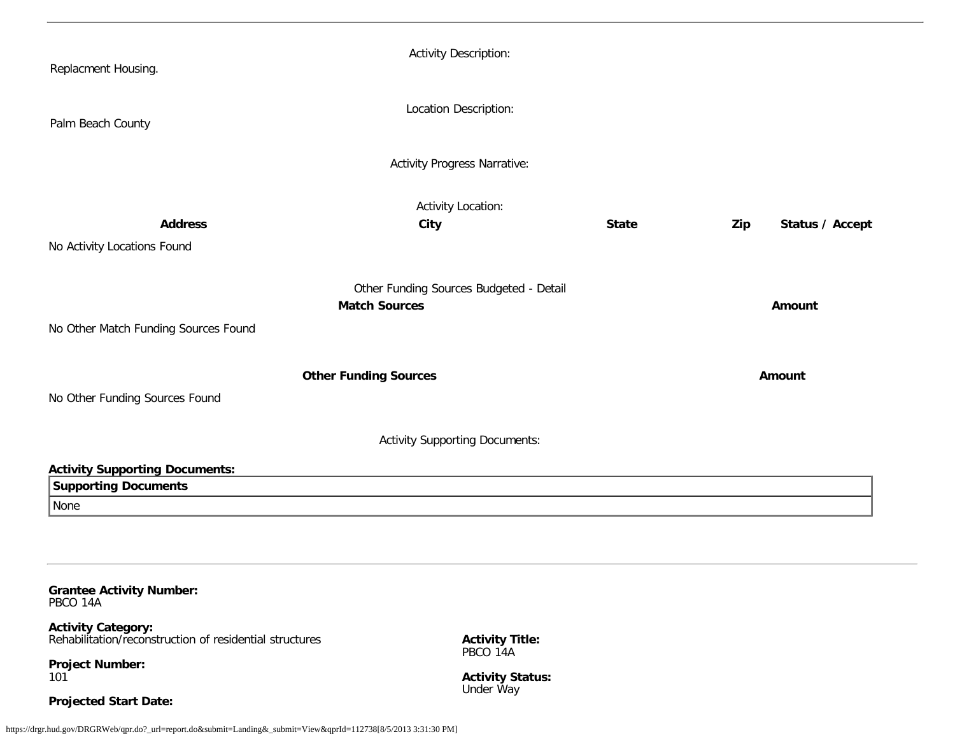| Replacment Housing.                                                                                               | <b>Activity Description:</b>        |              |                        |  |  |  |  |  |  |
|-------------------------------------------------------------------------------------------------------------------|-------------------------------------|--------------|------------------------|--|--|--|--|--|--|
| Palm Beach County                                                                                                 | Location Description:               |              |                        |  |  |  |  |  |  |
|                                                                                                                   | <b>Activity Progress Narrative:</b> |              |                        |  |  |  |  |  |  |
| <b>Address</b>                                                                                                    | <b>Activity Location:</b><br>City   | <b>State</b> | Status / Accept<br>Zip |  |  |  |  |  |  |
| No Activity Locations Found                                                                                       |                                     |              |                        |  |  |  |  |  |  |
| Other Funding Sources Budgeted - Detail<br><b>Match Sources</b><br>Amount<br>No Other Match Funding Sources Found |                                     |              |                        |  |  |  |  |  |  |
| <b>Other Funding Sources</b><br>No Other Funding Sources Found                                                    |                                     | Amount       |                        |  |  |  |  |  |  |
| <b>Activity Supporting Documents:</b>                                                                             |                                     |              |                        |  |  |  |  |  |  |
| <b>Activity Supporting Documents:</b>                                                                             |                                     |              |                        |  |  |  |  |  |  |
| <b>Supporting Documents</b>                                                                                       |                                     |              |                        |  |  |  |  |  |  |
| None                                                                                                              |                                     |              |                        |  |  |  |  |  |  |
|                                                                                                                   |                                     |              |                        |  |  |  |  |  |  |
|                                                                                                                   |                                     |              |                        |  |  |  |  |  |  |

<span id="page-47-0"></span>**Grantee Activity Number:** PBCO 14A

**Activity Category:** Rehabilitation/reconstruction of residential structures

**Project Number:** 101

**Projected Start Date:**

**Activity Title:** PBCO 14A

**Activity Status:** Under Way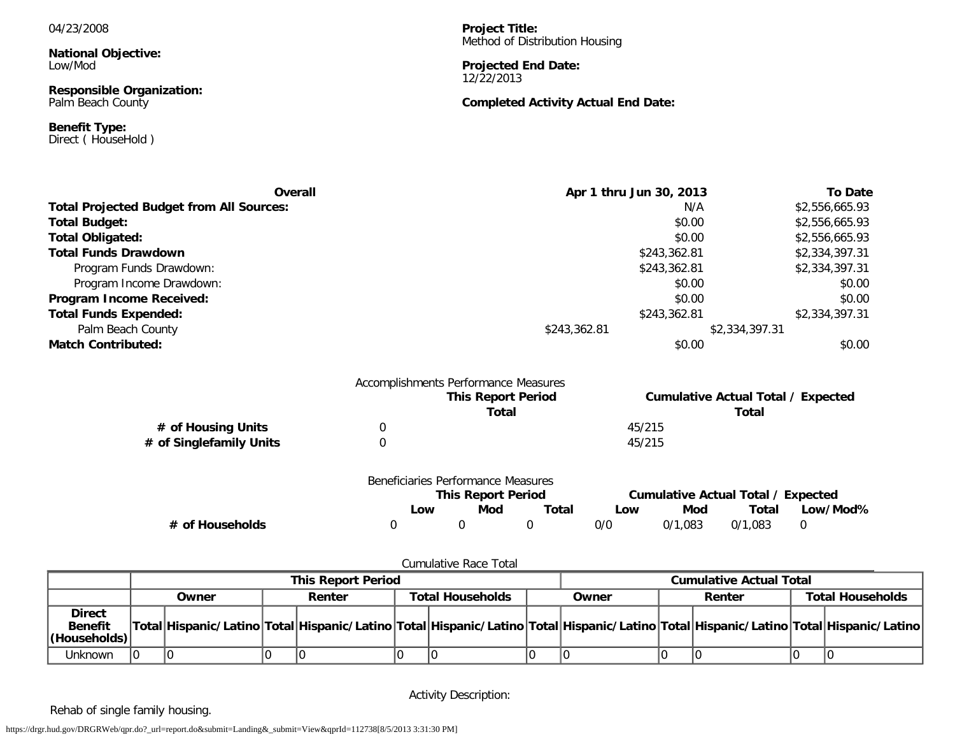#### 04/23/2008

**National Objective:** Low/Mod

**Responsible Organization:** Palm Beach County

**Benefit Type:** Direct ( HouseHold ) **Project Title:** Method of Distribution Housing

#### **Projected End Date:** 12/22/2013

## **Completed Activity Actual End Date:**

| Overall                                         | Apr 1 thru Jun 30, 2013              | <b>To Date</b>                            |
|-------------------------------------------------|--------------------------------------|-------------------------------------------|
| <b>Total Projected Budget from All Sources:</b> | N/A                                  | \$2,556,665.93                            |
| <b>Total Budget:</b>                            | \$0.00                               | \$2,556,665.93                            |
| <b>Total Obligated:</b>                         | \$0.00                               | \$2,556,665.93                            |
| <b>Total Funds Drawdown</b>                     | \$243,362.81                         | \$2,334,397.31                            |
| Program Funds Drawdown:                         | \$243,362.81                         | \$2,334,397.31                            |
| Program Income Drawdown:                        | \$0.00                               | \$0.00                                    |
| Program Income Received:                        | \$0.00                               | \$0.00                                    |
| <b>Total Funds Expended:</b>                    | \$243,362.81                         | \$2,334,397.31                            |
| Palm Beach County                               | \$243,362.81                         | \$2,334,397.31                            |
| <b>Match Contributed:</b>                       | \$0.00                               | \$0.00                                    |
|                                                 | Accomplishments Performance Measures |                                           |
|                                                 | <b>This Report Period</b>            | <b>Cumulative Actual Total / Expected</b> |

|                         |                                    | This Report Period<br>Total |       |        |         | Cumulative Actual Total / Expected<br>Total |          |
|-------------------------|------------------------------------|-----------------------------|-------|--------|---------|---------------------------------------------|----------|
| # of Housing Units      |                                    |                             |       | 45/215 |         |                                             |          |
| # of Singlefamily Units |                                    |                             |       | 45/215 |         |                                             |          |
|                         | Beneficiaries Performance Measures |                             |       |        |         |                                             |          |
|                         |                                    | <b>This Report Period</b>   |       |        |         | <b>Cumulative Actual Total / Expected</b>   |          |
|                         | Low                                | Mod                         | Total | Low    | Mod     | Total                                       | Low/Mod% |
| # of Households         |                                    |                             |       | 0/0    | 0/1.083 | 0/1.083                                     | 0        |

#### Cumulative Race Total

|                                                  |                                                                                                                                     | This Report Period |                         |       | <b>Cumulative Actual Total</b> |                         |
|--------------------------------------------------|-------------------------------------------------------------------------------------------------------------------------------------|--------------------|-------------------------|-------|--------------------------------|-------------------------|
|                                                  | Owner                                                                                                                               | Renter             | <b>Total Households</b> | Owner | Renter                         | <b>Total Households</b> |
| <b>Direct</b><br><b>Benefit</b><br> (Households) | Total Hispanic/Latino Total Hispanic/Latino Total Hispanic/Latino Total Hispanic/Latino Total Hispanic/Latino Total Hispanic/Latino |                    |                         |       |                                |                         |
| Unknown                                          |                                                                                                                                     |                    |                         |       |                                |                         |

Activity Description:

Rehab of single family housing.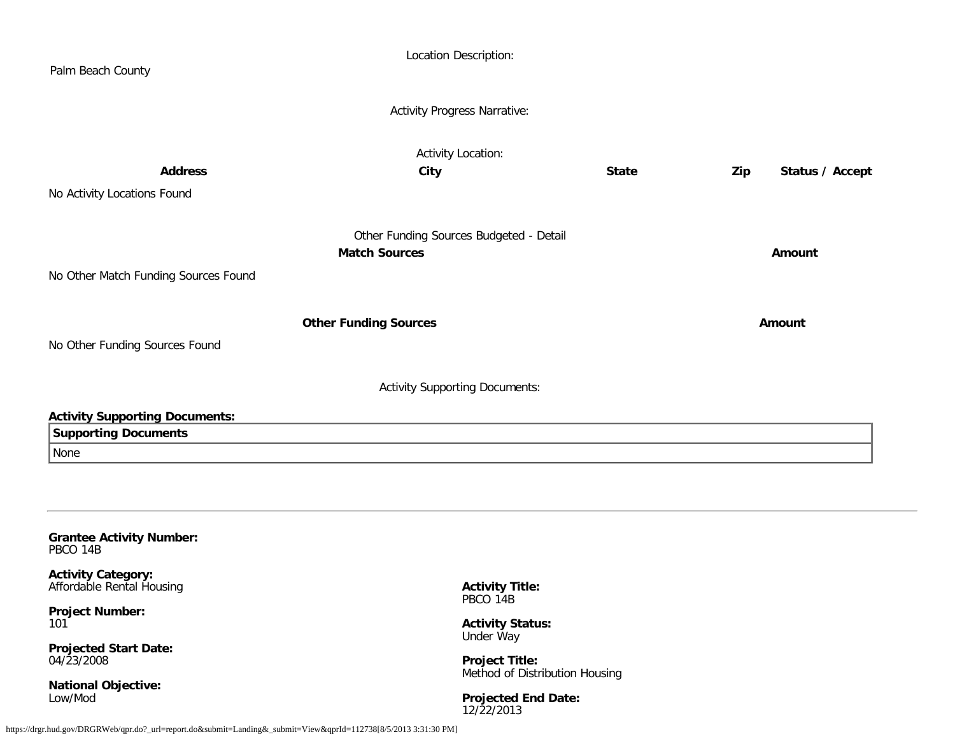<span id="page-49-0"></span>

| Palm Beach County                                                            | Location Description:                                                                           |              |                        |
|------------------------------------------------------------------------------|-------------------------------------------------------------------------------------------------|--------------|------------------------|
|                                                                              | <b>Activity Progress Narrative:</b>                                                             |              |                        |
| <b>Address</b><br>No Activity Locations Found                                | <b>Activity Location:</b><br>City                                                               | <b>State</b> | Status / Accept<br>Zip |
| No Other Match Funding Sources Found                                         | Other Funding Sources Budgeted - Detail<br><b>Match Sources</b>                                 |              | Amount                 |
| No Other Funding Sources Found                                               | <b>Other Funding Sources</b>                                                                    |              | Amount                 |
|                                                                              | <b>Activity Supporting Documents:</b>                                                           |              |                        |
| <b>Activity Supporting Documents:</b><br><b>Supporting Documents</b><br>None |                                                                                                 |              |                        |
| <b>Grantee Activity Number:</b><br>PBCO 14B                                  |                                                                                                 |              |                        |
| <b>Activity Category:</b><br>Affordable Rental Housing                       | <b>Activity Title:</b><br>PBCO 14B                                                              |              |                        |
| <b>Project Number:</b><br>101<br><b>Projected Start Date:</b><br>04/23/2008  | <b>Activity Status:</b><br>Under Way<br><b>Project Title:</b><br>Method of Distribution Housing |              |                        |
| <b>National Objective:</b><br>Low/Mod                                        | <b>Projected End Date:</b>                                                                      |              |                        |

12/22/2013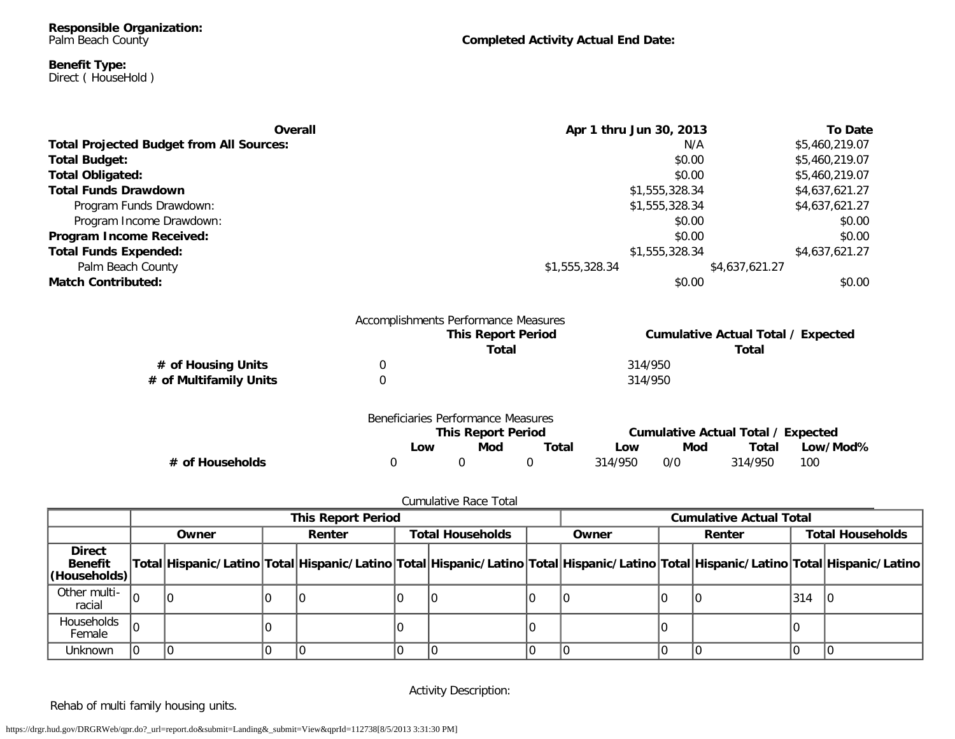## **Completed Activity Actual End Date:**

#### **Benefit Type:** Direct ( HouseHold )

| Overall                                         |                  |                                      |                                                                                                                                                            | <b>To Date</b> |  |  |  |
|-------------------------------------------------|------------------|--------------------------------------|------------------------------------------------------------------------------------------------------------------------------------------------------------|----------------|--|--|--|
| <b>Total Projected Budget from All Sources:</b> |                  |                                      | N/A                                                                                                                                                        | \$5,460,219.07 |  |  |  |
| <b>Total Budget:</b>                            |                  |                                      | \$0.00                                                                                                                                                     | \$5,460,219.07 |  |  |  |
| <b>Total Obligated:</b>                         |                  |                                      | \$0.00<br>\$5,460,219.07                                                                                                                                   |                |  |  |  |
| <b>Total Funds Drawdown</b>                     |                  |                                      | \$1,555,328.34<br>\$4,637,621.27                                                                                                                           |                |  |  |  |
| Program Funds Drawdown:                         |                  |                                      | \$1,555,328.34                                                                                                                                             | \$4,637,621.27 |  |  |  |
| Program Income Drawdown:                        |                  |                                      | \$0.00                                                                                                                                                     | \$0.00         |  |  |  |
| Program Income Received:                        |                  |                                      | \$0.00                                                                                                                                                     | \$0.00         |  |  |  |
| <b>Total Funds Expended:</b>                    |                  |                                      | \$1,555,328.34                                                                                                                                             | \$4,637,621.27 |  |  |  |
| Palm Beach County                               |                  |                                      | Apr 1 thru Jun 30, 2013<br>\$1,555,328.34<br>\$4,637,621.27<br>\$0.00<br><b>Cumulative Actual Total / Expected</b><br>Total<br>Total<br>314/950<br>314/950 |                |  |  |  |
| <b>Match Contributed:</b>                       |                  |                                      |                                                                                                                                                            | \$0.00         |  |  |  |
|                                                 |                  | Accomplishments Performance Measures |                                                                                                                                                            |                |  |  |  |
|                                                 |                  | <b>This Report Period</b>            |                                                                                                                                                            |                |  |  |  |
|                                                 |                  |                                      |                                                                                                                                                            |                |  |  |  |
| # of Housing Units                              | $\boldsymbol{0}$ |                                      |                                                                                                                                                            |                |  |  |  |
| # of Multifamily Units                          | $\boldsymbol{0}$ |                                      |                                                                                                                                                            |                |  |  |  |
|                                                 |                  | Beneficiaries Performance Measures   |                                                                                                                                                            |                |  |  |  |
|                                                 |                  | <b>This Report Period</b>            | <b>Cumulative Actual Total / Expected</b>                                                                                                                  |                |  |  |  |

|                 | <b>DUIDIUMIOJ I UNUNIMIDU MUGUU U</b> | <b>This Report Period</b> |       |         | Cumulative Actual Total / Expected |         |          |  |
|-----------------|---------------------------------------|---------------------------|-------|---------|------------------------------------|---------|----------|--|
|                 | _OW                                   | Mod                       | Total | Low     | Mod                                | Total   | Low/Mod% |  |
| # of Households |                                       |                           |       | 314/950 | 0/0                                | 314/950 | 100      |  |

## Cumulative Race Total

|                                                        |    | <b>This Report Period</b> |        |  |  |                                  |  |                                                                                                                                     | <b>Cumulative Actual Total</b> |                         |     |  |
|--------------------------------------------------------|----|---------------------------|--------|--|--|----------------------------------|--|-------------------------------------------------------------------------------------------------------------------------------------|--------------------------------|-------------------------|-----|--|
|                                                        |    | Owner                     | Renter |  |  | <b>Total Households</b><br>Owner |  | Renter                                                                                                                              |                                | <b>Total Households</b> |     |  |
| <b>Direct</b><br><b>Benefit</b><br><b>(Households)</b> |    |                           |        |  |  |                                  |  | Total Hispanic/Latino Total Hispanic/Latino Total Hispanic/Latino Total Hispanic/Latino Total Hispanic/Latino Total Hispanic/Latino |                                |                         |     |  |
| Other multi-<br>racial                                 | ۱η |                           |        |  |  |                                  |  |                                                                                                                                     |                                |                         | 314 |  |
| Households<br>Female                                   |    |                           |        |  |  |                                  |  |                                                                                                                                     |                                |                         |     |  |
| Unknown                                                |    |                           |        |  |  |                                  |  |                                                                                                                                     |                                |                         |     |  |

Activity Description:

Rehab of multi family housing units.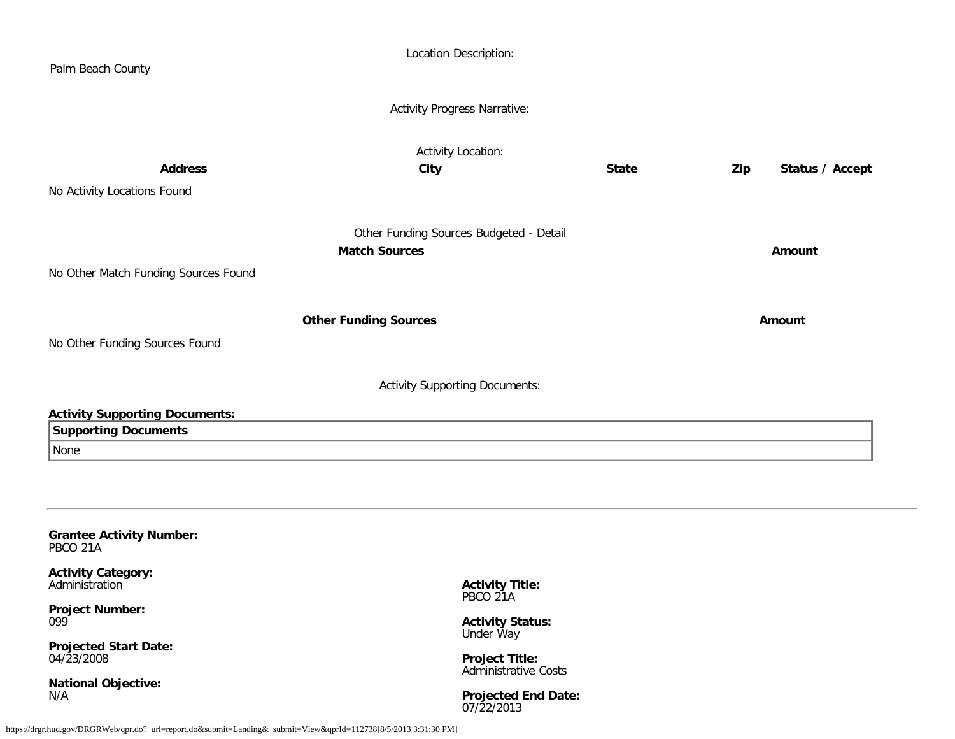| Palm Beach County                                                                                                                                        | Location Description:                                                                                                              |              |                        |
|----------------------------------------------------------------------------------------------------------------------------------------------------------|------------------------------------------------------------------------------------------------------------------------------------|--------------|------------------------|
|                                                                                                                                                          | <b>Activity Progress Narrative:</b>                                                                                                |              |                        |
| <b>Address</b><br>No Activity Locations Found                                                                                                            | <b>Activity Location:</b><br>City                                                                                                  | <b>State</b> | Status / Accept<br>Zip |
| No Other Match Funding Sources Found                                                                                                                     | Other Funding Sources Budgeted - Detail<br><b>Match Sources</b>                                                                    |              | Amount                 |
| No Other Funding Sources Found                                                                                                                           | <b>Other Funding Sources</b>                                                                                                       |              | Amount                 |
|                                                                                                                                                          | <b>Activity Supporting Documents:</b>                                                                                              |              |                        |
| <b>Activity Supporting Documents:</b><br><b>Supporting Documents</b><br>None                                                                             |                                                                                                                                    |              |                        |
| <b>Grantee Activity Number:</b><br>PBCO 21A                                                                                                              |                                                                                                                                    |              |                        |
| <b>Activity Category:</b><br>Administration<br><b>Project Number:</b><br>099<br><b>Projected Start Date:</b><br>04/23/2008<br><b>National Objective:</b> | <b>Activity Title:</b><br>PBCO 21A<br><b>Activity Status:</b><br><b>Under Way</b><br><b>Project Title:</b><br>Administrative Costs |              |                        |
| N/A                                                                                                                                                      | <b>Projected End Date:</b>                                                                                                         |              |                        |

<span id="page-51-0"></span>07/22/2013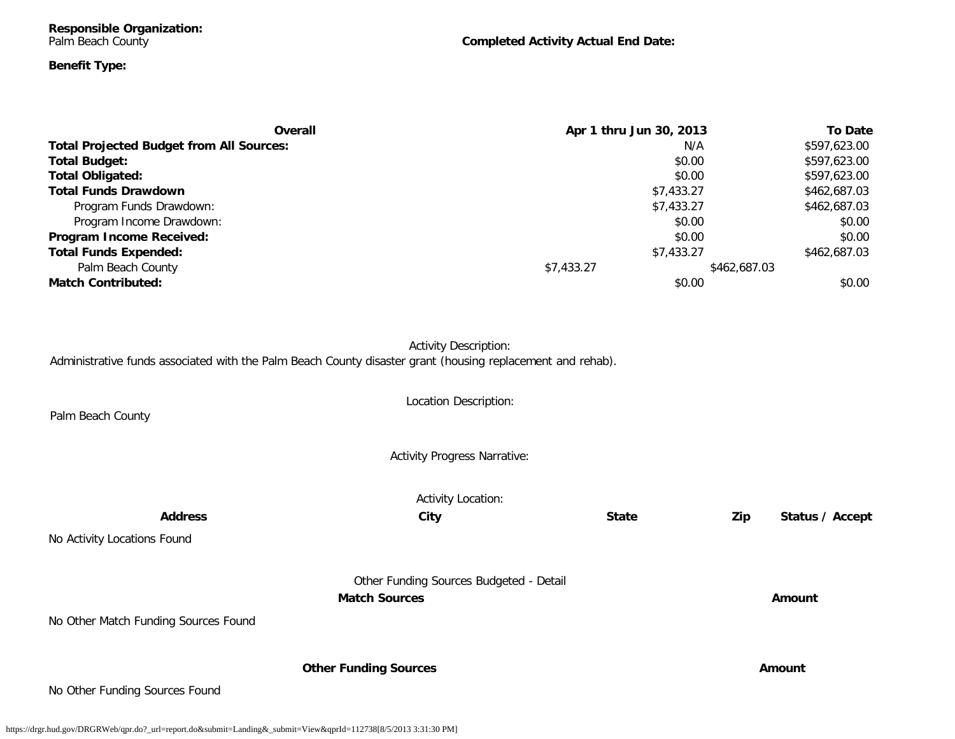**Responsible Organization:** Palm Beach County

**Completed Activity Actual End Date:**

## **Benefit Type:**

| Overall                                         | Apr 1 thru Jun 30, 2013 | <b>To Date</b> |
|-------------------------------------------------|-------------------------|----------------|
| <b>Total Projected Budget from All Sources:</b> | N/A                     | \$597,623.00   |
| <b>Total Budget:</b>                            | \$0.00                  | \$597,623.00   |
| <b>Total Obligated:</b>                         | \$0.00                  | \$597,623.00   |
| <b>Total Funds Drawdown</b>                     | \$7,433.27              | \$462,687.03   |
| Program Funds Drawdown:                         | \$7,433.27              | \$462,687.03   |
| Program Income Drawdown:                        | \$0.00                  | \$0.00         |
| Program Income Received:                        | \$0.00                  | \$0.00         |
| <b>Total Funds Expended:</b>                    | \$7,433.27              | \$462,687.03   |
| Palm Beach County                               | \$7,433.27              | \$462,687.03   |
| <b>Match Contributed:</b>                       | \$0.00                  | \$0.00         |

Activity Description: Administrative funds associated with the Palm Beach County disaster grant (housing replacement and rehab).

Location Description: Palm Beach County Activity Progress Narrative: Activity Location: **Address City State Zip Status / Accept** No Activity Locations Found Other Funding Sources Budgeted - Detail **Match Sources Amount** No Other Match Funding Sources Found **Other Funding Sources Amount Amount Amount** 

No Other Funding Sources Found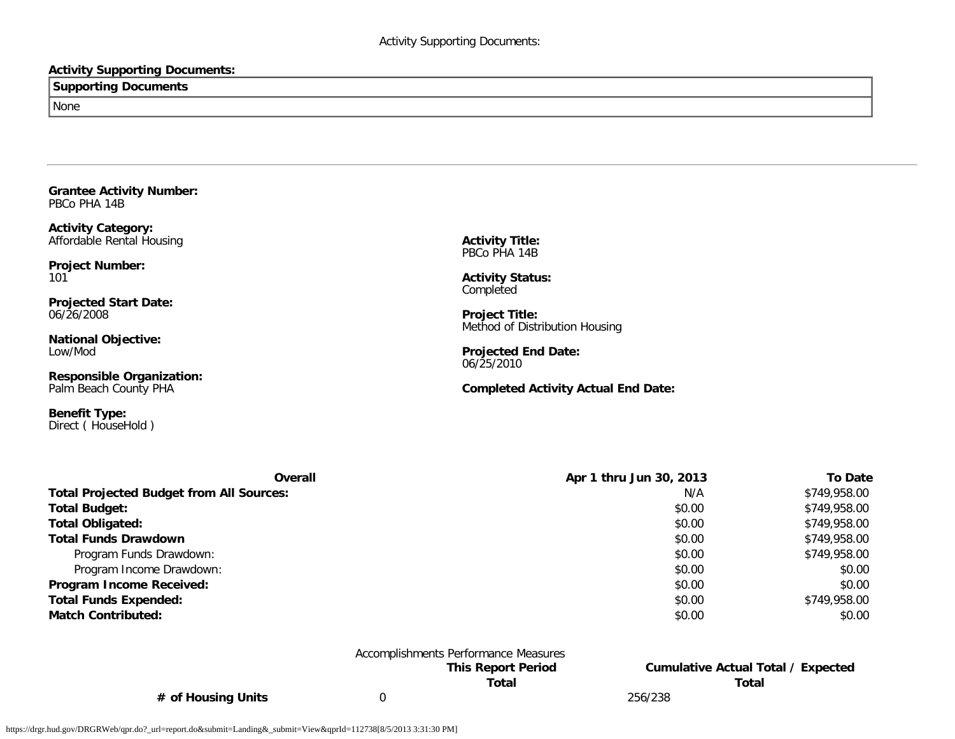## **Activity Supporting Documents:**

**Supporting Documents**

None

<span id="page-53-0"></span>**Grantee Activity Number:** PBCo PHA 14B

**Activity Category:** Affordable Rental Housing

**Project Number:** 101

**Projected Start Date:** 06/26/2008

**National Objective:** Low/Mod

**Responsible Organization:** Palm Beach County PHA

**Benefit Type:** Direct ( HouseHold ) **Activity Title:** PBCo PHA 14B

**Activity Status:** Completed

**Project Title:** Method of Distribution Housing

**Projected End Date:** 06/25/2010

**Completed Activity Actual End Date:**

| <b>Overall</b>                                  | Apr 1 thru Jun 30, 2013<br><b>To Date</b> |              |  |  |  |  |
|-------------------------------------------------|-------------------------------------------|--------------|--|--|--|--|
| <b>Total Projected Budget from All Sources:</b> | N/A                                       | \$749,958.00 |  |  |  |  |
| <b>Total Budget:</b>                            | \$0.00                                    | \$749,958.00 |  |  |  |  |
| <b>Total Obligated:</b>                         | \$0.00                                    | \$749,958.00 |  |  |  |  |
| <b>Total Funds Drawdown</b>                     | \$0.00                                    | \$749,958.00 |  |  |  |  |
| Program Funds Drawdown:                         | \$0.00                                    | \$749,958.00 |  |  |  |  |
| Program Income Drawdown:                        | \$0.00                                    | \$0.00       |  |  |  |  |
| Program Income Received:                        | \$0.00                                    | \$0.00       |  |  |  |  |
| <b>Total Funds Expended:</b>                    | \$0.00                                    | \$749,958.00 |  |  |  |  |
| <b>Match Contributed:</b>                       | \$0.00                                    | \$0.00       |  |  |  |  |

|                    | Accomplishments Performance Measures |         |                                    |
|--------------------|--------------------------------------|---------|------------------------------------|
|                    | <b>This Report Period</b>            |         | Cumulative Actual Total / Expected |
|                    | Total                                |         | Total                              |
| # of Housing Units |                                      | 256/238 |                                    |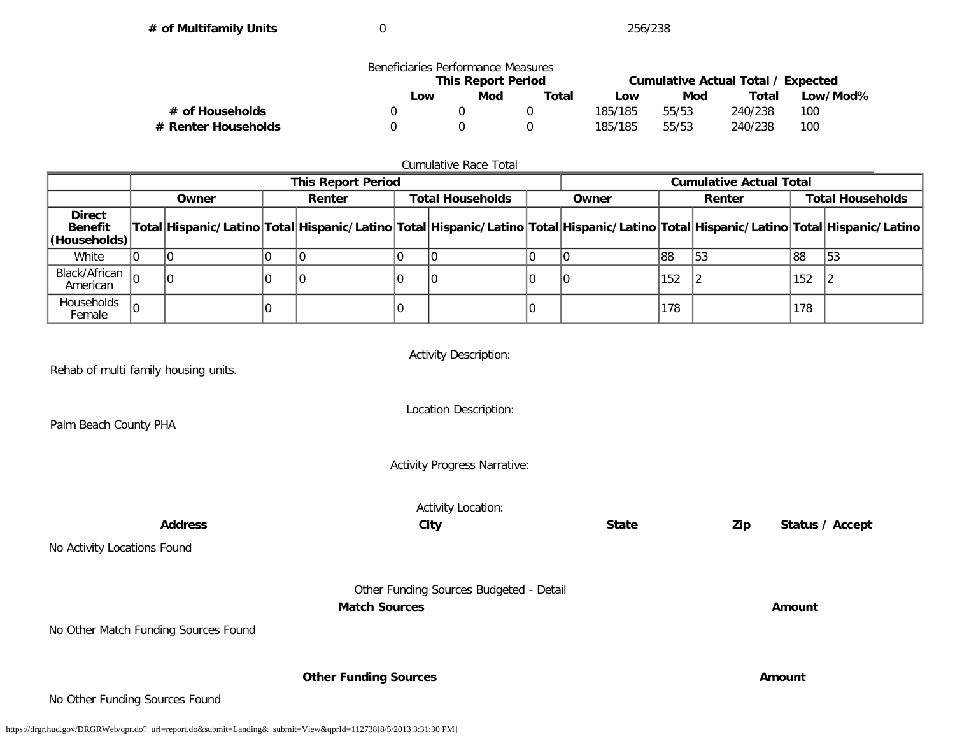**# of Multifamily Units** 0 256/238

|                     | Beneficiaries Performance Measures | <b>This Report Period</b> |     |         |          | Cumulative Actual Total / Expected |     |
|---------------------|------------------------------------|---------------------------|-----|---------|----------|------------------------------------|-----|
|                     | Low                                | ∟ow                       | Mod | Total   | Low/Mod% |                                    |     |
| # of Households     |                                    |                           |     | 185/185 | 55/53    | 240/238                            | 100 |
| # Renter Households |                                    |                           |     | 185/185 | 55/53    | 240/238                            | 100 |

## Cumulative Race Total

|                                                 | <b>This Report Period</b> |        |  |                         |       |  |                                                                                                                                     | <b>Cumulative Actual Total</b> |                         |     |     |
|-------------------------------------------------|---------------------------|--------|--|-------------------------|-------|--|-------------------------------------------------------------------------------------------------------------------------------------|--------------------------------|-------------------------|-----|-----|
|                                                 | Owner                     | Renter |  | <b>Total Households</b> | Owner |  | Renter                                                                                                                              |                                | <b>Total Households</b> |     |     |
| <b>Direct</b><br><b>Benefit</b><br>(Households) |                           |        |  |                         |       |  | Total Hispanic/Latino Total Hispanic/Latino Total Hispanic/Latino Total Hispanic/Latino Total Hispanic/Latino Total Hispanic/Latino |                                |                         |     |     |
| White                                           |                           |        |  |                         |       |  |                                                                                                                                     | 88                             | 153                     | 88  | 153 |
| Black/African $ _0$<br>American                 |                           |        |  |                         |       |  |                                                                                                                                     | 152                            |                         | 152 |     |
| Households<br>Female                            |                           |        |  |                         |       |  |                                                                                                                                     | 178                            |                         | 178 |     |

| Rehab of multi family housing units. | <b>Activity Description:</b>                                    |              |                        |  |  |  |  |  |
|--------------------------------------|-----------------------------------------------------------------|--------------|------------------------|--|--|--|--|--|
| Palm Beach County PHA                | Location Description:                                           |              |                        |  |  |  |  |  |
|                                      | <b>Activity Progress Narrative:</b>                             |              |                        |  |  |  |  |  |
| <b>Activity Location:</b>            |                                                                 |              |                        |  |  |  |  |  |
| <b>Address</b>                       | City                                                            | <b>State</b> | Zip<br>Status / Accept |  |  |  |  |  |
| No Activity Locations Found          |                                                                 |              |                        |  |  |  |  |  |
|                                      | Other Funding Sources Budgeted - Detail<br><b>Match Sources</b> |              | Amount                 |  |  |  |  |  |
| No Other Match Funding Sources Found |                                                                 |              |                        |  |  |  |  |  |
|                                      |                                                                 |              |                        |  |  |  |  |  |
|                                      | <b>Other Funding Sources</b>                                    |              | Amount                 |  |  |  |  |  |
| No Other Funding Sources Found       |                                                                 |              |                        |  |  |  |  |  |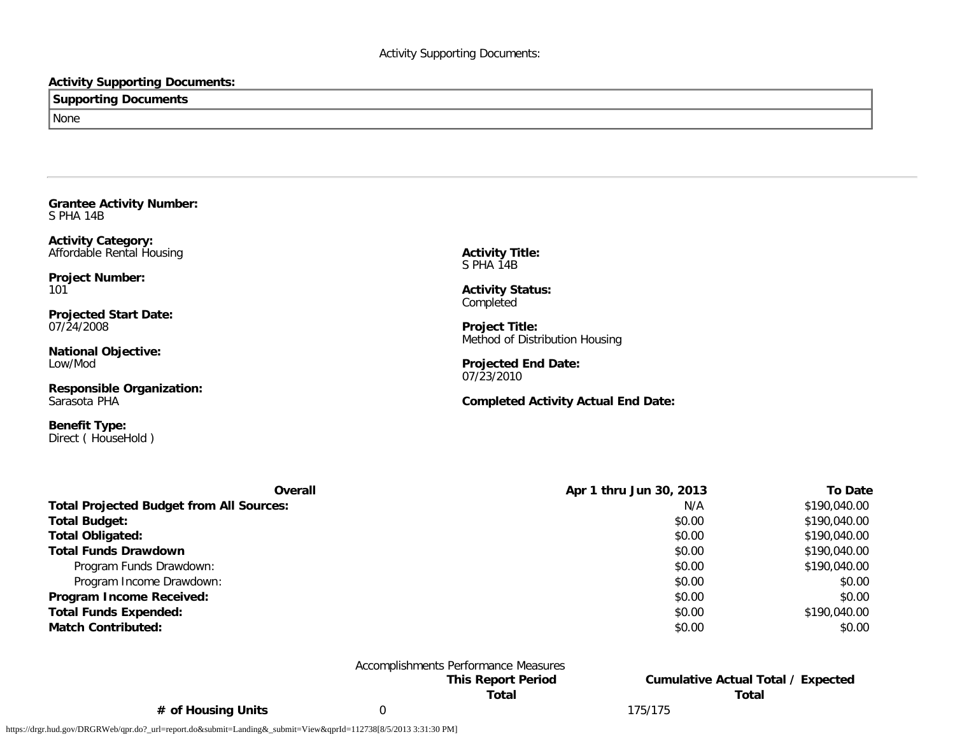### **Activity Supporting Documents:**

## **Supporting Documents** None

<span id="page-55-0"></span>**Grantee Activity Number:** S PHA 14B

**Activity Category:** Affordable Rental Housing

**Project Number:** 101

**Projected Start Date:** 07/24/2008

**National Objective:** Low/Mod

**Responsible Organization:** Sarasota PHA

**Benefit Type:** Direct ( HouseHold ) **Activity Title:** S PHA 14B

**Activity Status: Completed** 

**Project Title:** Method of Distribution Housing

**Projected End Date:** 07/23/2010

**Completed Activity Actual End Date:**

| Overall                                         | Apr 1 thru Jun 30, 2013 | <b>To Date</b> |
|-------------------------------------------------|-------------------------|----------------|
| <b>Total Projected Budget from All Sources:</b> | N/A                     | \$190,040.00   |
| <b>Total Budget:</b>                            | \$0.00                  | \$190,040.00   |
| <b>Total Obligated:</b>                         | \$0.00                  | \$190,040.00   |
| <b>Total Funds Drawdown</b>                     | \$0.00                  | \$190,040.00   |
| Program Funds Drawdown:                         | \$0.00                  | \$190,040.00   |
| Program Income Drawdown:                        | \$0.00                  | \$0.00         |
| Program Income Received:                        | \$0.00                  | \$0.00         |
| <b>Total Funds Expended:</b>                    | \$0.00                  | \$190,040.00   |
| <b>Match Contributed:</b>                       | \$0.00                  | \$0.00         |

## Accomplishments Performance Measures

**This Report Period Cumulative Actual Total / Expected Total Total**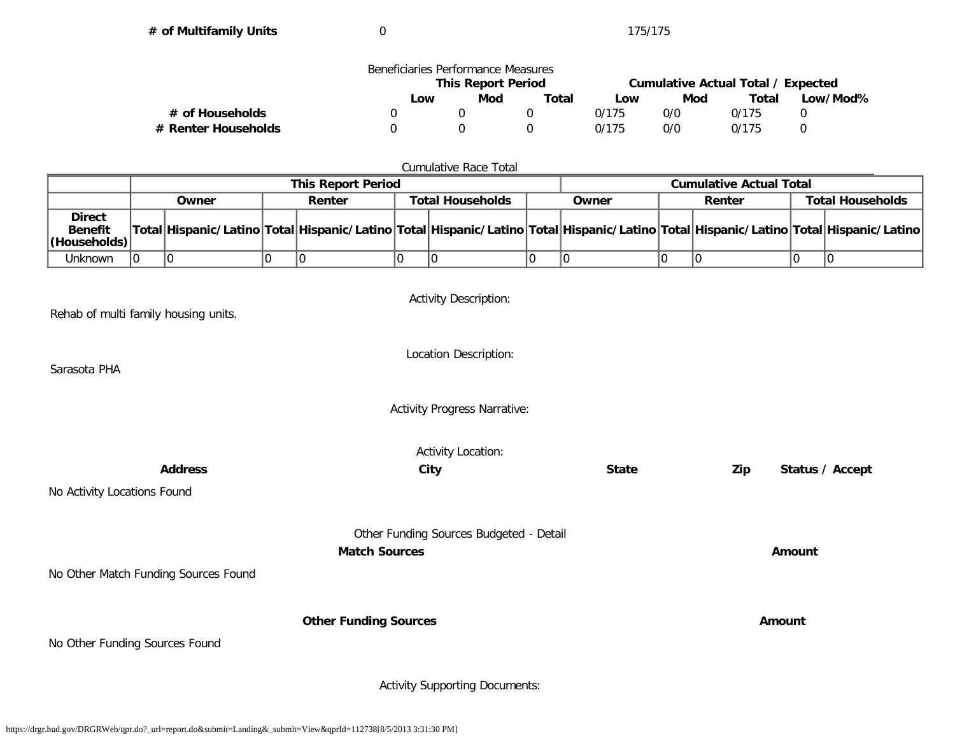**# of Multifamily Units** 0 175/175

|                     | Beneficiaries Performance Measures |     |       |                                    |     |       |          |
|---------------------|------------------------------------|-----|-------|------------------------------------|-----|-------|----------|
|                     | <b>This Report Period</b>          |     |       | Cumulative Actual Total / Expected |     |       |          |
|                     | Low                                | Mod | Total | Low                                | Mod | Total | Low/Mod% |
| # of Households     |                                    |     |       | 0/175                              | 0/0 | 0/175 |          |
| # Renter Households |                                    |     |       | 0/175                              | 0/0 | 0/175 |          |

#### Cumulative Race Total

|                                                         | <b>This Report Period</b> |       |  |        |                         |  | <b>Cumulative Actual Total</b> |        |  |                         |  |                                                                                                                                     |
|---------------------------------------------------------|---------------------------|-------|--|--------|-------------------------|--|--------------------------------|--------|--|-------------------------|--|-------------------------------------------------------------------------------------------------------------------------------------|
|                                                         |                           | Owner |  | Renter | <b>Total Households</b> |  | Owner                          | Renter |  | <b>Total Households</b> |  |                                                                                                                                     |
| <b>Direct</b><br><b>Benefit</b><br>$ $ (Households) $ $ |                           |       |  |        |                         |  |                                |        |  |                         |  | Total Hispanic/Latino Total Hispanic/Latino Total Hispanic/Latino Total Hispanic/Latino Total Hispanic/Latino Total Hispanic/Latino |
| Unknown                                                 |                           |       |  |        |                         |  |                                |        |  |                         |  |                                                                                                                                     |

Activity Description: Rehab of multi family housing units. Location Description: Sarasota PHA Activity Progress Narrative: Activity Location: **Address City State Zip Status / Accept** No Activity Locations Found Other Funding Sources Budgeted - Detail **Match Sources Amount** No Other Match Funding Sources Found **Other Funding Sources Amount** No Other Funding Sources Found

Activity Supporting Documents: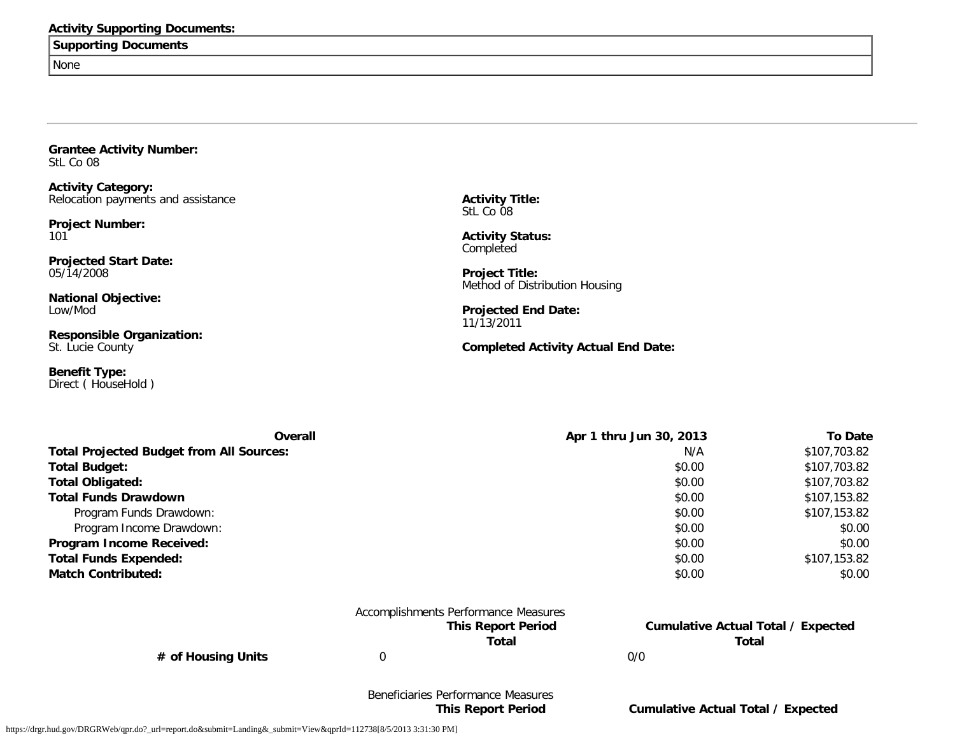#### **Activity Supporting Documents:**

## **Supporting Documents**

None

<span id="page-57-0"></span>**Grantee Activity Number:** StL Co 08

**Activity Category:** Relocation payments and assistance

**Project Number:** 101

**Projected Start Date:** 05/14/2008

**National Objective:** Low/Mod

**Responsible Organization:** St. Lucie County

**Benefit Type:** Direct ( HouseHold ) **Activity Title:** StL Co 08

**Activity Status:** Completed

**Project Title:** Method of Distribution Housing

**Projected End Date:** 11/13/2011

#### **Completed Activity Actual End Date:**

| Overall                                         | Apr 1 thru Jun 30, 2013 | <b>To Date</b> |
|-------------------------------------------------|-------------------------|----------------|
| <b>Total Projected Budget from All Sources:</b> | N/A                     | \$107,703.82   |
| <b>Total Budget:</b>                            | \$0.00                  | \$107,703.82   |
| <b>Total Obligated:</b>                         | \$0.00                  | \$107,703.82   |
| <b>Total Funds Drawdown</b>                     | \$0.00                  | \$107,153.82   |
| Program Funds Drawdown:                         | \$0.00                  | \$107,153.82   |
| Program Income Drawdown:                        | \$0.00                  | \$0.00         |
| Program Income Received:                        | \$0.00                  | \$0.00         |
| <b>Total Funds Expended:</b>                    | \$0.00                  | \$107,153.82   |
| <b>Match Contributed:</b>                       | \$0.00                  | \$0.00         |

| Accomplishments Performance Measures |     |                                    |
|--------------------------------------|-----|------------------------------------|
| <b>This Report Period</b>            |     | Cumulative Actual Total / Expected |
| Total                                |     | Total                              |
|                                      | 0/0 |                                    |

# of Housing Units

# Beneficiaries Performance Measures

#### https://drgr.hud.gov/DRGRWeb/qpr.do?\_url=report.do&submit=Landing&\_submit=View&qprId=112738[8/5/2013 3:31:30 PM]

**This Report Period Cumulative Actual Total / Expected**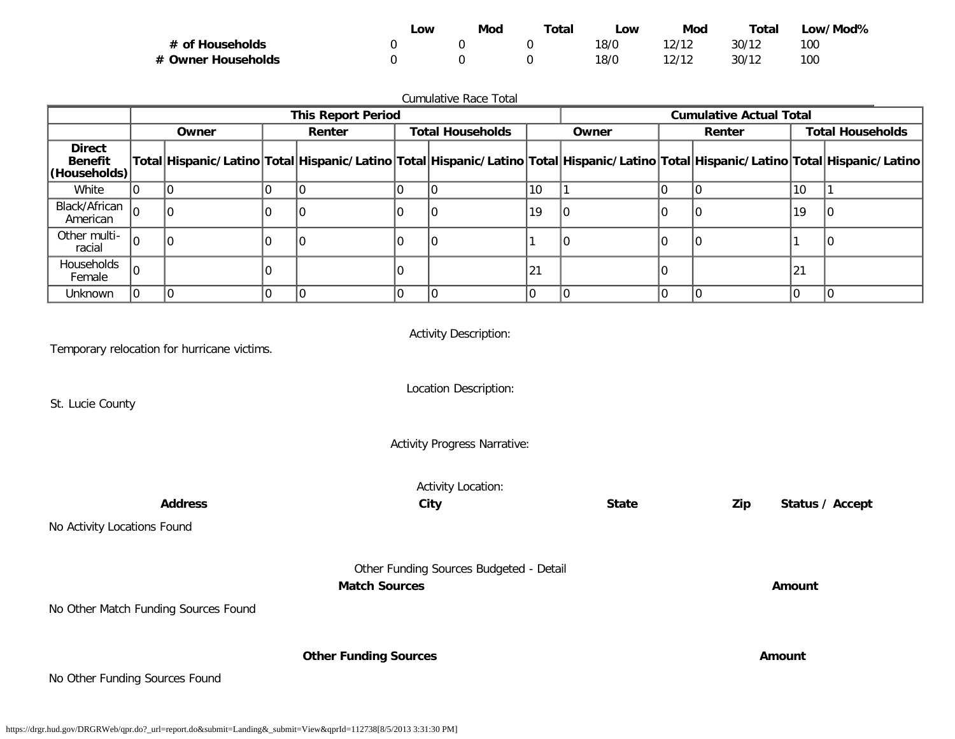|                    | ∟ow | Mod | Total | _OW  | Mod   | Total | _ow/Mod% |
|--------------------|-----|-----|-------|------|-------|-------|----------|
| # of Households    |     |     |       | 18/0 | 12/12 | 30/12 | 100      |
| # Owner Households |     |     |       | 18/0 | 12/12 | 30/12 | 100      |

| Cumulative Race Total                           |  |       |  |                           |  |                         |    |                                                                                                                                     |  |                                |                         |  |
|-------------------------------------------------|--|-------|--|---------------------------|--|-------------------------|----|-------------------------------------------------------------------------------------------------------------------------------------|--|--------------------------------|-------------------------|--|
|                                                 |  |       |  | <b>This Report Period</b> |  |                         |    |                                                                                                                                     |  | <b>Cumulative Actual Total</b> |                         |  |
|                                                 |  | Owner |  | Renter                    |  | <b>Total Households</b> |    | Owner<br>Renter                                                                                                                     |  |                                | <b>Total Households</b> |  |
| <b>Direct</b><br><b>Benefit</b><br>(Households) |  |       |  |                           |  |                         |    | Total Hispanic/Latino Total Hispanic/Latino Total Hispanic/Latino Total Hispanic/Latino Total Hispanic/Latino Total Hispanic/Latino |  |                                |                         |  |
| White                                           |  |       |  |                           |  |                         | 10 |                                                                                                                                     |  |                                | 10                      |  |
| Black/African<br>American                       |  |       |  |                           |  |                         | 19 |                                                                                                                                     |  |                                | 19                      |  |
| Other multi-<br>racial                          |  |       |  |                           |  |                         |    |                                                                                                                                     |  |                                |                         |  |
| Households<br>Female                            |  |       |  |                           |  |                         | 21 |                                                                                                                                     |  |                                | 21                      |  |
| <b>Unknown</b>                                  |  |       |  |                           |  |                         | ΙO |                                                                                                                                     |  |                                |                         |  |

| Temporary relocation for hurricane victims. | <b>Activity Description:</b>            |              |     |                 |  |  |  |  |
|---------------------------------------------|-----------------------------------------|--------------|-----|-----------------|--|--|--|--|
| St. Lucie County                            | Location Description:                   |              |     |                 |  |  |  |  |
|                                             | <b>Activity Progress Narrative:</b>     |              |     |                 |  |  |  |  |
| <b>Activity Location:</b>                   |                                         |              |     |                 |  |  |  |  |
| <b>Address</b>                              | City                                    | <b>State</b> | Zip | Status / Accept |  |  |  |  |
| No Activity Locations Found                 |                                         |              |     |                 |  |  |  |  |
|                                             | Other Funding Sources Budgeted - Detail |              |     |                 |  |  |  |  |
|                                             | <b>Match Sources</b>                    |              |     | Amount          |  |  |  |  |
| No Other Match Funding Sources Found        |                                         |              |     |                 |  |  |  |  |
|                                             |                                         |              |     |                 |  |  |  |  |
|                                             | <b>Other Funding Sources</b>            |              |     | Amount          |  |  |  |  |
| No Other Funding Sources Found              |                                         |              |     |                 |  |  |  |  |

https://drgr.hud.gov/DRGRWeb/qpr.do?\_url=report.do&submit=Landing&\_submit=View&qprId=112738[8/5/2013 3:31:30 PM]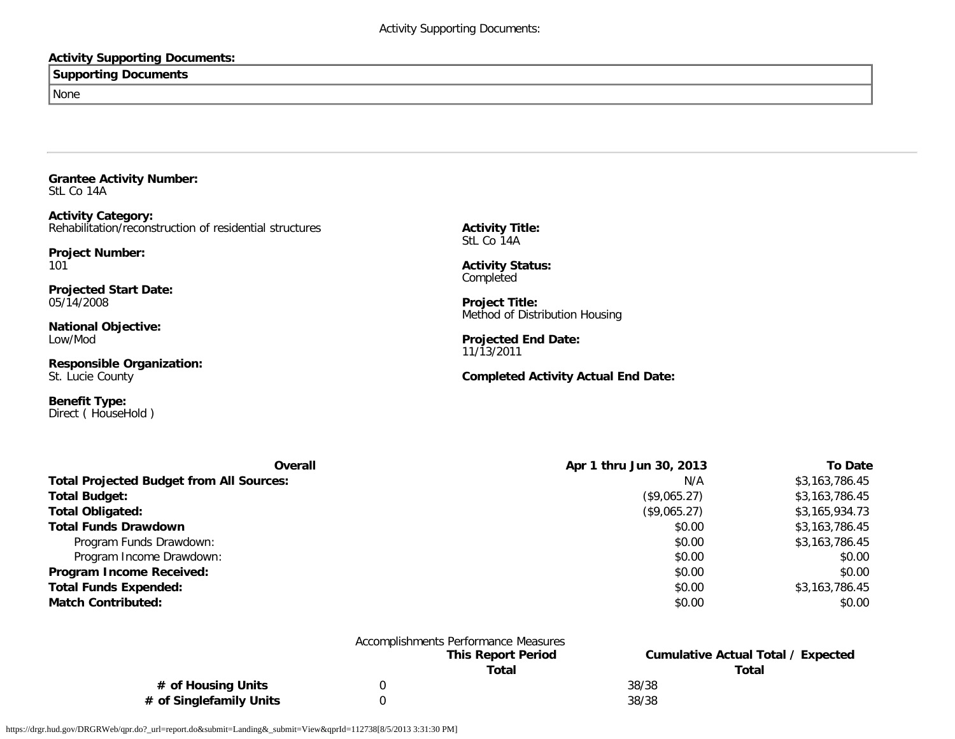## **Activity Supporting Documents:**

## **Supporting Documents**

None

<span id="page-59-0"></span>**Grantee Activity Number:** StL Co 14A

**Activity Category:** Rehabilitation/reconstruction of residential structures

**Project Number:** 101

**Projected Start Date:** 05/14/2008

**National Objective:** Low/Mod

**Responsible Organization:** St. Lucie County

**Benefit Type:** Direct ( HouseHold ) **Activity Title:** StL Co 14A

**Activity Status:** Completed

**Project Title:** Method of Distribution Housing

**Projected End Date:** 11/13/2011

**Completed Activity Actual End Date:**

| Overall                                         | Apr 1 thru Jun 30, 2013 | To Date        |
|-------------------------------------------------|-------------------------|----------------|
| <b>Total Projected Budget from All Sources:</b> | N/A                     | \$3,163,786.45 |
| <b>Total Budget:</b>                            | (\$9,065.27)            | \$3,163,786.45 |
| <b>Total Obligated:</b>                         | (\$9,065.27)            | \$3,165,934.73 |
| <b>Total Funds Drawdown</b>                     | \$0.00                  | \$3,163,786.45 |
| Program Funds Drawdown:                         | \$0.00                  | \$3,163,786.45 |
| Program Income Drawdown:                        | \$0.00                  | \$0.00         |
| Program Income Received:                        | \$0.00                  | \$0.00         |
| <b>Total Funds Expended:</b>                    | \$0.00                  | \$3,163,786.45 |
| <b>Match Contributed:</b>                       | \$0.00                  | \$0.00         |

|                         | Accomplishments Performance Measures |       |                                    |
|-------------------------|--------------------------------------|-------|------------------------------------|
|                         | <b>This Report Period</b>            |       | Cumulative Actual Total / Expected |
|                         | Total                                |       | Total                              |
| # of Housing Units      |                                      | 38/38 |                                    |
| # of Singlefamily Units |                                      | 38/38 |                                    |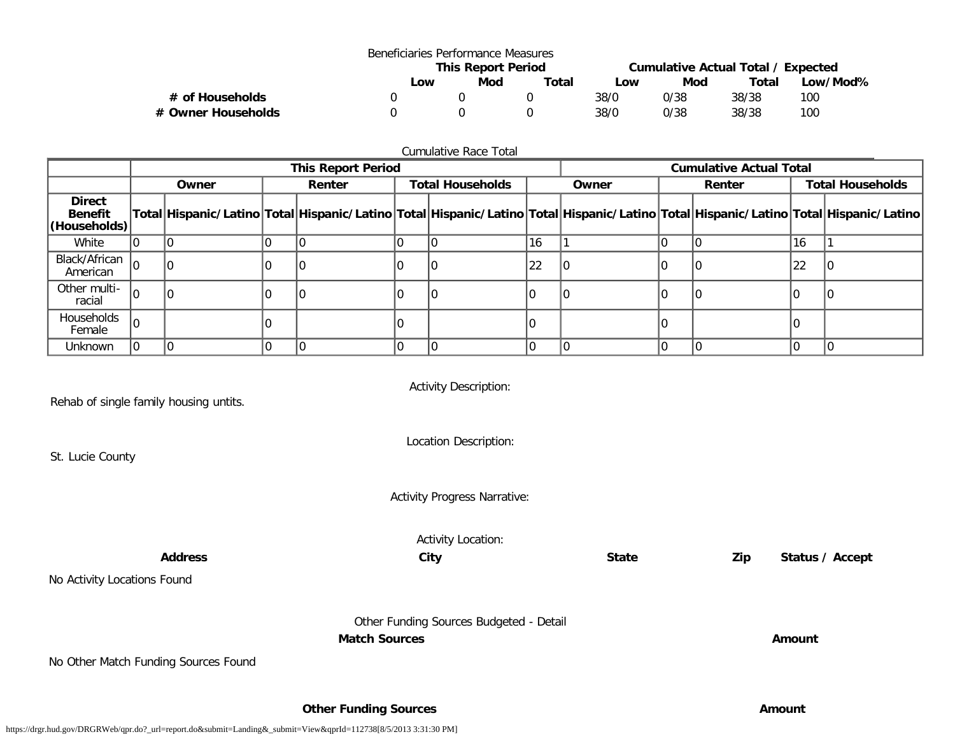|                    |     | Beneficiaries Performance Measures |       |                                    |      |       |          |  |
|--------------------|-----|------------------------------------|-------|------------------------------------|------|-------|----------|--|
|                    |     | <b>This Report Period</b>          |       | Cumulative Actual Total / Expected |      |       |          |  |
|                    | Low | Mod                                | Total | Low                                | Mod  | Total | Low/Mod% |  |
| # of Households    |     |                                    |       | 38/0                               | 0/38 | 38/38 | 100      |  |
| # Owner Households |     |                                    |       | 38/0                               | 0/38 | 38/38 | 100      |  |

| <b>Cumulative Race Total</b>                    |                                                   |  |  |       |  |        |                                |                         |  |  |    |                                                                                                                                     |
|-------------------------------------------------|---------------------------------------------------|--|--|-------|--|--------|--------------------------------|-------------------------|--|--|----|-------------------------------------------------------------------------------------------------------------------------------------|
|                                                 | <b>This Report Period</b>                         |  |  |       |  |        | <b>Cumulative Actual Total</b> |                         |  |  |    |                                                                                                                                     |
|                                                 | <b>Total Households</b><br>Owner<br><b>Renter</b> |  |  | Owner |  | Renter |                                | <b>Total Households</b> |  |  |    |                                                                                                                                     |
| <b>Direct</b><br><b>Benefit</b><br>(Households) |                                                   |  |  |       |  |        |                                |                         |  |  |    | Total Hispanic/Latino Total Hispanic/Latino Total Hispanic/Latino Total Hispanic/Latino Total Hispanic/Latino Total Hispanic/Latino |
| White                                           |                                                   |  |  |       |  |        | 16                             |                         |  |  | 16 |                                                                                                                                     |
| Black/African $ _0$<br>American                 |                                                   |  |  |       |  |        | 22                             |                         |  |  | 22 |                                                                                                                                     |
| Other multi-<br>racial                          | 10                                                |  |  |       |  |        |                                |                         |  |  |    |                                                                                                                                     |
| Households<br>Female                            | 10                                                |  |  |       |  |        |                                |                         |  |  |    |                                                                                                                                     |
| <b>Unknown</b>                                  |                                                   |  |  |       |  |        |                                |                         |  |  |    |                                                                                                                                     |

Rehab of single family housing untits.

St. Lucie County

Activity Description:

Location Description:

Activity Progress Narrative:

Activity Location:

**Address City State Zip Status / Accept**

No Activity Locations Found

Other Funding Sources Budgeted - Detail **Match Sources Amount** 

No Other Match Funding Sources Found

**Other Funding Sources Amount**